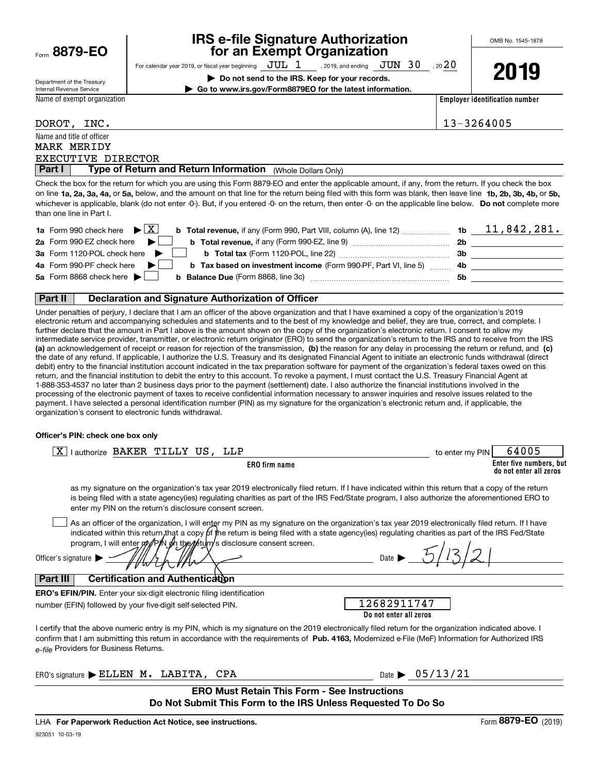| Form 8879-EO |  |
|--------------|--|
|              |  |

Department of the Treasury

#### **IRS e-file Signature Authorization for an Exempt Organization**

OMB No. 1545-1878

**2019**

For calendar year 2019, or fiscal year beginning  $\rm\,JUL$   $\rm\,1$   $\rm\,$  , 2019, and ending  $\rm\,JUN$   $\rm\,30$   $\rm\,$  , 20 $\rm 20$ **| Do not send to the IRS. Keep for your records.**

**| Go to www.irs.gov/Form8879EO for the latest information.**

Internal Revenue Service Name of exempt organization

**Employer identification number**

| DOROT,                    | INC. |
|---------------------------|------|
| Name and title of officer |      |

MARK MERIDY

13-3264005

**Part I** | Type of Return and Return Information (Whole Dollars Only) EXECUTIVE DIRECTOR

on line **1a, 2a, 3a, 4a,** or **5a,** below, and the amount on that line for the return being filed with this form was blank, then leave line **1b, 2b, 3b, 4b,** or **5b,** whichever is applicable, blank (do not enter -0-). But, if you entered -0- on the return, then enter -0- on the applicable line below. **Do not** complete more Check the box for the return for which you are using this Form 8879-EO and enter the applicable amount, if any, from the return. If you check the box than one line in Part I.

| <b>1a</b> Form 990 check here $\triangleright \boxed{X}$                                                                     |     | 11,842,281. |
|------------------------------------------------------------------------------------------------------------------------------|-----|-------------|
| 2a Form 990-EZ check here $\blacktriangleright$<br><b>b</b> Total revenue, if any (Form 990-EZ, line 9) <i></i>              | 2b  |             |
| 3a Form 1120-POL check here $\blacktriangleright$                                                                            | 3b  |             |
| 4a Form 990-PF check here $\blacktriangleright$<br><b>b</b> Tax based on investment income (Form 990-PF, Part VI, line 5) 4b |     |             |
| 5a Form 8868 check here $\blacktriangleright$                                                                                | .5b |             |
|                                                                                                                              |     |             |

#### **Part II Declaration and Signature Authorization of Officer**

**(a)** an acknowledgement of receipt or reason for rejection of the transmission, (b) the reason for any delay in processing the return or refund, and (c) Under penalties of perjury, I declare that I am an officer of the above organization and that I have examined a copy of the organization's 2019 electronic return and accompanying schedules and statements and to the best of my knowledge and belief, they are true, correct, and complete. I further declare that the amount in Part I above is the amount shown on the copy of the organization's electronic return. I consent to allow my intermediate service provider, transmitter, or electronic return originator (ERO) to send the organization's return to the IRS and to receive from the IRS the date of any refund. If applicable, I authorize the U.S. Treasury and its designated Financial Agent to initiate an electronic funds withdrawal (direct debit) entry to the financial institution account indicated in the tax preparation software for payment of the organization's federal taxes owed on this return, and the financial institution to debit the entry to this account. To revoke a payment, I must contact the U.S. Treasury Financial Agent at 1-888-353-4537 no later than 2 business days prior to the payment (settlement) date. I also authorize the financial institutions involved in the processing of the electronic payment of taxes to receive confidential information necessary to answer inquiries and resolve issues related to the payment. I have selected a personal identification number (PIN) as my signature for the organization's electronic return and, if applicable, the organization's consent to electronic funds withdrawal.

#### **Officer's PIN: check one box only**

| lauthorize BAKER TILLY US, LLP<br>X.                                                                                                                                                                                                                                                                                                                                                                     | to enter my PIN | 64005                                             |
|----------------------------------------------------------------------------------------------------------------------------------------------------------------------------------------------------------------------------------------------------------------------------------------------------------------------------------------------------------------------------------------------------------|-----------------|---------------------------------------------------|
| ERO firm name                                                                                                                                                                                                                                                                                                                                                                                            |                 | Enter five numbers, but<br>do not enter all zeros |
| as my signature on the organization's tax year 2019 electronically filed return. If I have indicated within this return that a copy of the return<br>is being filed with a state agency(ies) regulating charities as part of the IRS Fed/State program, I also authorize the aforementioned ERO to<br>enter my PIN on the return's disclosure consent screen.                                            |                 |                                                   |
| As an officer of the organization, I will enter my PIN as my signature on the organization's tax year 2019 electronically filed return. If I have<br>indicated within this return, that a copy of the return is being filed with a state agency(ies) regulating charities as part of the IRS Fed/State<br>program, I will enter my/PyN oh the return s disclosure consent screen.<br>Officer's signature |                 |                                                   |
| <b>Certification and Authentication</b><br>Part III                                                                                                                                                                                                                                                                                                                                                      |                 |                                                   |
| <b>ERO's EFIN/PIN.</b> Enter your six-digit electronic filing identification<br>12682911747<br>number (EFIN) followed by your five-digit self-selected PIN.<br>Do not enter all zeros                                                                                                                                                                                                                    |                 |                                                   |
| I certify that the above numeric entry is my PIN, which is my signature on the 2019 electronically filed return for the organization indicated above. I<br>confirm that I am submitting this return in accordance with the requirements of Pub. 4163, Modernized e-File (MeF) Information for Authorized IRS<br>e-file Providers for Business Returns.                                                   |                 |                                                   |
| Date $\triangleright$ 05/13/21<br>ERO's signature ELLEN M. LABITA, CPA                                                                                                                                                                                                                                                                                                                                   |                 |                                                   |
| <b>ERO Must Retain This Form - See Instructions</b><br>Do Not Submit This Form to the IRS Unless Requested To Do So                                                                                                                                                                                                                                                                                      |                 |                                                   |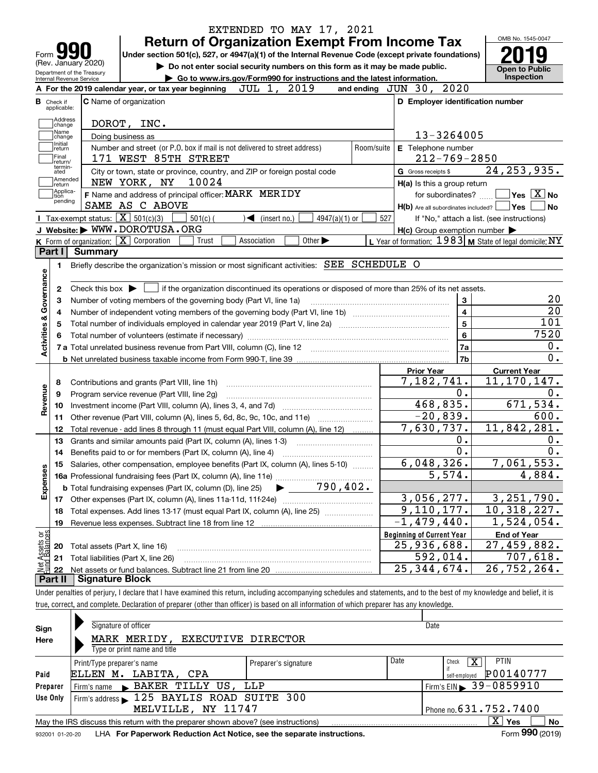|                                                                                                                                                                                                                                        | EXTENDED TO MAY 17, 2021<br><b>Return of Organization Exempt From Income Tax</b>                                                                                           |            |                                                           | OMB No. 1545-0047                                 |  |
|----------------------------------------------------------------------------------------------------------------------------------------------------------------------------------------------------------------------------------------|----------------------------------------------------------------------------------------------------------------------------------------------------------------------------|------------|-----------------------------------------------------------|---------------------------------------------------|--|
|                                                                                                                                                                                                                                        | Under section 501(c), 527, or 4947(a)(1) of the Internal Revenue Code (except private foundations)                                                                         |            |                                                           |                                                   |  |
| (Rev. January 2020)<br>Do not enter social security numbers on this form as it may be made public.<br>Department of the Treasury<br>Go to www.irs.gov/Form990 for instructions and the latest information.<br>Internal Revenue Service |                                                                                                                                                                            |            |                                                           |                                                   |  |
|                                                                                                                                                                                                                                        | JUL 1, 2019<br>A For the 2019 calendar year, or tax year beginning                                                                                                         |            | and ending JUN 30, 2020                                   | <b>Inspection</b>                                 |  |
|                                                                                                                                                                                                                                        |                                                                                                                                                                            |            |                                                           |                                                   |  |
|                                                                                                                                                                                                                                        | <b>C</b> Name of organization                                                                                                                                              |            | D Employer identification number                          |                                                   |  |
|                                                                                                                                                                                                                                        | DOROT, INC.                                                                                                                                                                |            |                                                           |                                                   |  |
|                                                                                                                                                                                                                                        | Doing business as                                                                                                                                                          |            | 13-3264005                                                |                                                   |  |
|                                                                                                                                                                                                                                        | Number and street (or P.O. box if mail is not delivered to street address)<br>171 WEST 85TH STREET                                                                         | Room/suite | E Telephone number<br>$212 - 769 - 2850$                  |                                                   |  |
|                                                                                                                                                                                                                                        | City or town, state or province, country, and ZIP or foreign postal code                                                                                                   |            | G Gross receipts \$                                       | 24, 253, 935.                                     |  |
| Amended                                                                                                                                                                                                                                | 10024<br>NEW YORK, NY                                                                                                                                                      |            | H(a) Is this a group return                               |                                                   |  |
|                                                                                                                                                                                                                                        | F Name and address of principal officer: MARK MERIDY                                                                                                                       |            | for subordinates?                                         | $\boxed{\phantom{1}}$ Yes $\boxed{\mathrm{X}}$ No |  |
|                                                                                                                                                                                                                                        | SAME AS C ABOVE                                                                                                                                                            |            | $H(b)$ Are all subordinates included? $\Box$ Yes          | ∣No                                               |  |
|                                                                                                                                                                                                                                        | Tax-exempt status: $\boxed{\mathbf{X}}$ 501(c)(3)<br>$501(c)$ (<br>$\triangleleft$ (insert no.)<br>$4947(a)(1)$ or                                                         | 527        |                                                           | If "No," attach a list. (see instructions)        |  |
|                                                                                                                                                                                                                                        | J Website: WWW.DOROTUSA.ORG                                                                                                                                                |            | $H(c)$ Group exemption number $\blacktriangleright$       |                                                   |  |
|                                                                                                                                                                                                                                        | K Form of organization: $\overline{X}$ Corporation<br>Other $\blacktriangleright$<br>Association<br>Trust                                                                  |            | L Year of formation: $1983$ M State of legal domicile: NY |                                                   |  |
|                                                                                                                                                                                                                                        | Summary                                                                                                                                                                    |            |                                                           |                                                   |  |
|                                                                                                                                                                                                                                        | Briefly describe the organization's mission or most significant activities: SEE SCHEDULE O                                                                                 |            |                                                           |                                                   |  |
|                                                                                                                                                                                                                                        |                                                                                                                                                                            |            |                                                           |                                                   |  |
|                                                                                                                                                                                                                                        | Check this box $\blacktriangleright$ $\blacksquare$ if the organization discontinued its operations or disposed of more than 25% of its net assets.                        |            |                                                           |                                                   |  |
|                                                                                                                                                                                                                                        | Number of voting members of the governing body (Part VI, line 1a)                                                                                                          |            | 3                                                         | 20                                                |  |
|                                                                                                                                                                                                                                        |                                                                                                                                                                            |            | $\overline{4}$                                            | $\overline{20}$                                   |  |
|                                                                                                                                                                                                                                        |                                                                                                                                                                            |            | $\overline{5}$                                            | 101                                               |  |
|                                                                                                                                                                                                                                        |                                                                                                                                                                            |            | 6                                                         | 7520                                              |  |
|                                                                                                                                                                                                                                        |                                                                                                                                                                            |            | 7a                                                        | $0$ .                                             |  |
|                                                                                                                                                                                                                                        |                                                                                                                                                                            |            | 7b                                                        | $\overline{0}$ .                                  |  |
|                                                                                                                                                                                                                                        |                                                                                                                                                                            |            | <b>Prior Year</b>                                         | <b>Current Year</b>                               |  |
|                                                                                                                                                                                                                                        | Contributions and grants (Part VIII, line 1h)                                                                                                                              |            | 7,182,741.                                                | $\overline{11,170,147}$ .                         |  |
|                                                                                                                                                                                                                                        | Program service revenue (Part VIII, line 2g)                                                                                                                               |            | $0$ .                                                     | 0.                                                |  |
|                                                                                                                                                                                                                                        |                                                                                                                                                                            |            | 468,835.                                                  | 671,534.                                          |  |
|                                                                                                                                                                                                                                        | Other revenue (Part VIII, column (A), lines 5, 6d, 8c, 9c, 10c, and 11e)                                                                                                   |            | $-20,839.$                                                | $\overline{600}$ .                                |  |
|                                                                                                                                                                                                                                        | Total revenue - add lines 8 through 11 (must equal Part VIII, column (A), line 12)                                                                                         |            | 7,630,737.                                                | 11,842,281.                                       |  |
|                                                                                                                                                                                                                                        | Grants and similar amounts paid (Part IX, column (A), lines 1-3)                                                                                                           |            | $0$ .                                                     | 0.                                                |  |
|                                                                                                                                                                                                                                        |                                                                                                                                                                            |            | 0.                                                        | 0.                                                |  |
|                                                                                                                                                                                                                                        | 15 Salaries, other compensation, employee benefits (Part IX, column (A), lines 5-10)                                                                                       |            | 6,048,326.                                                | 7,061,553.                                        |  |
|                                                                                                                                                                                                                                        |                                                                                                                                                                            |            | 5,574.                                                    | 4,884.                                            |  |
|                                                                                                                                                                                                                                        | $790,402$ .<br><b>b</b> Total fundraising expenses (Part IX, column (D), line 25)                                                                                          |            |                                                           |                                                   |  |
|                                                                                                                                                                                                                                        |                                                                                                                                                                            |            | 3,056,277.                                                | 3, 251, 790.                                      |  |
|                                                                                                                                                                                                                                        |                                                                                                                                                                            |            | 9, 110, 177.                                              | 10,318,227.                                       |  |
|                                                                                                                                                                                                                                        | Total expenses. Add lines 13-17 (must equal Part IX, column (A), line 25)                                                                                                  |            | $-1,479,440.$                                             | 1,524,054.                                        |  |
|                                                                                                                                                                                                                                        |                                                                                                                                                                            |            |                                                           |                                                   |  |
|                                                                                                                                                                                                                                        |                                                                                                                                                                            |            | <b>Beginning of Current Year</b>                          | <b>End of Year</b>                                |  |
|                                                                                                                                                                                                                                        | Total assets (Part X, line 16)                                                                                                                                             |            | 25,936,688.                                               | 27,459,882.                                       |  |
|                                                                                                                                                                                                                                        | Total liabilities (Part X, line 26)                                                                                                                                        |            | 592,014.                                                  | 707,618.                                          |  |
|                                                                                                                                                                                                                                        |                                                                                                                                                                            |            | 25, 344, 674.                                             | 26,752,264.                                       |  |
|                                                                                                                                                                                                                                        | <b>Signature Block</b>                                                                                                                                                     |            |                                                           |                                                   |  |
|                                                                                                                                                                                                                                        | Under penalties of perjury, I declare that I have examined this return, including accompanying schedules and statements, and to the best of my knowledge and belief, it is |            |                                                           |                                                   |  |
|                                                                                                                                                                                                                                        | true, correct, and complete. Declaration of preparer (other than officer) is based on all information of which preparer has any knowledge.                                 |            |                                                           |                                                   |  |
|                                                                                                                                                                                                                                        |                                                                                                                                                                            |            |                                                           |                                                   |  |

| Sign     | Signature of officer                                                                                |                      | Date                                         |  |  |  |  |  |  |
|----------|-----------------------------------------------------------------------------------------------------|----------------------|----------------------------------------------|--|--|--|--|--|--|
| Here     | MARK MERIDY, EXECUTIVE DIRECTOR                                                                     |                      |                                              |  |  |  |  |  |  |
|          | Type or print name and title                                                                        |                      |                                              |  |  |  |  |  |  |
|          | Print/Type preparer's name                                                                          | Preparer's signature | Date<br><b>PTIN</b><br>Check                 |  |  |  |  |  |  |
| Paid     | ELLEN M. LABITA, CPA                                                                                |                      | P00140777<br>self-employed                   |  |  |  |  |  |  |
| Preparer | Firm's name BAKER TILLY US, LLP                                                                     |                      | $'$ Firm's EIN $\triangleright$ 39 - 0859910 |  |  |  |  |  |  |
| Use Only | Firm's address 125 BAYLIS ROAD SUITE 300                                                            |                      |                                              |  |  |  |  |  |  |
|          | MELVILLE, NY 11747                                                                                  |                      | Phone no. 631.752.7400                       |  |  |  |  |  |  |
|          | x<br>Yes<br>No<br>May the IRS discuss this return with the preparer shown above? (see instructions) |                      |                                              |  |  |  |  |  |  |
|          | $F = 000 \text{ (0010)}$                                                                            |                      |                                              |  |  |  |  |  |  |

932001 01-20-20 **For Paperwork Reduction Act Notice, see the separate instructions.** LHA Form (2019)

**990**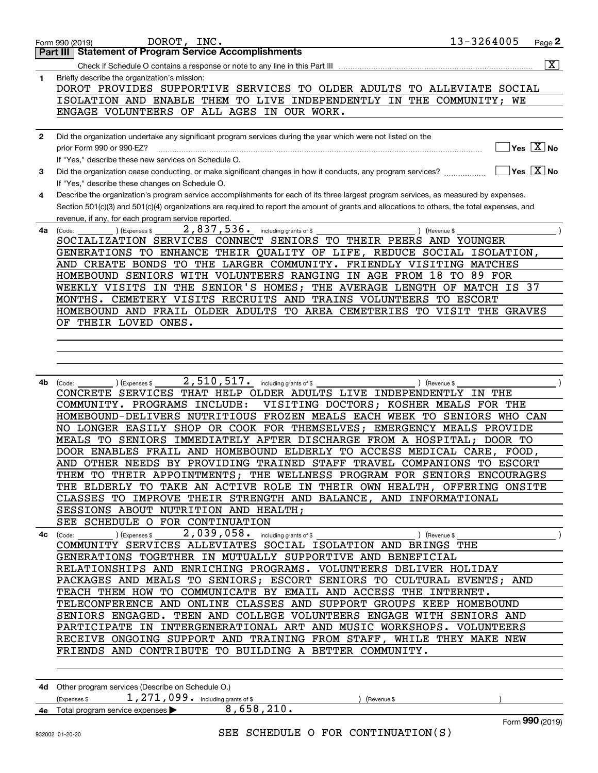|              | 13-3264005<br>DOROT, INC.<br>Page 2<br>Form 990 (2019)                                                                                                          |
|--------------|-----------------------------------------------------------------------------------------------------------------------------------------------------------------|
|              | <b>Statement of Program Service Accomplishments</b><br>Part III                                                                                                 |
|              | $\overline{\mathbf{x}}$<br>Check if Schedule O contains a response or note to any line in this Part III                                                         |
| 1            | Briefly describe the organization's mission:                                                                                                                    |
|              | DOROT PROVIDES SUPPORTIVE SERVICES TO OLDER ADULTS TO ALLEVIATE SOCIAL                                                                                          |
|              | ISOLATION AND ENABLE THEM TO LIVE INDEPENDENTLY IN THE COMMUNITY; WE                                                                                            |
|              | ENGAGE VOLUNTEERS OF ALL AGES IN OUR WORK.                                                                                                                      |
|              |                                                                                                                                                                 |
| $\mathbf{2}$ | Did the organization undertake any significant program services during the year which were not listed on the                                                    |
|              | $\sqrt{}$ Yes $\sqrt{}$ $\overline{\rm X}$ $\sqrt{}$ No<br>prior Form 990 or 990-EZ?                                                                            |
|              | If "Yes," describe these new services on Schedule O.                                                                                                            |
| 3            | $\overline{\ }$ Yes $\overline{\phantom{X}}$ No<br>Did the organization cease conducting, or make significant changes in how it conducts, any program services? |
|              | If "Yes," describe these changes on Schedule O.                                                                                                                 |
| 4            | Describe the organization's program service accomplishments for each of its three largest program services, as measured by expenses.                            |
|              | Section 501(c)(3) and 501(c)(4) organizations are required to report the amount of grants and allocations to others, the total expenses, and                    |
|              | revenue, if any, for each program service reported.                                                                                                             |
| 4a           | 2,837,536. including grants of \$<br>(Code:<br>(Expenses \$<br>) (Revenue \$                                                                                    |
|              | SOCIALIZATION SERVICES CONNECT SENIORS TO THEIR PEERS AND YOUNGER                                                                                               |
|              | GENERATIONS TO ENHANCE THEIR QUALITY OF LIFE, REDUCE SOCIAL ISOLATION,                                                                                          |
|              | FRIENDLY VISITING MATCHES<br>AND CREATE BONDS TO THE LARGER COMMUNITY.                                                                                          |
|              | HOMEBOUND SENIORS WITH VOLUNTEERS RANGING<br>IN AGE FROM 18<br>TO<br>89 FOR                                                                                     |
|              | THE AVERAGE LENGTH OF MATCH IS 37<br>IN THE SENIOR'S HOMES;<br>WEEKLY VISITS                                                                                    |
|              | MONTHS. CEMETERY VISITS RECRUITS AND TRAINS VOLUNTEERS TO ESCORT                                                                                                |
|              | HOMEBOUND AND FRAIL OLDER ADULTS TO AREA CEMETERIES TO VISIT THE GRAVES                                                                                         |
|              | OF THEIR LOVED ONES.                                                                                                                                            |
|              |                                                                                                                                                                 |
|              |                                                                                                                                                                 |
|              |                                                                                                                                                                 |
| 4b           | 2,510,517. including grants of \$<br>) (Revenue \$<br>(Code:                                                                                                    |
|              | ) (Expenses \$<br>CONCRETE SERVICES THAT HELP OLDER ADULTS LIVE INDEPENDENTLY<br>IN THE                                                                         |
|              | COMMUNITY. PROGRAMS INCLUDE:<br>VISITING DOCTORS;<br>KOSHER MEALS FOR THE                                                                                       |
|              | HOMEBOUND-DELIVERS NUTRITIOUS FROZEN MEALS EACH WEEK TO<br>SENIORS WHO CAN                                                                                      |
|              | SHOP OR COOK FOR THEMSELVES; EMERGENCY MEALS PROVIDE<br>NO LONGER EASILY                                                                                        |
|              | IMMEDIATELY AFTER DISCHARGE FROM A HOSPITAL;<br>MEALS TO SENIORS<br>DOOR TO                                                                                     |
|              | DOOR ENABLES FRAIL AND HOMEBOUND ELDERLY TO ACCESS MEDICAL CARE, FOOD,                                                                                          |
|              | AND OTHER NEEDS BY PROVIDING TRAINED STAFF TRAVEL COMPANIONS TO ESCORT                                                                                          |
|              | THEM TO THEIR APPOINTMENTS; THE WELLNESS PROGRAM FOR SENIORS ENCOURAGES                                                                                         |
|              | THE ELDERLY TO TAKE AN ACTIVE ROLE IN THEIR OWN HEALTH, OFFERING ONSITE                                                                                         |
|              | CLASSES TO IMPROVE THEIR STRENGTH AND BALANCE, AND INFORMATIONAL                                                                                                |
|              | SESSIONS ABOUT NUTRITION AND HEALTH;                                                                                                                            |
|              | SEE SCHEDULE O FOR CONTINUATION                                                                                                                                 |
|              | 4c $(\text{Code:})$ $(\text{Expenses $}, 2, 039, 058, \text{including grants of $},$                                                                            |
|              | COMMUNITY SERVICES ALLEVIATES SOCIAL ISOLATION AND BRINGS THE<br>GENERATIONS TOGETHER IN MUTUALLY SUPPORTIVE AND BENEFICIAL                                     |
|              | RELATIONSHIPS AND ENRICHING PROGRAMS. VOLUNTEERS DELIVER HOLIDAY                                                                                                |
|              | PACKAGES AND MEALS TO SENIORS; ESCORT SENIORS TO CULTURAL EVENTS; AND                                                                                           |
|              | TEACH THEM HOW TO COMMUNICATE BY EMAIL AND ACCESS THE INTERNET.                                                                                                 |
|              | TELECONFERENCE AND ONLINE CLASSES AND SUPPORT GROUPS KEEP HOMEBOUND                                                                                             |
|              | SENIORS ENGAGED. TEEN AND COLLEGE VOLUNTEERS ENGAGE WITH SENIORS AND                                                                                            |
|              | PARTICIPATE IN INTERGENERATIONAL ART AND MUSIC WORKSHOPS. VOLUNTEERS                                                                                            |
|              | RECEIVE ONGOING SUPPORT AND TRAINING FROM STAFF, WHILE THEY MAKE NEW                                                                                            |
|              | FRIENDS AND CONTRIBUTE TO BUILDING A BETTER COMMUNITY.                                                                                                          |
|              |                                                                                                                                                                 |
|              |                                                                                                                                                                 |
|              | 4d Other program services (Describe on Schedule O.)                                                                                                             |
|              | (Expenses \$ $1,271,099$ a including grants of \$<br>(Revenue \$                                                                                                |
|              | 4e Total program service expenses > 8,658,210.                                                                                                                  |
|              | Form 990 (2019)                                                                                                                                                 |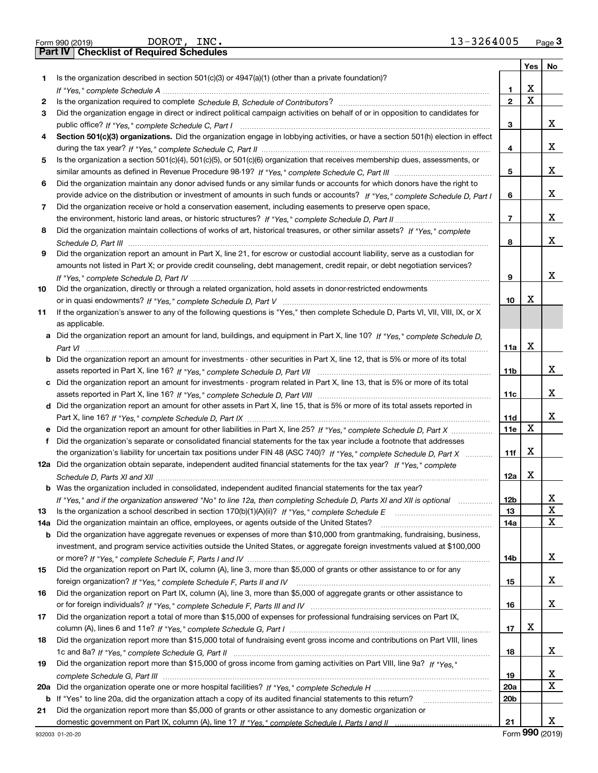|     | 13-3264005<br>DOROT, INC.<br>Form 990 (2019)                                                                                                                                                                                                          |                 |                         | $Page$ 3    |
|-----|-------------------------------------------------------------------------------------------------------------------------------------------------------------------------------------------------------------------------------------------------------|-----------------|-------------------------|-------------|
|     | <b>Checklist of Required Schedules</b><br>Part IV                                                                                                                                                                                                     |                 |                         |             |
|     |                                                                                                                                                                                                                                                       |                 | Yes                     | No          |
| 1.  | Is the organization described in section $501(c)(3)$ or $4947(a)(1)$ (other than a private foundation)?                                                                                                                                               |                 |                         |             |
|     |                                                                                                                                                                                                                                                       | 1.              | X                       |             |
| 2   |                                                                                                                                                                                                                                                       | $\overline{2}$  | $\overline{\mathbf{x}}$ |             |
| 3   | Did the organization engage in direct or indirect political campaign activities on behalf of or in opposition to candidates for                                                                                                                       |                 |                         |             |
|     |                                                                                                                                                                                                                                                       | 3               |                         | x           |
| 4   | Section 501(c)(3) organizations. Did the organization engage in lobbying activities, or have a section 501(h) election in effect                                                                                                                      |                 |                         |             |
|     |                                                                                                                                                                                                                                                       | 4               |                         | x           |
| 5.  | Is the organization a section 501(c)(4), 501(c)(5), or 501(c)(6) organization that receives membership dues, assessments, or                                                                                                                          |                 |                         |             |
|     |                                                                                                                                                                                                                                                       | 5               |                         | x           |
| 6   | Did the organization maintain any donor advised funds or any similar funds or accounts for which donors have the right to                                                                                                                             |                 |                         |             |
|     | provide advice on the distribution or investment of amounts in such funds or accounts? If "Yes," complete Schedule D, Part I                                                                                                                          | 6               |                         | x           |
| 7   | Did the organization receive or hold a conservation easement, including easements to preserve open space,                                                                                                                                             |                 |                         |             |
|     |                                                                                                                                                                                                                                                       | $\overline{7}$  |                         | x           |
| 8   | Did the organization maintain collections of works of art, historical treasures, or other similar assets? If "Yes," complete                                                                                                                          |                 |                         |             |
|     |                                                                                                                                                                                                                                                       | 8               |                         | X           |
| 9   | Did the organization report an amount in Part X, line 21, for escrow or custodial account liability, serve as a custodian for                                                                                                                         |                 |                         |             |
|     | amounts not listed in Part X; or provide credit counseling, debt management, credit repair, or debt negotiation services?                                                                                                                             |                 |                         |             |
|     |                                                                                                                                                                                                                                                       | 9               |                         | X           |
| 10  | Did the organization, directly or through a related organization, hold assets in donor-restricted endowments                                                                                                                                          |                 |                         |             |
|     |                                                                                                                                                                                                                                                       | 10              | X                       |             |
| 11  | If the organization's answer to any of the following questions is "Yes," then complete Schedule D, Parts VI, VII, VIII, IX, or X                                                                                                                      |                 |                         |             |
|     | as applicable.                                                                                                                                                                                                                                        |                 |                         |             |
| a   | Did the organization report an amount for land, buildings, and equipment in Part X, line 10? If "Yes," complete Schedule D,                                                                                                                           |                 |                         |             |
|     |                                                                                                                                                                                                                                                       | 11a             | X                       |             |
| b   | Did the organization report an amount for investments - other securities in Part X, line 12, that is 5% or more of its total                                                                                                                          |                 |                         |             |
|     |                                                                                                                                                                                                                                                       | 11 <sub>b</sub> |                         | x           |
| с   | Did the organization report an amount for investments - program related in Part X, line 13, that is 5% or more of its total                                                                                                                           |                 |                         |             |
|     |                                                                                                                                                                                                                                                       | 11c             |                         | x           |
|     | d Did the organization report an amount for other assets in Part X, line 15, that is 5% or more of its total assets reported in                                                                                                                       |                 |                         |             |
|     |                                                                                                                                                                                                                                                       | 11d             |                         | x           |
|     |                                                                                                                                                                                                                                                       | 11e             | X                       |             |
|     | Did the organization's separate or consolidated financial statements for the tax year include a footnote that addresses                                                                                                                               |                 |                         |             |
|     | the organization's liability for uncertain tax positions under FIN 48 (ASC 740)? If "Yes," complete Schedule D, Part X                                                                                                                                | 11f             | X                       |             |
|     | 12a Did the organization obtain separate, independent audited financial statements for the tax year? If "Yes," complete                                                                                                                               |                 |                         |             |
|     |                                                                                                                                                                                                                                                       |                 | $\mathbf X$             |             |
|     | Was the organization included in consolidated, independent audited financial statements for the tax year?                                                                                                                                             | 12a             |                         |             |
|     |                                                                                                                                                                                                                                                       | 12b             |                         | x           |
|     | If "Yes," and if the organization answered "No" to line 12a, then completing Schedule D, Parts XI and XII is optional manum                                                                                                                           |                 |                         | $\mathbf x$ |
| 13  |                                                                                                                                                                                                                                                       | 13<br>14a       |                         | X           |
| 14a | Did the organization maintain an office, employees, or agents outside of the United States?                                                                                                                                                           |                 |                         |             |
| b   | Did the organization have aggregate revenues or expenses of more than \$10,000 from grantmaking, fundraising, business,<br>investment, and program service activities outside the United States, or aggregate foreign investments valued at \$100,000 |                 |                         |             |
|     |                                                                                                                                                                                                                                                       | 14b             |                         | x           |
| 15  | Did the organization report on Part IX, column (A), line 3, more than \$5,000 of grants or other assistance to or for any                                                                                                                             |                 |                         |             |
|     |                                                                                                                                                                                                                                                       | 15              |                         | x           |
|     | Did the organization report on Part IX, column (A), line 3, more than \$5,000 of aggregate grants or other assistance to                                                                                                                              |                 |                         |             |
| 16  |                                                                                                                                                                                                                                                       |                 |                         | x           |
|     |                                                                                                                                                                                                                                                       | 16              |                         |             |
| 17  | Did the organization report a total of more than \$15,000 of expenses for professional fundraising services on Part IX,                                                                                                                               |                 | х                       |             |
|     |                                                                                                                                                                                                                                                       | 17              |                         |             |
| 18  | Did the organization report more than \$15,000 total of fundraising event gross income and contributions on Part VIII, lines                                                                                                                          |                 |                         | x           |
|     |                                                                                                                                                                                                                                                       | 18              |                         |             |
| 19  | Did the organization report more than \$15,000 of gross income from gaming activities on Part VIII, line 9a? If "Yes."                                                                                                                                |                 |                         |             |
|     |                                                                                                                                                                                                                                                       | 19              |                         | x<br>X      |
| 20a |                                                                                                                                                                                                                                                       | 20a             |                         |             |
| b   | If "Yes" to line 20a, did the organization attach a copy of its audited financial statements to this return?                                                                                                                                          | 20 <sub>b</sub> |                         |             |
| 21  | Did the organization report more than \$5,000 of grants or other assistance to any domestic organization or                                                                                                                                           |                 |                         | x           |
|     |                                                                                                                                                                                                                                                       | 21              |                         |             |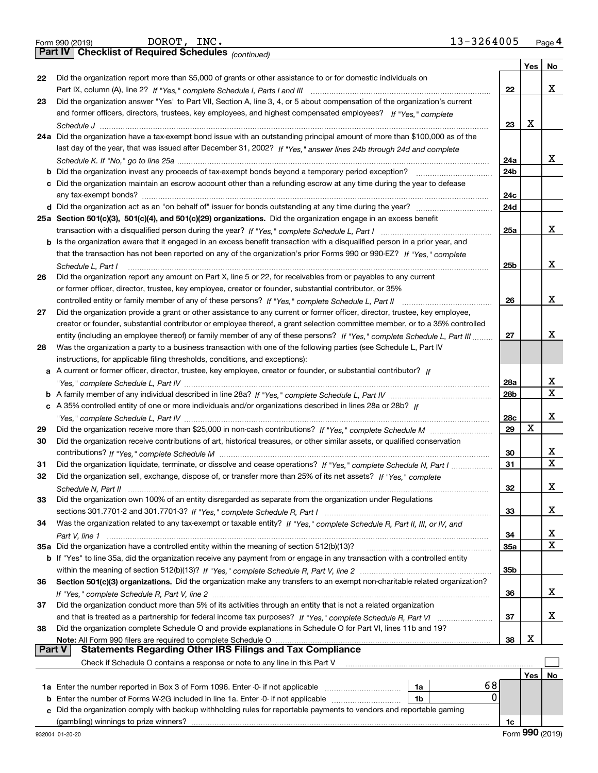|  | Form 990 (2019) |
|--|-----------------|
|  |                 |

*(continued)*

|        |                                                                                                                                       |                 | Yes $ $ | No          |
|--------|---------------------------------------------------------------------------------------------------------------------------------------|-----------------|---------|-------------|
| 22     | Did the organization report more than \$5,000 of grants or other assistance to or for domestic individuals on                         |                 |         |             |
|        |                                                                                                                                       | 22              |         | х           |
| 23     | Did the organization answer "Yes" to Part VII, Section A, line 3, 4, or 5 about compensation of the organization's current            |                 |         |             |
|        | and former officers, directors, trustees, key employees, and highest compensated employees? If "Yes," complete                        |                 |         |             |
|        |                                                                                                                                       | 23              | х       |             |
|        | 24a Did the organization have a tax-exempt bond issue with an outstanding principal amount of more than \$100,000 as of the           |                 |         |             |
|        | last day of the year, that was issued after December 31, 2002? If "Yes," answer lines 24b through 24d and complete                    |                 |         |             |
|        |                                                                                                                                       | 24a             |         | x           |
| b      | Did the organization invest any proceeds of tax-exempt bonds beyond a temporary period exception?                                     | 24 <sub>b</sub> |         |             |
| c      | Did the organization maintain an escrow account other than a refunding escrow at any time during the year to defease                  |                 |         |             |
|        |                                                                                                                                       | 24c             |         |             |
|        |                                                                                                                                       | 24d             |         |             |
|        | 25a Section 501(c)(3), 501(c)(4), and 501(c)(29) organizations. Did the organization engage in an excess benefit                      |                 |         |             |
|        |                                                                                                                                       | 25a             |         | x           |
|        | b Is the organization aware that it engaged in an excess benefit transaction with a disqualified person in a prior year, and          |                 |         |             |
|        | that the transaction has not been reported on any of the organization's prior Forms 990 or 990-EZ? If "Yes," complete                 |                 |         |             |
|        |                                                                                                                                       | 25b             |         | x           |
| 26     | Schedule L, Part I<br>Did the organization report any amount on Part X, line 5 or 22, for receivables from or payables to any current |                 |         |             |
|        |                                                                                                                                       |                 |         |             |
|        | or former officer, director, trustee, key employee, creator or founder, substantial contributor, or 35%                               | 26              |         | X           |
|        | controlled entity or family member of any of these persons? If "Yes," complete Schedule L, Part II                                    |                 |         |             |
| 27     | Did the organization provide a grant or other assistance to any current or former officer, director, trustee, key employee,           |                 |         |             |
|        | creator or founder, substantial contributor or employee thereof, a grant selection committee member, or to a 35% controlled           |                 |         | X           |
|        | entity (including an employee thereof) or family member of any of these persons? If "Yes," complete Schedule L, Part III              | 27              |         |             |
| 28     | Was the organization a party to a business transaction with one of the following parties (see Schedule L, Part IV                     |                 |         |             |
|        | instructions, for applicable filing thresholds, conditions, and exceptions):                                                          |                 |         |             |
| а      | A current or former officer, director, trustee, key employee, creator or founder, or substantial contributor? If                      |                 |         |             |
|        |                                                                                                                                       | 28a             |         | х<br>X      |
|        |                                                                                                                                       | 28b             |         |             |
|        | c A 35% controlled entity of one or more individuals and/or organizations described in lines 28a or 28b? If                           |                 |         | X           |
|        |                                                                                                                                       | 28c             |         |             |
| 29     |                                                                                                                                       | 29              | Х       |             |
| 30     | Did the organization receive contributions of art, historical treasures, or other similar assets, or qualified conservation           |                 |         |             |
|        |                                                                                                                                       | 30              |         | х           |
| 31     | Did the organization liquidate, terminate, or dissolve and cease operations? If "Yes," complete Schedule N, Part I                    | 31              |         | $\mathbf X$ |
| 32     | Did the organization sell, exchange, dispose of, or transfer more than 25% of its net assets? If "Yes," complete                      |                 |         |             |
|        |                                                                                                                                       | 32              |         | х           |
| 33     | Did the organization own 100% of an entity disregarded as separate from the organization under Regulations                            |                 |         |             |
|        |                                                                                                                                       | 33              |         | х           |
| 34     | Was the organization related to any tax-exempt or taxable entity? If "Yes," complete Schedule R, Part II, III, or IV, and             |                 |         |             |
|        |                                                                                                                                       | 34              |         | x           |
|        | 35a Did the organization have a controlled entity within the meaning of section 512(b)(13)?                                           | 35a             |         | Χ           |
|        | b If "Yes" to line 35a, did the organization receive any payment from or engage in any transaction with a controlled entity           |                 |         |             |
|        |                                                                                                                                       | 35 <sub>b</sub> |         |             |
| 36     | Section 501(c)(3) organizations. Did the organization make any transfers to an exempt non-charitable related organization?            |                 |         |             |
|        |                                                                                                                                       | 36              |         | х           |
| 37     | Did the organization conduct more than 5% of its activities through an entity that is not a related organization                      |                 |         |             |
|        |                                                                                                                                       | 37              |         | х           |
| 38     | Did the organization complete Schedule O and provide explanations in Schedule O for Part VI, lines 11b and 19?                        |                 |         |             |
|        | Note: All Form 990 filers are required to complete Schedule O                                                                         | 38              | х       |             |
| Part V | <b>Statements Regarding Other IRS Filings and Tax Compliance</b>                                                                      |                 |         |             |
|        | Check if Schedule O contains a response or note to any line in this Part V                                                            |                 |         |             |
|        |                                                                                                                                       |                 | Yes     | No          |
|        | 68<br>1a Enter the number reported in Box 3 of Form 1096. Enter -0- if not applicable<br>1a                                           |                 |         |             |
| b      | 0<br>Enter the number of Forms W-2G included in line 1a. Enter -0- if not applicable<br>1b                                            |                 |         |             |
| c      | Did the organization comply with backup withholding rules for reportable payments to vendors and reportable gaming                    |                 |         |             |
|        |                                                                                                                                       | 1c              |         |             |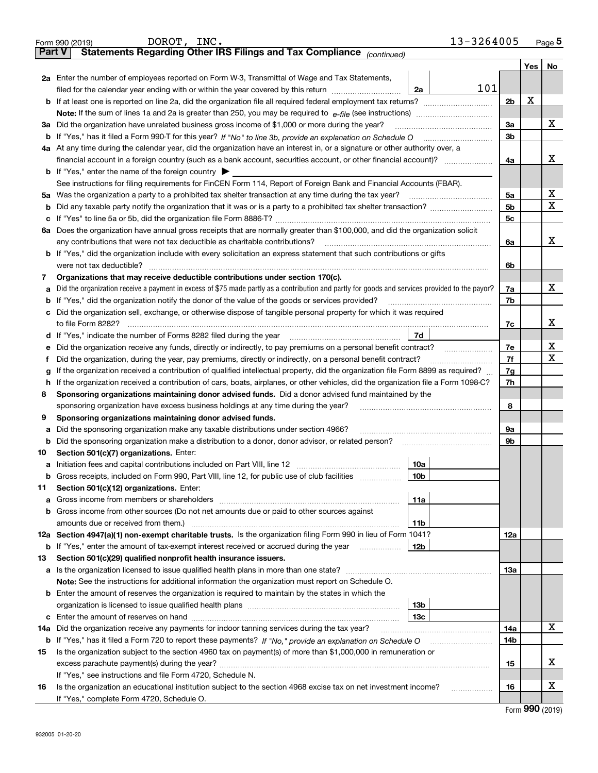|               | 13-3264005<br>DOROT, INC.<br>Form 990 (2019)                                                                                                                                                |                |     | $Page$ <sup>5</sup> |
|---------------|---------------------------------------------------------------------------------------------------------------------------------------------------------------------------------------------|----------------|-----|---------------------|
| <b>Part V</b> | Statements Regarding Other IRS Filings and Tax Compliance (continued)                                                                                                                       |                |     |                     |
|               |                                                                                                                                                                                             |                | Yes | No                  |
|               | 2a Enter the number of employees reported on Form W-3, Transmittal of Wage and Tax Statements,                                                                                              |                |     |                     |
|               | 101<br>filed for the calendar year ending with or within the year covered by this return <i>manumumumum</i><br>2a                                                                           |                |     |                     |
|               |                                                                                                                                                                                             | 2 <sub>b</sub> | Х   |                     |
|               |                                                                                                                                                                                             |                |     |                     |
| За            | Did the organization have unrelated business gross income of \$1,000 or more during the year?                                                                                               | 3a             |     | х                   |
|               |                                                                                                                                                                                             | 3b             |     |                     |
|               | 4a At any time during the calendar year, did the organization have an interest in, or a signature or other authority over, a                                                                |                |     |                     |
|               |                                                                                                                                                                                             | 4a             |     | x                   |
|               | <b>b</b> If "Yes," enter the name of the foreign country $\blacktriangleright$                                                                                                              |                |     |                     |
|               | See instructions for filing requirements for FinCEN Form 114, Report of Foreign Bank and Financial Accounts (FBAR).                                                                         |                |     |                     |
| 5a            | Was the organization a party to a prohibited tax shelter transaction at any time during the tax year?                                                                                       | 5a             |     | х                   |
| b             |                                                                                                                                                                                             | 5b             |     | х                   |
| с             |                                                                                                                                                                                             | 5c             |     |                     |
|               | 6a Does the organization have annual gross receipts that are normally greater than \$100,000, and did the organization solicit                                                              |                |     |                     |
|               | any contributions that were not tax deductible as charitable contributions?                                                                                                                 | 6a             |     | x                   |
|               | <b>b</b> If "Yes," did the organization include with every solicitation an express statement that such contributions or gifts                                                               |                |     |                     |
|               | were not tax deductible?                                                                                                                                                                    | 6b             |     |                     |
| 7             | Organizations that may receive deductible contributions under section 170(c).                                                                                                               |                |     |                     |
| а             | Did the organization receive a payment in excess of \$75 made partly as a contribution and partly for goods and services provided to the payor?                                             | 7a             |     | х                   |
| b             | If "Yes," did the organization notify the donor of the value of the goods or services provided?                                                                                             | 7b             |     |                     |
| с             | Did the organization sell, exchange, or otherwise dispose of tangible personal property for which it was required                                                                           |                |     |                     |
|               |                                                                                                                                                                                             | 7c             |     | х                   |
|               | 7d                                                                                                                                                                                          |                |     |                     |
| е             |                                                                                                                                                                                             | 7e             |     | X                   |
| f             | Did the organization, during the year, pay premiums, directly or indirectly, on a personal benefit contract?                                                                                | 7f             |     | X                   |
| g             | If the organization received a contribution of qualified intellectual property, did the organization file Form 8899 as required?                                                            | 7g             |     |                     |
| h             | If the organization received a contribution of cars, boats, airplanes, or other vehicles, did the organization file a Form 1098-C?                                                          | 7h             |     |                     |
| 8             | Sponsoring organizations maintaining donor advised funds. Did a donor advised fund maintained by the                                                                                        |                |     |                     |
|               | sponsoring organization have excess business holdings at any time during the year?                                                                                                          | 8              |     |                     |
| 9             | Sponsoring organizations maintaining donor advised funds.                                                                                                                                   |                |     |                     |
| а             | Did the sponsoring organization make any taxable distributions under section 4966?                                                                                                          | 9а             |     |                     |
| b             | Did the sponsoring organization make a distribution to a donor, donor advisor, or related person?                                                                                           | 9b             |     |                     |
| 10            | Section 501(c)(7) organizations. Enter:                                                                                                                                                     |                |     |                     |
|               | 10a                                                                                                                                                                                         |                |     |                     |
|               | 10b <br>Gross receipts, included on Form 990, Part VIII, line 12, for public use of club facilities                                                                                         |                |     |                     |
| 11            | Section 501(c)(12) organizations. Enter:                                                                                                                                                    |                |     |                     |
| a             | 11a                                                                                                                                                                                         |                |     |                     |
|               | b Gross income from other sources (Do not net amounts due or paid to other sources against                                                                                                  |                |     |                     |
|               | 11b                                                                                                                                                                                         |                |     |                     |
|               | 12a Section 4947(a)(1) non-exempt charitable trusts. Is the organization filing Form 990 in lieu of Form 1041?                                                                              | 12a            |     |                     |
|               | 12b<br><b>b</b> If "Yes," enter the amount of tax-exempt interest received or accrued during the year <i>manument</i> of                                                                    |                |     |                     |
| 13            | Section 501(c)(29) qualified nonprofit health insurance issuers.                                                                                                                            |                |     |                     |
|               | a Is the organization licensed to issue qualified health plans in more than one state?<br>Note: See the instructions for additional information the organization must report on Schedule O. | 13а            |     |                     |
|               | <b>b</b> Enter the amount of reserves the organization is required to maintain by the states in which the                                                                                   |                |     |                     |
|               | 13b                                                                                                                                                                                         |                |     |                     |
|               | 13с                                                                                                                                                                                         |                |     |                     |
| 14a           | Did the organization receive any payments for indoor tanning services during the tax year?                                                                                                  | 14a            |     | x                   |
|               | <b>b</b> If "Yes," has it filed a Form 720 to report these payments? If "No," provide an explanation on Schedule O                                                                          | 14b            |     |                     |
| 15            | Is the organization subject to the section 4960 tax on payment(s) of more than \$1,000,000 in remuneration or                                                                               |                |     |                     |
|               |                                                                                                                                                                                             | 15             |     | X.                  |
|               | If "Yes," see instructions and file Form 4720, Schedule N.                                                                                                                                  |                |     |                     |
| 16            | Is the organization an educational institution subject to the section 4968 excise tax on net investment income?                                                                             | 16             |     | X                   |
|               | If "Yes," complete Form 4720, Schedule O.                                                                                                                                                   |                |     |                     |
|               |                                                                                                                                                                                             |                |     |                     |

Form (2019) **990**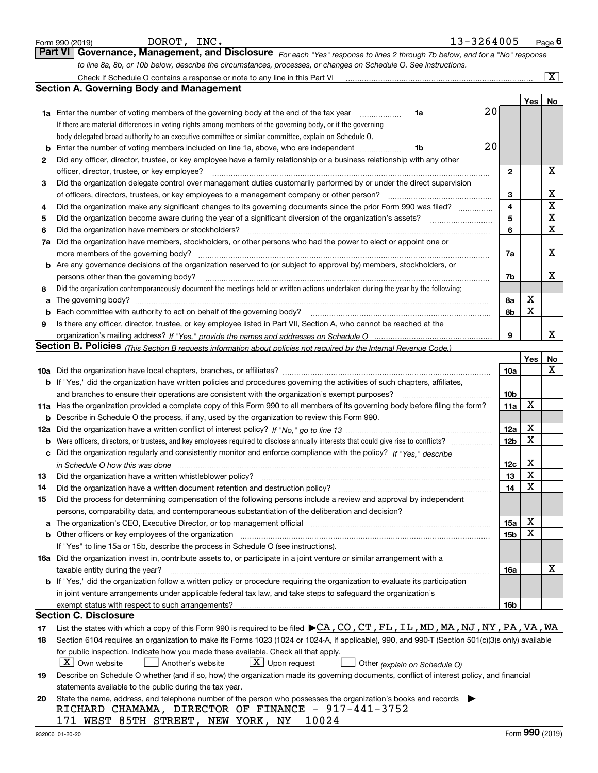|        | DOROT, INC.<br>Form 990 (2019)                                                                                                                                                                                  |    | 13-3264005 |                        |             | Page $6$              |
|--------|-----------------------------------------------------------------------------------------------------------------------------------------------------------------------------------------------------------------|----|------------|------------------------|-------------|-----------------------|
|        | <b>Part VI</b><br>Governance, Management, and Disclosure For each "Yes" response to lines 2 through 7b below, and for a "No" response                                                                           |    |            |                        |             |                       |
|        | to line 8a, 8b, or 10b below, describe the circumstances, processes, or changes on Schedule O. See instructions.                                                                                                |    |            |                        |             |                       |
|        |                                                                                                                                                                                                                 |    |            |                        |             | $\overline{\text{X}}$ |
|        | <b>Section A. Governing Body and Management</b>                                                                                                                                                                 |    |            |                        |             |                       |
|        |                                                                                                                                                                                                                 |    |            |                        | Yes         | No                    |
|        | <b>1a</b> Enter the number of voting members of the governing body at the end of the tax year<br>.                                                                                                              | 1a | 20         |                        |             |                       |
|        | If there are material differences in voting rights among members of the governing body, or if the governing                                                                                                     |    |            |                        |             |                       |
|        | body delegated broad authority to an executive committee or similar committee, explain on Schedule O.                                                                                                           |    |            |                        |             |                       |
| b      | Enter the number of voting members included on line 1a, above, who are independent                                                                                                                              | 1b | 20         |                        |             |                       |
| 2      | Did any officer, director, trustee, or key employee have a family relationship or a business relationship with any other                                                                                        |    |            |                        |             |                       |
|        | officer, director, trustee, or key employee?                                                                                                                                                                    |    |            | 2                      |             | Х                     |
| З      | Did the organization delegate control over management duties customarily performed by or under the direct supervision                                                                                           |    |            |                        |             | х                     |
|        | of officers, directors, trustees, or key employees to a management company or other person?<br>Did the organization make any significant changes to its governing documents since the prior Form 990 was filed? |    |            | 3<br>4                 |             | $\rm X$               |
| 4<br>5 | Did the organization become aware during the year of a significant diversion of the organization's assets?                                                                                                      |    |            | 5                      |             | X                     |
| 6      | Did the organization have members or stockholders?                                                                                                                                                              |    |            | 6                      |             | $\mathbf X$           |
| 7a     | Did the organization have members, stockholders, or other persons who had the power to elect or appoint one or                                                                                                  |    |            |                        |             |                       |
|        | more members of the governing body?                                                                                                                                                                             |    |            | 7a                     |             | х                     |
|        | <b>b</b> Are any governance decisions of the organization reserved to (or subject to approval by) members, stockholders, or                                                                                     |    |            |                        |             |                       |
|        | persons other than the governing body?                                                                                                                                                                          |    |            | 7b                     |             | х                     |
| 8      | Did the organization contemporaneously document the meetings held or written actions undertaken during the year by the following:                                                                               |    |            |                        |             |                       |
| a      |                                                                                                                                                                                                                 |    |            | 8а                     | X           |                       |
| b      | Each committee with authority to act on behalf of the governing body?                                                                                                                                           |    |            | 8b                     | X           |                       |
| 9      | Is there any officer, director, trustee, or key employee listed in Part VII, Section A, who cannot be reached at the                                                                                            |    |            |                        |             |                       |
|        |                                                                                                                                                                                                                 |    |            | 9                      |             | x                     |
|        | Section B. Policies <sub>(This Section B requests information about policies not required by the Internal Revenue Code.)</sub>                                                                                  |    |            |                        |             |                       |
|        |                                                                                                                                                                                                                 |    |            |                        | <b>Yes</b>  | No                    |
|        |                                                                                                                                                                                                                 |    |            | 10a                    |             | х                     |
|        | <b>b</b> If "Yes," did the organization have written policies and procedures governing the activities of such chapters, affiliates,                                                                             |    |            |                        |             |                       |
|        | and branches to ensure their operations are consistent with the organization's exempt purposes?                                                                                                                 |    |            | 10b                    |             |                       |
|        | 11a Has the organization provided a complete copy of this Form 990 to all members of its governing body before filing the form?                                                                                 |    |            | 11a                    | X           |                       |
|        | <b>b</b> Describe in Schedule O the process, if any, used by the organization to review this Form 990.                                                                                                          |    |            |                        | X           |                       |
|        |                                                                                                                                                                                                                 |    |            | 12a<br>12 <sub>b</sub> | X           |                       |
|        | c Did the organization regularly and consistently monitor and enforce compliance with the policy? If "Yes," describe                                                                                            |    |            |                        |             |                       |
|        |                                                                                                                                                                                                                 |    |            | 12c                    | X           |                       |
| 13     | Did the organization have a written whistleblower policy?                                                                                                                                                       |    |            | 13                     | Y           |                       |
| 14     | Did the organization have a written document retention and destruction policy?                                                                                                                                  |    |            | 14                     | $\mathbf X$ |                       |
| 15     | Did the process for determining compensation of the following persons include a review and approval by independent                                                                                              |    |            |                        |             |                       |
|        | persons, comparability data, and contemporaneous substantiation of the deliberation and decision?                                                                                                               |    |            |                        |             |                       |
| а      | The organization's CEO, Executive Director, or top management official manufactured content of the organization's CEO, Executive Director, or top management official                                           |    |            | 15a                    | X           |                       |
|        | <b>b</b> Other officers or key employees of the organization                                                                                                                                                    |    |            | 15b                    | X           |                       |
|        | If "Yes" to line 15a or 15b, describe the process in Schedule O (see instructions).                                                                                                                             |    |            |                        |             |                       |
|        | 16a Did the organization invest in, contribute assets to, or participate in a joint venture or similar arrangement with a                                                                                       |    |            |                        |             |                       |
|        | taxable entity during the year?                                                                                                                                                                                 |    |            | 16a                    |             | х                     |
|        | <b>b</b> If "Yes," did the organization follow a written policy or procedure requiring the organization to evaluate its participation                                                                           |    |            |                        |             |                       |
|        | in joint venture arrangements under applicable federal tax law, and take steps to safeguard the organization's                                                                                                  |    |            |                        |             |                       |
|        |                                                                                                                                                                                                                 |    |            | 16b                    |             |                       |
|        | <b>Section C. Disclosure</b>                                                                                                                                                                                    |    |            |                        |             |                       |
| 17     | List the states with which a copy of this Form 990 is required to be filed $\blacktriangleright$ CA, CO, CT, FL, IL, MD, MA, NJ, NY, PA, VA, WA                                                                 |    |            |                        |             |                       |
| 18     | Section 6104 requires an organization to make its Forms 1023 (1024 or 1024-A, if applicable), 990, and 990-T (Section 501(c)(3)s only) available                                                                |    |            |                        |             |                       |
|        | for public inspection. Indicate how you made these available. Check all that apply.                                                                                                                             |    |            |                        |             |                       |
|        | X   Own website<br>$X$ Upon request<br>Another's website<br>Other (explain on Schedule O)                                                                                                                       |    |            |                        |             |                       |
| 19     | Describe on Schedule O whether (and if so, how) the organization made its governing documents, conflict of interest policy, and financial                                                                       |    |            |                        |             |                       |
| 20     | statements available to the public during the tax year.<br>State the name, address, and telephone number of the person who possesses the organization's books and records                                       |    |            |                        |             |                       |
|        | RICHARD CHAMAMA, DIRECTOR OF FINANCE - 917-441-3752                                                                                                                                                             |    |            |                        |             |                       |
|        | 10024<br>171 WEST 85TH STREET, NEW YORK, NY                                                                                                                                                                     |    |            |                        |             |                       |
|        |                                                                                                                                                                                                                 |    |            |                        |             |                       |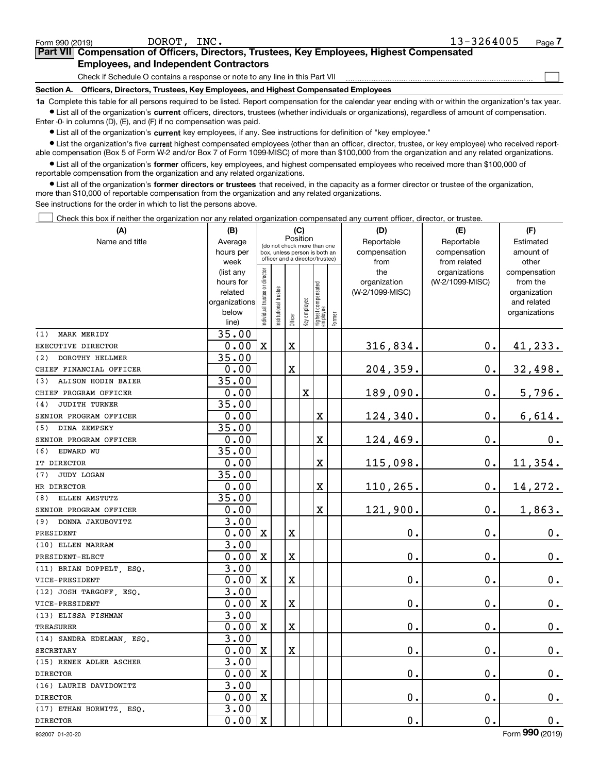$\mathcal{L}^{\text{max}}$ 

| orm 990 (2019) <sup>.</sup> |                                                                                            | DOROT, | INC. |  | 13-3264005 | Page $\prime$ |
|-----------------------------|--------------------------------------------------------------------------------------------|--------|------|--|------------|---------------|
|                             | Part VII Compensation of Officers, Directors, Trustees, Key Employees, Highest Compensated |        |      |  |            |               |
|                             | <b>Employees, and Independent Contractors</b>                                              |        |      |  |            |               |

Check if Schedule O contains a response or note to any line in this Part VII

**Section A. Officers, Directors, Trustees, Key Employees, and Highest Compensated Employees**

**1a**  Complete this table for all persons required to be listed. Report compensation for the calendar year ending with or within the organization's tax year. **•** List all of the organization's current officers, directors, trustees (whether individuals or organizations), regardless of amount of compensation.

Enter -0- in columns (D), (E), and (F) if no compensation was paid.

 $\bullet$  List all of the organization's  $\,$ current key employees, if any. See instructions for definition of "key employee."

**•** List the organization's five current highest compensated employees (other than an officer, director, trustee, or key employee) who received reportable compensation (Box 5 of Form W-2 and/or Box 7 of Form 1099-MISC) of more than \$100,000 from the organization and any related organizations.

**•** List all of the organization's former officers, key employees, and highest compensated employees who received more than \$100,000 of reportable compensation from the organization and any related organizations.

**former directors or trustees**  ¥ List all of the organization's that received, in the capacity as a former director or trustee of the organization, more than \$10,000 of reportable compensation from the organization and any related organizations.

See instructions for the order in which to list the persons above.

Check this box if neither the organization nor any related organization compensated any current officer, director, or trustee.  $\mathcal{L}^{\text{max}}$ 

| (A)                         | (B)                    |                               |                                                                  | (C)         |              |                                  |        | (D)                 | (E)                              | (F)                      |
|-----------------------------|------------------------|-------------------------------|------------------------------------------------------------------|-------------|--------------|----------------------------------|--------|---------------------|----------------------------------|--------------------------|
| Name and title              | Average                |                               | (do not check more than one                                      | Position    |              |                                  |        | Reportable          | Reportable                       | Estimated                |
|                             | hours per              |                               | box, unless person is both an<br>officer and a director/trustee) |             |              |                                  |        | compensation        | compensation                     | amount of                |
|                             | week                   |                               |                                                                  |             |              |                                  |        | from                | from related                     | other                    |
|                             | (list any<br>hours for |                               |                                                                  |             |              |                                  |        | the<br>organization | organizations<br>(W-2/1099-MISC) | compensation<br>from the |
|                             | related                |                               |                                                                  |             |              |                                  |        | (W-2/1099-MISC)     |                                  | organization             |
|                             | organizations          |                               |                                                                  |             |              |                                  |        |                     |                                  | and related              |
|                             | below                  | ndividual trustee or director | nstitutional trustee                                             |             |              |                                  |        |                     |                                  | organizations            |
|                             | line)                  |                               |                                                                  | Officer     | key employee | Highest compensated<br> employee | Former |                     |                                  |                          |
| <b>MARK MERIDY</b><br>(1)   | 35.00                  |                               |                                                                  |             |              |                                  |        |                     |                                  |                          |
| EXECUTIVE DIRECTOR          | 0.00                   | $\mathbf X$                   |                                                                  | $\mathbf X$ |              |                                  |        | 316,834.            | 0.                               | 41,233.                  |
| DOROTHY HELLMER<br>(2)      | 35.00                  |                               |                                                                  |             |              |                                  |        |                     |                                  |                          |
| CHIEF FINANCIAL OFFICER     | 0.00                   |                               |                                                                  | $\mathbf X$ |              |                                  |        | 204,359.            | $\mathbf 0$ .                    | 32,498.                  |
| (3)<br>ALISON HODIN BAIER   | 35.00                  |                               |                                                                  |             |              |                                  |        |                     |                                  |                          |
| CHIEF PROGRAM OFFICER       | 0.00                   |                               |                                                                  |             | X            |                                  |        | 189,090.            | $\mathbf 0$ .                    | 5,796.                   |
| <b>JUDITH TURNER</b><br>(4) | 35.00                  |                               |                                                                  |             |              |                                  |        |                     |                                  |                          |
| SENIOR PROGRAM OFFICER      | 0.00                   |                               |                                                                  |             |              | $\overline{\mathbf{X}}$          |        | 124,340.            | $\mathbf 0$ .                    | 6,614.                   |
| DINA ZEMPSKY<br>(5)         | 35.00                  |                               |                                                                  |             |              |                                  |        |                     |                                  |                          |
| SENIOR PROGRAM OFFICER      | 0.00                   |                               |                                                                  |             |              | X                                |        | 124,469.            | $\mathbf 0$ .                    | 0.                       |
| EDWARD WU<br>(6)            | 35.00                  |                               |                                                                  |             |              |                                  |        |                     |                                  |                          |
| IT DIRECTOR                 | 0.00                   |                               |                                                                  |             |              | $\overline{\mathbf{X}}$          |        | 115,098.            | $\mathbf 0$ .                    | 11,354.                  |
| <b>JUDY LOGAN</b><br>(7)    | 35.00                  |                               |                                                                  |             |              |                                  |        |                     |                                  |                          |
| HR DIRECTOR                 | 0.00                   |                               |                                                                  |             |              | X                                |        | 110,265.            | $\mathbf 0$ .                    | 14,272.                  |
| ELLEN AMSTUTZ<br>(8)        | 35.00                  |                               |                                                                  |             |              |                                  |        |                     |                                  |                          |
| SENIOR PROGRAM OFFICER      | 0.00                   |                               |                                                                  |             |              | X                                |        | 121,900.            | $\mathbf 0$ .                    | 1,863.                   |
| DONNA JAKUBOVITZ<br>(9)     | 3.00                   |                               |                                                                  |             |              |                                  |        |                     |                                  |                          |
| PRESIDENT                   | 0.00                   | $\mathbf X$                   |                                                                  | $\mathbf X$ |              |                                  |        | 0.                  | $\mathbf 0$ .                    | $0_{.}$                  |
| (10) ELLEN MARRAM           | 3.00                   |                               |                                                                  |             |              |                                  |        |                     |                                  |                          |
| PRESIDENT-ELECT             | 0.00                   | X                             |                                                                  | $\mathbf X$ |              |                                  |        | 0.                  | $\mathbf 0$ .                    | $0_{.}$                  |
| (11) BRIAN DOPPELT, ESQ.    | 3.00                   |                               |                                                                  |             |              |                                  |        |                     |                                  |                          |
| VICE-PRESIDENT              | 0.00                   | $\mathbf X$                   |                                                                  | $\mathbf X$ |              |                                  |        | 0.                  | $\mathbf 0$ .                    | $0_{.}$                  |
| (12) JOSH TARGOFF, ESQ.     | 3.00                   |                               |                                                                  |             |              |                                  |        |                     |                                  |                          |
| VICE-PRESIDENT              | 0.00                   | X                             |                                                                  | $\mathbf X$ |              |                                  |        | 0.                  | $\mathbf 0$ .                    | $\mathbf 0$ .            |
| (13) ELISSA FISHMAN         | 3.00                   |                               |                                                                  |             |              |                                  |        |                     |                                  |                          |
| <b>TREASURER</b>            | 0.00                   | $\mathbf X$                   |                                                                  | $\mathbf X$ |              |                                  |        | 0.                  | $\mathbf 0$ .                    | $\mathbf 0$ .            |
| (14) SANDRA EDELMAN, ESQ.   | 3.00                   |                               |                                                                  |             |              |                                  |        |                     |                                  |                          |
| <b>SECRETARY</b>            | 0.00                   | X                             |                                                                  | $\mathbf X$ |              |                                  |        | 0.                  | $\mathbf 0$ .                    | $0_{.}$                  |
| (15) RENEE ADLER ASCHER     | 3.00                   |                               |                                                                  |             |              |                                  |        |                     |                                  |                          |
| <b>DIRECTOR</b>             | 0.00                   | $\mathbf X$                   |                                                                  |             |              |                                  |        | 0.                  | $\mathbf 0$ .                    | $0_{.}$                  |
| (16) LAURIE DAVIDOWITZ      | 3.00                   |                               |                                                                  |             |              |                                  |        |                     |                                  |                          |
| <b>DIRECTOR</b>             | 0.00                   | $\mathbf x$                   |                                                                  |             |              |                                  |        | 0.                  | $\mathbf 0$ .                    | $0_{.}$                  |
| (17) ETHAN HORWITZ, ESQ.    | 3.00                   |                               |                                                                  |             |              |                                  |        |                     |                                  |                          |
| <b>DIRECTOR</b>             | 0.00                   | $\mathbf X$                   |                                                                  |             |              |                                  |        | 0.                  | $\mathbf 0$ .                    | 0.                       |

932007 01-20-20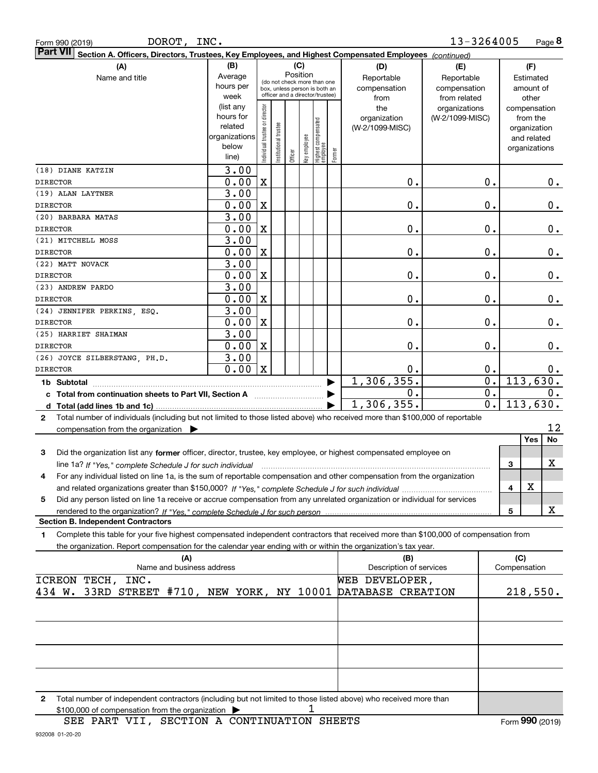| DOROT, INC.<br>Form 990 (2019)                                                                                                                                           |                        |                                |                       |                                         |              |                                  |        |                         | 13-3264005       |                             | Page 8   |
|--------------------------------------------------------------------------------------------------------------------------------------------------------------------------|------------------------|--------------------------------|-----------------------|-----------------------------------------|--------------|----------------------------------|--------|-------------------------|------------------|-----------------------------|----------|
| <b>Part VII</b><br>Section A. Officers, Directors, Trustees, Key Employees, and Highest Compensated Employees (continued)                                                |                        |                                |                       |                                         |              |                                  |        |                         |                  |                             |          |
| (A)                                                                                                                                                                      | (B)                    |                                |                       | (C)                                     |              |                                  |        | (D)                     | (E)              | (F)                         |          |
| Name and title                                                                                                                                                           | Average                |                                |                       | Position<br>(do not check more than one |              |                                  |        | Reportable              | Reportable       | Estimated                   |          |
|                                                                                                                                                                          | hours per              |                                |                       | box, unless person is both an           |              |                                  |        | compensation            | compensation     | amount of                   |          |
|                                                                                                                                                                          | week                   |                                |                       | officer and a director/trustee)         |              |                                  |        | from                    | from related     | other                       |          |
|                                                                                                                                                                          | (list any<br>hours for |                                |                       |                                         |              |                                  |        | the                     | organizations    | compensation                |          |
|                                                                                                                                                                          | related                |                                |                       |                                         |              |                                  |        | organization            | (W-2/1099-MISC)  | from the                    |          |
|                                                                                                                                                                          | organizations          |                                |                       |                                         |              |                                  |        | (W-2/1099-MISC)         |                  | organization<br>and related |          |
|                                                                                                                                                                          | below                  |                                |                       |                                         |              |                                  |        |                         |                  | organizations               |          |
|                                                                                                                                                                          | line)                  | Individual trustee or director | Institutional trustee | Officer                                 | Key employee | Highest compensated<br> employee | Former |                         |                  |                             |          |
| (18) DIANE KATZIN                                                                                                                                                        | 3.00                   |                                |                       |                                         |              |                                  |        |                         |                  |                             |          |
| <b>DIRECTOR</b>                                                                                                                                                          | 0.00                   | $\mathbf X$                    |                       |                                         |              |                                  |        | 0.                      | 0.               |                             | 0.       |
| (19) ALAN LAYTNER                                                                                                                                                        | 3.00                   |                                |                       |                                         |              |                                  |        |                         |                  |                             |          |
| <b>DIRECTOR</b>                                                                                                                                                          | 0.00                   | X                              |                       |                                         |              |                                  |        | 0.                      | 0.               |                             | 0.       |
| (20) BARBARA MATAS                                                                                                                                                       | 3.00                   |                                |                       |                                         |              |                                  |        |                         |                  |                             |          |
| <b>DIRECTOR</b>                                                                                                                                                          | 0.00                   | X                              |                       |                                         |              |                                  |        | 0.                      | 0.               |                             | 0.       |
| (21) MITCHELL MOSS                                                                                                                                                       | 3.00                   |                                |                       |                                         |              |                                  |        |                         |                  |                             |          |
| <b>DIRECTOR</b>                                                                                                                                                          | 0.00                   | $\mathbf X$                    |                       |                                         |              |                                  |        | 0.                      | 0.               |                             | $0$ .    |
| (22) MATT NOVACK                                                                                                                                                         | 3.00                   |                                |                       |                                         |              |                                  |        |                         |                  |                             |          |
| <b>DIRECTOR</b>                                                                                                                                                          | 0.00                   | X                              |                       |                                         |              |                                  |        | 0.                      | 0.               |                             | $0$ .    |
| (23) ANDREW PARDO<br><b>DIRECTOR</b>                                                                                                                                     | 3.00<br>0.00           | X                              |                       |                                         |              |                                  |        | 0.                      | 0.               |                             | 0.       |
| (24) JENNIFER PERKINS, ESQ.                                                                                                                                              | 3.00                   |                                |                       |                                         |              |                                  |        |                         |                  |                             |          |
| <b>DIRECTOR</b>                                                                                                                                                          | 0.00                   | X                              |                       |                                         |              |                                  |        | 0.                      | 0.               |                             | 0.       |
| (25) HARRIET SHAIMAN                                                                                                                                                     | 3.00                   |                                |                       |                                         |              |                                  |        |                         |                  |                             |          |
| <b>DIRECTOR</b>                                                                                                                                                          | 0.00                   | X                              |                       |                                         |              |                                  |        | 0.                      | 0.               |                             | 0.       |
| (26) JOYCE SILBERSTANG, PH.D.                                                                                                                                            | 3.00                   |                                |                       |                                         |              |                                  |        |                         |                  |                             |          |
| <b>DIRECTOR</b>                                                                                                                                                          | 0.00                   | $\mathbf x$                    |                       |                                         |              |                                  |        | 0.                      | 0.               |                             | $0$ .    |
| 1b Subtotal                                                                                                                                                              |                        |                                |                       |                                         |              |                                  |        | 1, 306, 355.            | $\overline{0}$ . |                             | 113,630. |
| c Total from continuation sheets to Part VII, Section A manufactor continues                                                                                             |                        |                                |                       |                                         |              |                                  |        | 0.                      | $\overline{0}$ . |                             | 0.       |
| d Total (add lines 1b and 1c)                                                                                                                                            |                        |                                |                       |                                         |              |                                  |        | 1,306,355.              | $\overline{0}$ . |                             | 113,630. |
| Total number of individuals (including but not limited to those listed above) who received more than \$100,000 of reportable<br>$\mathbf{2}$                             |                        |                                |                       |                                         |              |                                  |        |                         |                  |                             |          |
| compensation from the organization                                                                                                                                       |                        |                                |                       |                                         |              |                                  |        |                         |                  |                             | 12<br>No |
|                                                                                                                                                                          |                        |                                |                       |                                         |              |                                  |        |                         |                  | <b>Yes</b>                  |          |
| 3<br>Did the organization list any former officer, director, trustee, key employee, or highest compensated employee on                                                   |                        |                                |                       |                                         |              |                                  |        |                         |                  |                             |          |
| line 1a? If "Yes," complete Schedule J for such individual material content content to the Schedule J for such                                                           |                        |                                |                       |                                         |              |                                  |        |                         |                  | 3                           | х        |
| For any individual listed on line 1a, is the sum of reportable compensation and other compensation from the organization<br>4                                            |                        |                                |                       |                                         |              |                                  |        |                         |                  | x<br>4                      |          |
| Did any person listed on line 1a receive or accrue compensation from any unrelated organization or individual for services<br>5                                          |                        |                                |                       |                                         |              |                                  |        |                         |                  |                             |          |
|                                                                                                                                                                          |                        |                                |                       |                                         |              |                                  |        |                         |                  | 5                           | x        |
| <b>Section B. Independent Contractors</b>                                                                                                                                |                        |                                |                       |                                         |              |                                  |        |                         |                  |                             |          |
| Complete this table for your five highest compensated independent contractors that received more than \$100,000 of compensation from<br>1                                |                        |                                |                       |                                         |              |                                  |        |                         |                  |                             |          |
| the organization. Report compensation for the calendar year ending with or within the organization's tax year.                                                           |                        |                                |                       |                                         |              |                                  |        |                         |                  |                             |          |
| (A)                                                                                                                                                                      |                        |                                |                       |                                         |              |                                  |        | (B)                     |                  | (C)                         |          |
| Name and business address                                                                                                                                                |                        |                                |                       |                                         |              |                                  |        | Description of services |                  | Compensation                |          |
| ICREON TECH, INC.                                                                                                                                                        |                        |                                |                       |                                         |              |                                  |        | WEB DEVELOPER,          |                  |                             |          |
| 434 W. 33RD STREET #710, NEW YORK, NY 10001                                                                                                                              |                        |                                |                       |                                         |              |                                  |        | DATABASE CREATION       |                  |                             | 218,550. |
|                                                                                                                                                                          |                        |                                |                       |                                         |              |                                  |        |                         |                  |                             |          |
|                                                                                                                                                                          |                        |                                |                       |                                         |              |                                  |        |                         |                  |                             |          |
|                                                                                                                                                                          |                        |                                |                       |                                         |              |                                  |        |                         |                  |                             |          |
|                                                                                                                                                                          |                        |                                |                       |                                         |              |                                  |        |                         |                  |                             |          |
|                                                                                                                                                                          |                        |                                |                       |                                         |              |                                  |        |                         |                  |                             |          |
|                                                                                                                                                                          |                        |                                |                       |                                         |              |                                  |        |                         |                  |                             |          |
|                                                                                                                                                                          |                        |                                |                       |                                         |              |                                  |        |                         |                  |                             |          |
| Total number of independent contractors (including but not limited to those listed above) who received more than<br>2<br>\$100,000 of compensation from the organization |                        |                                |                       |                                         | 1            |                                  |        |                         |                  |                             |          |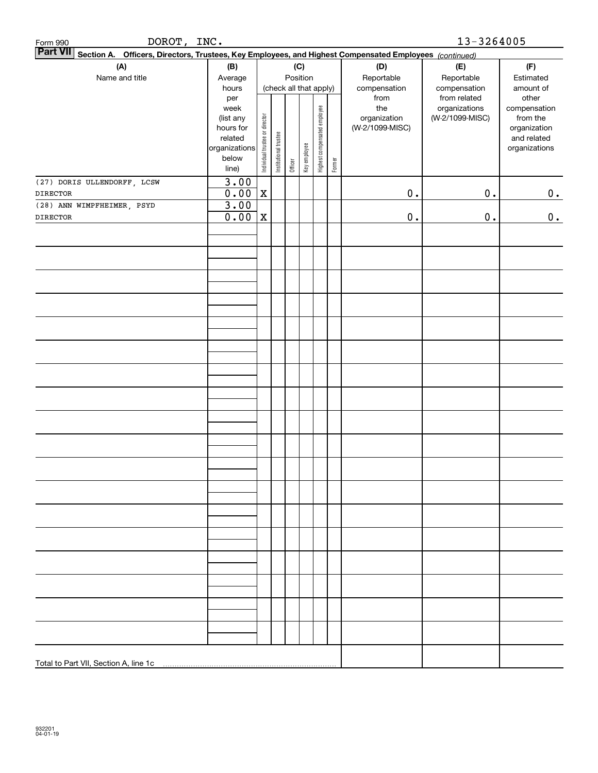| <u>DOROT,</u><br>Form 990                                                                                                 | INC.                                                        |                                |                        |         |              |                              |        |                                 | 13-3264005                                                       |                                                |
|---------------------------------------------------------------------------------------------------------------------------|-------------------------------------------------------------|--------------------------------|------------------------|---------|--------------|------------------------------|--------|---------------------------------|------------------------------------------------------------------|------------------------------------------------|
| <b>Part VII</b><br>Section A. Officers, Directors, Trustees, Key Employees, and Highest Compensated Employees (continued) |                                                             |                                |                        |         |              |                              |        |                                 |                                                                  |                                                |
| (A)                                                                                                                       | (B)                                                         |                                |                        |         | (C)          |                              |        | (D)                             | (E)                                                              | (F)                                            |
| Name and title                                                                                                            | Average                                                     |                                |                        |         | Position     |                              |        | Reportable                      | Reportable                                                       | Estimated                                      |
|                                                                                                                           | hours<br>per<br>week                                        |                                | (check all that apply) |         |              |                              |        | compensation<br>from<br>the     | compensation<br>from related<br>organizations<br>(W-2/1099-MISC) | amount of<br>other<br>compensation<br>from the |
|                                                                                                                           | (list any<br>hours for<br>related<br>organizations<br>below | Individual trustee or director | Institutional trustee  | Officer | Key employee | Highest compensated employee | Former | organization<br>(W-2/1099-MISC) |                                                                  | organization<br>and related<br>organizations   |
|                                                                                                                           | line)<br>3.00                                               |                                |                        |         |              |                              |        |                                 |                                                                  |                                                |
| (27) DORIS ULLENDORFF, LCSW<br><b>DIRECTOR</b>                                                                            | 0.00                                                        | $\mathbf X$                    |                        |         |              |                              |        | $\mathbf 0$ .                   | $0$ .                                                            | 0.                                             |
| (28) ANN WIMPFHEIMER, PSYD                                                                                                | 3.00                                                        |                                |                        |         |              |                              |        |                                 |                                                                  |                                                |
| <b>DIRECTOR</b>                                                                                                           | 0.00                                                        | $\mathbf X$                    |                        |         |              |                              |        | $\mathbf 0$ .                   | $0$ .                                                            | 0.                                             |
|                                                                                                                           |                                                             |                                |                        |         |              |                              |        |                                 |                                                                  |                                                |
|                                                                                                                           |                                                             |                                |                        |         |              |                              |        |                                 |                                                                  |                                                |
|                                                                                                                           |                                                             |                                |                        |         |              |                              |        |                                 |                                                                  |                                                |
|                                                                                                                           |                                                             |                                |                        |         |              |                              |        |                                 |                                                                  |                                                |
|                                                                                                                           |                                                             |                                |                        |         |              |                              |        |                                 |                                                                  |                                                |
|                                                                                                                           |                                                             |                                |                        |         |              |                              |        |                                 |                                                                  |                                                |
|                                                                                                                           |                                                             |                                |                        |         |              |                              |        |                                 |                                                                  |                                                |
|                                                                                                                           |                                                             |                                |                        |         |              |                              |        |                                 |                                                                  |                                                |
|                                                                                                                           |                                                             |                                |                        |         |              |                              |        |                                 |                                                                  |                                                |
|                                                                                                                           |                                                             |                                |                        |         |              |                              |        |                                 |                                                                  |                                                |
|                                                                                                                           |                                                             |                                |                        |         |              |                              |        |                                 |                                                                  |                                                |
|                                                                                                                           |                                                             |                                |                        |         |              |                              |        |                                 |                                                                  |                                                |
|                                                                                                                           |                                                             |                                |                        |         |              |                              |        |                                 |                                                                  |                                                |
|                                                                                                                           |                                                             |                                |                        |         |              |                              |        |                                 |                                                                  |                                                |
|                                                                                                                           |                                                             |                                |                        |         |              |                              |        |                                 |                                                                  |                                                |
|                                                                                                                           |                                                             |                                |                        |         |              |                              |        |                                 |                                                                  |                                                |
|                                                                                                                           |                                                             |                                |                        |         |              |                              |        |                                 |                                                                  |                                                |
|                                                                                                                           |                                                             |                                |                        |         |              |                              |        |                                 |                                                                  |                                                |
|                                                                                                                           |                                                             |                                |                        |         |              |                              |        |                                 |                                                                  |                                                |
|                                                                                                                           |                                                             |                                |                        |         |              |                              |        |                                 |                                                                  |                                                |
| Total to Part VII, Section A, line 1c                                                                                     |                                                             |                                |                        |         |              |                              |        |                                 |                                                                  |                                                |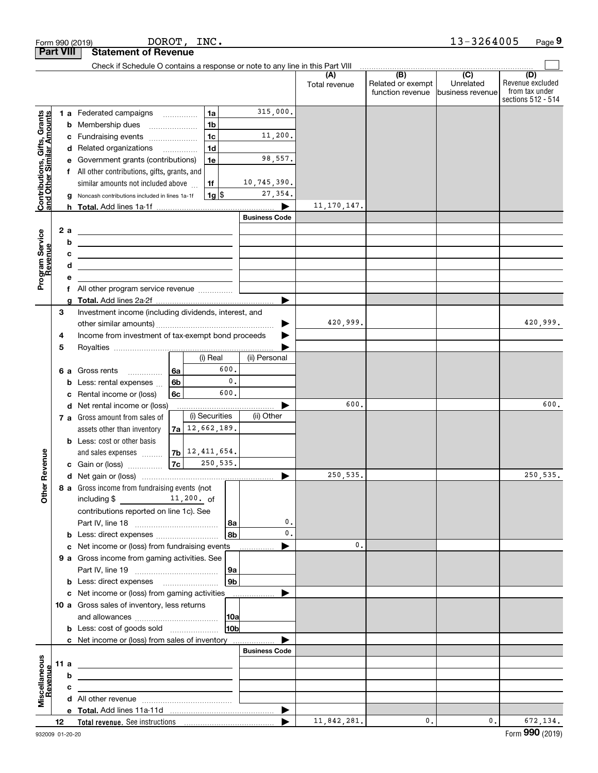|                                                           |                  | Form 990 (2019)                                                                                                      | DOROT, INC.                          |                      |                        |                      |                          | 13-3264005                  | Page 9                  |
|-----------------------------------------------------------|------------------|----------------------------------------------------------------------------------------------------------------------|--------------------------------------|----------------------|------------------------|----------------------|--------------------------|-----------------------------|-------------------------|
|                                                           | <b>Part VIII</b> | <b>Statement of Revenue</b>                                                                                          |                                      |                      |                        |                      |                          |                             |                         |
|                                                           |                  | Check if Schedule O contains a response or note to any line in this Part VIII                                        |                                      |                      |                        |                      |                          |                             |                         |
|                                                           |                  |                                                                                                                      |                                      |                      |                        | (A)<br>Total revenue | (B)<br>Related or exempt | $\overline{C}$<br>Unrelated | (D)<br>Revenue excluded |
|                                                           |                  |                                                                                                                      |                                      |                      |                        |                      | function revenue         | business revenue            | from tax under          |
|                                                           |                  |                                                                                                                      |                                      |                      |                        |                      |                          |                             | sections 512 - 514      |
|                                                           |                  | 1 a Federated campaigns                                                                                              |                                      | 1a<br>1 <sub>b</sub> | 315,000.               |                      |                          |                             |                         |
| Contributions, Gifts, Grants<br>and Other Similar Amounts |                  | <b>b</b> Membership dues<br>c Fundraising events                                                                     | $\ldots \ldots \ldots \ldots \ldots$ | 1 <sub>c</sub>       | 11,200.                |                      |                          |                             |                         |
|                                                           |                  | d Related organizations                                                                                              |                                      | 1 <sub>d</sub>       |                        |                      |                          |                             |                         |
|                                                           |                  | e Government grants (contributions)                                                                                  |                                      | 1e                   | 98,557.                |                      |                          |                             |                         |
|                                                           |                  | f All other contributions, gifts, grants, and                                                                        |                                      |                      |                        |                      |                          |                             |                         |
|                                                           |                  | similar amounts not included above                                                                                   |                                      | 1f                   | 10,745,390.            |                      |                          |                             |                         |
|                                                           |                  | g Noncash contributions included in lines 1a-1f                                                                      |                                      | $1g$ \$              | 27,354.                |                      |                          |                             |                         |
|                                                           |                  |                                                                                                                      |                                      |                      |                        | 11, 170, 147.        |                          |                             |                         |
|                                                           |                  |                                                                                                                      |                                      |                      | <b>Business Code</b>   |                      |                          |                             |                         |
|                                                           | 2 a              | <u> 1980 - Andrea Andrew Maria (h. 1980).</u>                                                                        |                                      |                      |                        |                      |                          |                             |                         |
|                                                           | b                | <u> 1980 - Johann Barn, mars an t-Amerikaansk politiker (</u>                                                        |                                      |                      |                        |                      |                          |                             |                         |
|                                                           | с                |                                                                                                                      |                                      |                      |                        |                      |                          |                             |                         |
|                                                           | d                | <u> 1989 - Johann Barbara, martin amerikan basar dan berasal dalam basa dalam basar dalam basar dalam basar dala</u> |                                      |                      |                        |                      |                          |                             |                         |
| Program Service<br>Revenue                                | е                | All other program service revenue                                                                                    |                                      |                      |                        |                      |                          |                             |                         |
|                                                           | f                |                                                                                                                      |                                      |                      |                        |                      |                          |                             |                         |
|                                                           | З                | Investment income (including dividends, interest, and                                                                |                                      |                      |                        |                      |                          |                             |                         |
|                                                           |                  |                                                                                                                      |                                      |                      |                        | 420,999.             |                          |                             | 420,999.                |
|                                                           | 4                | Income from investment of tax-exempt bond proceeds                                                                   |                                      |                      |                        |                      |                          |                             |                         |
|                                                           | 5                |                                                                                                                      |                                      |                      |                        |                      |                          |                             |                         |
|                                                           |                  |                                                                                                                      |                                      | (i) Real             | (ii) Personal          |                      |                          |                             |                         |
|                                                           |                  | 6 a Gross rents<br>.                                                                                                 | 6a                                   | 600.                 |                        |                      |                          |                             |                         |
|                                                           |                  | <b>b</b> Less: rental expenses                                                                                       | 6b                                   |                      | $\mathbf{0}$ .         |                      |                          |                             |                         |
|                                                           |                  | c Rental income or (loss)                                                                                            | 6c                                   | 600.                 |                        |                      |                          |                             |                         |
|                                                           |                  | d Net rental income or (loss)                                                                                        |                                      |                      |                        | 600.                 |                          |                             | 600.                    |
|                                                           |                  | 7 a Gross amount from sales of                                                                                       | $7a$ 12, 662, 189.                   | (i) Securities       | (ii) Other             |                      |                          |                             |                         |
|                                                           |                  | assets other than inventory<br><b>b</b> Less: cost or other basis                                                    |                                      |                      |                        |                      |                          |                             |                         |
|                                                           |                  | and sales expenses                                                                                                   | $7b$ $12,411,654.$                   |                      |                        |                      |                          |                             |                         |
| wenue                                                     |                  | c Gain or (loss)                                                                                                     | 7c                                   | 250,535.             |                        |                      |                          |                             |                         |
|                                                           |                  |                                                                                                                      |                                      |                      |                        | 250,535.             |                          |                             | 250,535.                |
| Other Re                                                  |                  | 8 a Gross income from fundraising events (not                                                                        |                                      |                      |                        |                      |                          |                             |                         |
|                                                           |                  | including $\frac{11}{200}$ of                                                                                        |                                      |                      |                        |                      |                          |                             |                         |
|                                                           |                  | contributions reported on line 1c). See                                                                              |                                      |                      |                        |                      |                          |                             |                         |
|                                                           |                  |                                                                                                                      |                                      |                      | 0.<br>  8a             |                      |                          |                             |                         |
|                                                           |                  | b Less: direct expenses                                                                                              |                                      |                      | $\mathbf{0}$ .<br>l 8b |                      |                          |                             |                         |
|                                                           |                  | c Net income or (loss) from fundraising events                                                                       |                                      |                      | .                      | 0.                   |                          |                             |                         |
|                                                           |                  | 9 a Gross income from gaming activities. See                                                                         |                                      |                      | 9a                     |                      |                          |                             |                         |
|                                                           |                  |                                                                                                                      |                                      |                      | 9b                     |                      |                          |                             |                         |
|                                                           |                  | c Net income or (loss) from gaming activities                                                                        |                                      |                      | .                      |                      |                          |                             |                         |
|                                                           |                  | 10 a Gross sales of inventory, less returns                                                                          |                                      |                      |                        |                      |                          |                             |                         |
|                                                           |                  |                                                                                                                      |                                      |                      | 10a                    |                      |                          |                             |                         |
|                                                           |                  | <b>b</b> Less: cost of goods sold                                                                                    |                                      |                      | 10b                    |                      |                          |                             |                         |
|                                                           |                  | c Net income or (loss) from sales of inventory                                                                       |                                      |                      |                        |                      |                          |                             |                         |
|                                                           |                  |                                                                                                                      |                                      |                      | <b>Business Code</b>   |                      |                          |                             |                         |
|                                                           | 11 a             |                                                                                                                      |                                      |                      |                        |                      |                          |                             |                         |
| Revenue                                                   | b                |                                                                                                                      |                                      |                      |                        |                      |                          |                             |                         |
| Miscellaneous                                             | c                |                                                                                                                      |                                      |                      |                        |                      |                          |                             |                         |
|                                                           |                  |                                                                                                                      |                                      |                      |                        |                      |                          |                             |                         |
|                                                           | 12               |                                                                                                                      |                                      |                      |                        | 11,842,281.          | $\mathfrak{o}$ .         | $\mathbf{0}$ .              | 672,134.                |
|                                                           |                  |                                                                                                                      |                                      |                      |                        |                      |                          |                             |                         |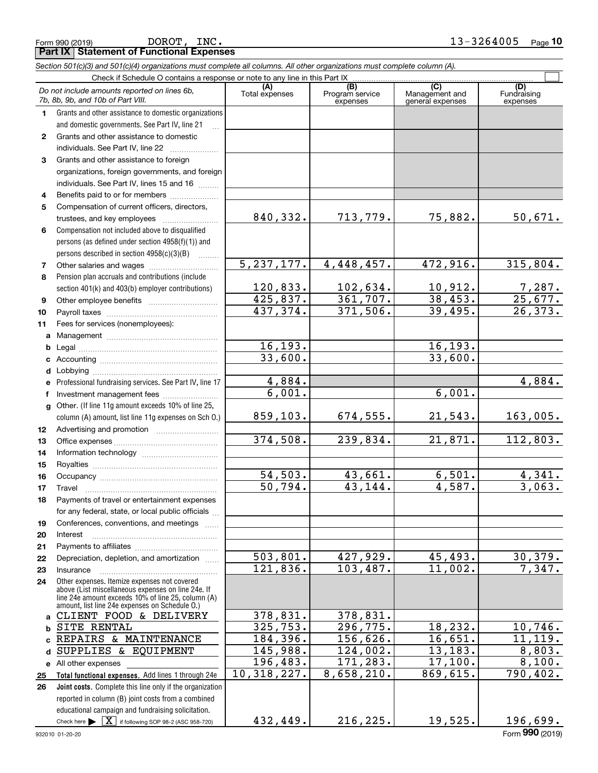Form 990 (2019) Page **Part IX Statement of Functional Expenses**

|                  | Section 501(c)(3) and 501(c)(4) organizations must complete all columns. All other organizations must complete column (A).                                                                                 |                |                                    |                                           |                                |
|------------------|------------------------------------------------------------------------------------------------------------------------------------------------------------------------------------------------------------|----------------|------------------------------------|-------------------------------------------|--------------------------------|
|                  | Check if Schedule O contains a response or note to any line in this Part IX                                                                                                                                |                |                                    |                                           |                                |
|                  | Do not include amounts reported on lines 6b,<br>7b, 8b, 9b, and 10b of Part VIII.                                                                                                                          | Total expenses | (B)<br>Program service<br>expenses | (C)<br>Management and<br>general expenses | (D)<br>Fundraising<br>expenses |
| 1.               | Grants and other assistance to domestic organizations                                                                                                                                                      |                |                                    |                                           |                                |
|                  | and domestic governments. See Part IV, line 21                                                                                                                                                             |                |                                    |                                           |                                |
| $\mathbf{2}$     | Grants and other assistance to domestic                                                                                                                                                                    |                |                                    |                                           |                                |
|                  | individuals. See Part IV, line 22                                                                                                                                                                          |                |                                    |                                           |                                |
| 3                | Grants and other assistance to foreign                                                                                                                                                                     |                |                                    |                                           |                                |
|                  | organizations, foreign governments, and foreign                                                                                                                                                            |                |                                    |                                           |                                |
|                  | individuals. See Part IV, lines 15 and 16                                                                                                                                                                  |                |                                    |                                           |                                |
| 4                | Benefits paid to or for members                                                                                                                                                                            |                |                                    |                                           |                                |
| 5                | Compensation of current officers, directors,                                                                                                                                                               |                |                                    |                                           |                                |
|                  | trustees, and key employees                                                                                                                                                                                | 840,332.       | 713,779.                           | 75,882.                                   | 50,671.                        |
| 6                | Compensation not included above to disqualified                                                                                                                                                            |                |                                    |                                           |                                |
|                  | persons (as defined under section 4958(f)(1)) and                                                                                                                                                          |                |                                    |                                           |                                |
|                  | persons described in section 4958(c)(3)(B)                                                                                                                                                                 | 5, 237, 177.   |                                    |                                           | 315,804.                       |
| 7                |                                                                                                                                                                                                            |                | 4,448,457.                         | 472,916.                                  |                                |
| 8                | Pension plan accruals and contributions (include                                                                                                                                                           | 120,833.       |                                    |                                           |                                |
|                  | section 401(k) and 403(b) employer contributions)                                                                                                                                                          | 425,837.       | $\frac{102,634.}{361,707.}$        | <u>10,912.</u><br>38,453.                 | $\frac{7,287}{25,677}$         |
| 9                |                                                                                                                                                                                                            | 437,374.       | 371,506.                           | 39,495.                                   | 26, 373.                       |
| 10               |                                                                                                                                                                                                            |                |                                    |                                           |                                |
| 11               | Fees for services (nonemployees):                                                                                                                                                                          |                |                                    |                                           |                                |
| a                |                                                                                                                                                                                                            | 16,193.        |                                    | 16, 193.                                  |                                |
| b<br>c           |                                                                                                                                                                                                            | 33,600.        |                                    | 33,600.                                   |                                |
| d                | Lobbying                                                                                                                                                                                                   |                |                                    |                                           |                                |
|                  | Professional fundraising services. See Part IV, line 17                                                                                                                                                    | 4,884.         |                                    |                                           | 4,884.                         |
| f                | Investment management fees                                                                                                                                                                                 | 6,001.         |                                    | 6,001.                                    |                                |
| g                | Other. (If line 11g amount exceeds 10% of line 25,                                                                                                                                                         |                |                                    |                                           |                                |
|                  | column (A) amount, list line 11g expenses on Sch O.)                                                                                                                                                       | 859,103.       | 674,555.                           | 21,543.                                   | 163,005.                       |
| 12 <sup>12</sup> |                                                                                                                                                                                                            |                |                                    |                                           |                                |
| 13               |                                                                                                                                                                                                            | 374, 508.      | 239,834.                           | 21,871.                                   | 112,803.                       |
| 14               |                                                                                                                                                                                                            |                |                                    |                                           |                                |
| 15               |                                                                                                                                                                                                            |                |                                    |                                           |                                |
| 16               |                                                                                                                                                                                                            | 54,503.        | 43,661.                            | 6,501.                                    | $\frac{4,341}{3,063}$ .        |
| 17               |                                                                                                                                                                                                            | 50,794.        | 43,144.                            | 4,587.                                    |                                |
| 18               | Payments of travel or entertainment expenses                                                                                                                                                               |                |                                    |                                           |                                |
|                  | for any federal, state, or local public officials                                                                                                                                                          |                |                                    |                                           |                                |
| 19               | Conferences, conventions, and meetings                                                                                                                                                                     |                |                                    |                                           |                                |
| 20               | Interest                                                                                                                                                                                                   |                |                                    |                                           |                                |
| 21               |                                                                                                                                                                                                            |                |                                    |                                           |                                |
| 22               | Depreciation, depletion, and amortization                                                                                                                                                                  | 503,801.       | 427,929.                           | 45,493.                                   | <u>30,379.</u>                 |
| 23               | Insurance<br><u> 1986 - Jan Barbarat, martin da shekarar 1986 - Amerikaan Santan Barbarat, marka 1986 - Amerikaan Santan Barba</u>                                                                         | 121,836.       | 103,487.                           | 11,002.                                   | 7,347.                         |
| 24               | Other expenses. Itemize expenses not covered<br>above (List miscellaneous expenses on line 24e. If<br>line 24e amount exceeds 10% of line 25, column (A)<br>amount, list line 24e expenses on Schedule O.) |                |                                    |                                           |                                |
| a                | CLIENT FOOD & DELIVERY                                                                                                                                                                                     | 378,831.       | 378,831.                           |                                           |                                |
| b                | SITE RENTAL                                                                                                                                                                                                | 325,753.       | 296,775.                           | 18,232.                                   | 10,746.                        |
|                  | REPAIRS & MAINTENANCE                                                                                                                                                                                      | 184,396.       | 156,626.                           | 16,651.                                   | 11,119.                        |
| d                | SUPPLIES & EQUIPMENT                                                                                                                                                                                       | 145,988.       | 124,002.                           | 13,183.                                   | 8,803.                         |
|                  | e All other expenses                                                                                                                                                                                       | 196,483.       | 171,283.                           | 17,100.                                   | 8,100.                         |
| 25               | Total functional expenses. Add lines 1 through 24e                                                                                                                                                         | 10,318,227.    | 8,658,210.                         | 869,615.                                  | 790,402.                       |
| 26               | Joint costs. Complete this line only if the organization                                                                                                                                                   |                |                                    |                                           |                                |
|                  | reported in column (B) joint costs from a combined                                                                                                                                                         |                |                                    |                                           |                                |
|                  | educational campaign and fundraising solicitation.                                                                                                                                                         |                |                                    |                                           |                                |
|                  | Check here $\blacktriangleright$ $\boxed{\textbf{X}}$ if following SOP 98-2 (ASC 958-720)                                                                                                                  | 432,449.       | 216,225.                           | 19,525.                                   | 196,699.                       |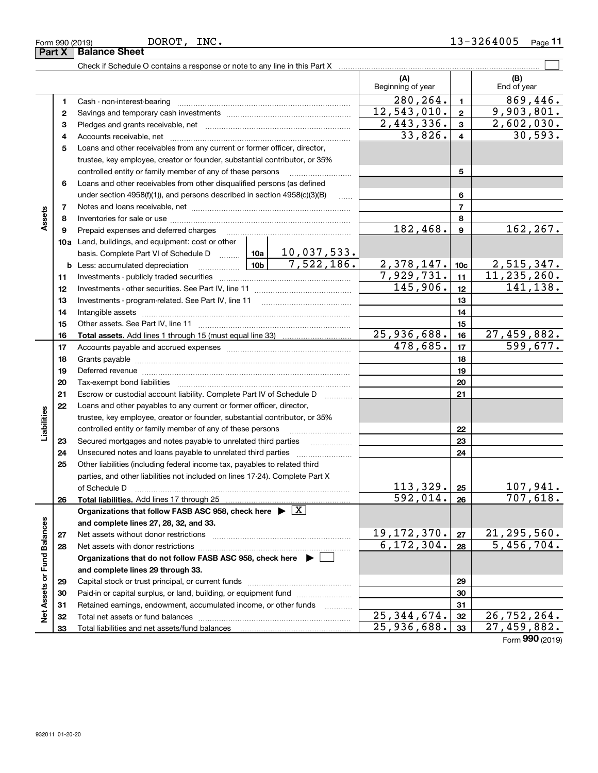|  | ROT. |  |
|--|------|--|
|  |      |  |
|  |      |  |

|                             |    |                                                                                                                                                                                                                                                                                                                                                                                                                                                                |                   | (A)<br>Beginning of year  |                 | (B)<br>End of year |
|-----------------------------|----|----------------------------------------------------------------------------------------------------------------------------------------------------------------------------------------------------------------------------------------------------------------------------------------------------------------------------------------------------------------------------------------------------------------------------------------------------------------|-------------------|---------------------------|-----------------|--------------------|
|                             | 1. |                                                                                                                                                                                                                                                                                                                                                                                                                                                                |                   | 280, 264.                 | $\mathbf{1}$    | 869,446.           |
|                             | 2  |                                                                                                                                                                                                                                                                                                                                                                                                                                                                |                   | 12,543,010.               | $\mathbf{2}$    | 9,903,801.         |
|                             | 3  |                                                                                                                                                                                                                                                                                                                                                                                                                                                                |                   | 2,443,336.                | $\mathbf{3}$    | 2,602,030.         |
|                             | 4  |                                                                                                                                                                                                                                                                                                                                                                                                                                                                |                   | 33,826.                   | $\overline{4}$  | 30, 593.           |
|                             | 5  | Loans and other receivables from any current or former officer, director,                                                                                                                                                                                                                                                                                                                                                                                      |                   |                           |                 |                    |
|                             |    | trustee, key employee, creator or founder, substantial contributor, or 35%                                                                                                                                                                                                                                                                                                                                                                                     |                   |                           |                 |                    |
|                             |    | controlled entity or family member of any of these persons                                                                                                                                                                                                                                                                                                                                                                                                     |                   |                           | 5               |                    |
|                             | 6  | Loans and other receivables from other disqualified persons (as defined                                                                                                                                                                                                                                                                                                                                                                                        |                   |                           |                 |                    |
|                             |    | under section $4958(f)(1)$ , and persons described in section $4958(c)(3)(B)$                                                                                                                                                                                                                                                                                                                                                                                  | $\ldots$          |                           | 6               |                    |
|                             | 7  |                                                                                                                                                                                                                                                                                                                                                                                                                                                                |                   |                           | $\overline{7}$  |                    |
| Assets                      | 8  |                                                                                                                                                                                                                                                                                                                                                                                                                                                                |                   |                           | 8               |                    |
|                             | 9  | Prepaid expenses and deferred charges                                                                                                                                                                                                                                                                                                                                                                                                                          |                   | 182,468.                  | $\mathbf{9}$    | 162,267.           |
|                             |    | <b>10a</b> Land, buildings, and equipment: cost or other                                                                                                                                                                                                                                                                                                                                                                                                       |                   |                           |                 |                    |
|                             |    | basis. Complete Part VI of Schedule D    10a   10, 037, 533.                                                                                                                                                                                                                                                                                                                                                                                                   |                   |                           |                 |                    |
|                             |    | <b>b</b> Less: accumulated depreciation                                                                                                                                                                                                                                                                                                                                                                                                                        | $10b$ 7,522,186.  | 2,378,147.                | 10 <sub>c</sub> | <u>2,515,347.</u>  |
|                             | 11 |                                                                                                                                                                                                                                                                                                                                                                                                                                                                |                   | 7,929,731.                | 11              | 11, 235, 260.      |
|                             | 12 |                                                                                                                                                                                                                                                                                                                                                                                                                                                                |                   | 145,906.                  | 12              | 141,138.           |
|                             | 13 |                                                                                                                                                                                                                                                                                                                                                                                                                                                                |                   |                           | 13              |                    |
|                             | 14 |                                                                                                                                                                                                                                                                                                                                                                                                                                                                |                   |                           | 14              |                    |
|                             | 15 |                                                                                                                                                                                                                                                                                                                                                                                                                                                                |                   |                           | 15              |                    |
|                             | 16 |                                                                                                                                                                                                                                                                                                                                                                                                                                                                |                   | 25,936,688.               | 16              | 27,459,882.        |
|                             | 17 |                                                                                                                                                                                                                                                                                                                                                                                                                                                                |                   | 478,685.                  | 17              | 599,677.           |
|                             | 18 |                                                                                                                                                                                                                                                                                                                                                                                                                                                                |                   |                           | 18              |                    |
|                             | 19 | Deferred revenue manual contracts and contracts are contracted and contract and contract are contracted and contract are contracted and contract are contracted and contract are contracted and contract are contracted and co                                                                                                                                                                                                                                 |                   |                           | 19              |                    |
|                             | 20 |                                                                                                                                                                                                                                                                                                                                                                                                                                                                |                   |                           | 20              |                    |
|                             | 21 | Escrow or custodial account liability. Complete Part IV of Schedule D                                                                                                                                                                                                                                                                                                                                                                                          | 1.1.1.1.1.1.1.1.1 |                           | 21              |                    |
|                             | 22 | Loans and other payables to any current or former officer, director,                                                                                                                                                                                                                                                                                                                                                                                           |                   |                           |                 |                    |
| Liabilities                 |    | trustee, key employee, creator or founder, substantial contributor, or 35%                                                                                                                                                                                                                                                                                                                                                                                     |                   |                           |                 |                    |
|                             |    | controlled entity or family member of any of these persons                                                                                                                                                                                                                                                                                                                                                                                                     |                   |                           | 22              |                    |
|                             | 23 |                                                                                                                                                                                                                                                                                                                                                                                                                                                                |                   |                           | 23              |                    |
|                             | 24 |                                                                                                                                                                                                                                                                                                                                                                                                                                                                |                   |                           | 24              |                    |
|                             | 25 | Other liabilities (including federal income tax, payables to related third                                                                                                                                                                                                                                                                                                                                                                                     |                   |                           |                 |                    |
|                             |    | parties, and other liabilities not included on lines 17-24). Complete Part X                                                                                                                                                                                                                                                                                                                                                                                   |                   |                           |                 |                    |
|                             |    | of Schedule D<br>$\begin{minipage}{0.5\textwidth} \begin{tabular}{ l l l } \hline & \multicolumn{1}{ l l } \hline & \multicolumn{1}{ l } \multicolumn{1}{ l } \hline \multicolumn{1}{ l } \multicolumn{1}{ l } \multicolumn{1}{ l } \multicolumn{1}{ l } \multicolumn{1}{ l } \multicolumn{1}{ l } \multicolumn{1}{ l } \multicolumn{1}{ l } \multicolumn{1}{ l } \multicolumn{1}{ l } \multicolumn{1}{ l } \multicolumn{1}{ l } \multicolumn{1}{ l } \multic$ |                   | 113,329.                  | 25              | 107,941.           |
|                             | 26 |                                                                                                                                                                                                                                                                                                                                                                                                                                                                |                   | 592,014.                  | 26              | 707,618.           |
|                             |    | Organizations that follow FASB ASC 958, check here $\blacktriangleright \boxed{X}$                                                                                                                                                                                                                                                                                                                                                                             |                   |                           |                 |                    |
|                             |    | and complete lines 27, 28, 32, and 33.                                                                                                                                                                                                                                                                                                                                                                                                                         |                   |                           |                 |                    |
|                             | 27 |                                                                                                                                                                                                                                                                                                                                                                                                                                                                |                   | 19, 172, 370.             | 27              | 21, 295, 560.      |
|                             | 28 |                                                                                                                                                                                                                                                                                                                                                                                                                                                                |                   | 6, 172, 304.              | 28              | 5,456,704.         |
|                             |    | Organizations that do not follow FASB ASC 958, check here ▶ □                                                                                                                                                                                                                                                                                                                                                                                                  |                   |                           |                 |                    |
|                             |    | and complete lines 29 through 33.                                                                                                                                                                                                                                                                                                                                                                                                                              |                   |                           |                 |                    |
|                             | 29 |                                                                                                                                                                                                                                                                                                                                                                                                                                                                |                   |                           | 29              |                    |
|                             | 30 | Paid-in or capital surplus, or land, building, or equipment fund                                                                                                                                                                                                                                                                                                                                                                                               |                   |                           | 30              |                    |
| Net Assets or Fund Balances | 31 | Retained earnings, endowment, accumulated income, or other funds                                                                                                                                                                                                                                                                                                                                                                                               |                   |                           | 31              |                    |
|                             | 32 |                                                                                                                                                                                                                                                                                                                                                                                                                                                                |                   | $\overline{25,344,674}$ . | 32              | 26, 752, 264.      |
|                             | 33 |                                                                                                                                                                                                                                                                                                                                                                                                                                                                |                   | 25,936,688.               | 33              | 27,459,882.        |

Form (2019) **990**

**Part X Balance Sheet**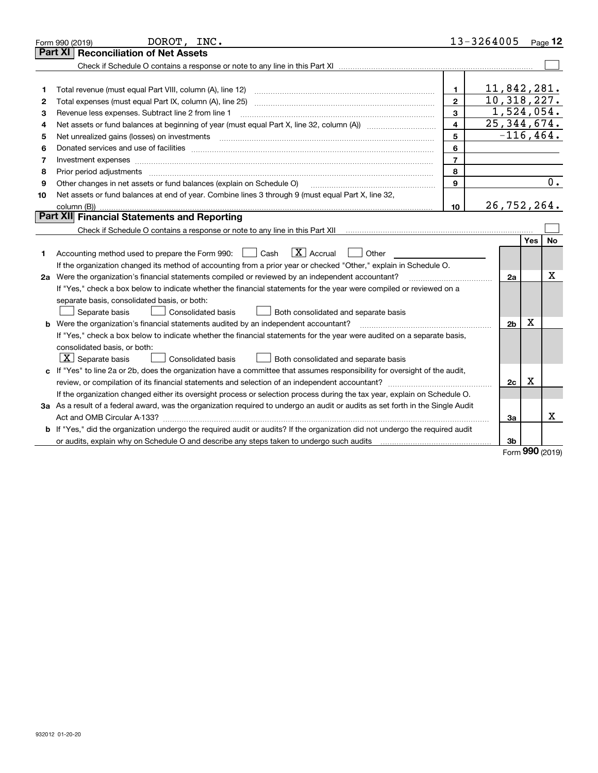|    | DOROT, INC.<br>Form 990 (2019)                                                                                                  |                | 13-3264005     |            | Page 12   |
|----|---------------------------------------------------------------------------------------------------------------------------------|----------------|----------------|------------|-----------|
|    | <b>Reconciliation of Net Assets</b><br><b>Part XI</b>                                                                           |                |                |            |           |
|    |                                                                                                                                 |                |                |            |           |
|    |                                                                                                                                 |                |                |            |           |
| 1  | Total revenue (must equal Part VIII, column (A), line 12)                                                                       | 1.             | 11,842,281.    |            |           |
| 2  | Total expenses (must equal Part IX, column (A), line 25)                                                                        | $\mathbf{2}$   | 10, 318, 227.  |            |           |
| з  | Revenue less expenses. Subtract line 2 from line 1                                                                              | 3              | 1,524,054.     |            |           |
| 4  |                                                                                                                                 | 4              | 25, 344, 674.  |            |           |
| 5  |                                                                                                                                 | 5              | $-116, 464.$   |            |           |
| 6  |                                                                                                                                 | 6              |                |            |           |
| 7  |                                                                                                                                 | $\overline{7}$ |                |            |           |
| 8  | Prior period adjustments                                                                                                        | 8              |                |            |           |
| 9  | Other changes in net assets or fund balances (explain on Schedule O)                                                            | 9              |                |            | 0.        |
| 10 | Net assets or fund balances at end of year. Combine lines 3 through 9 (must equal Part X, line 32,                              |                |                |            |           |
|    |                                                                                                                                 | 10             | 26,752,264.    |            |           |
|    | Part XII Financial Statements and Reporting                                                                                     |                |                |            |           |
|    |                                                                                                                                 |                |                |            |           |
|    |                                                                                                                                 |                |                | <b>Yes</b> | <b>No</b> |
| 1  | $\boxed{\text{X}}$ Accrual<br>Accounting method used to prepare the Form 990: <u>June</u> Cash<br>Other                         |                |                |            |           |
|    | If the organization changed its method of accounting from a prior year or checked "Other," explain in Schedule O.               |                |                |            |           |
|    | 2a Were the organization's financial statements compiled or reviewed by an independent accountant?                              |                | 2a             |            | x         |
|    | If "Yes," check a box below to indicate whether the financial statements for the year were compiled or reviewed on a            |                |                |            |           |
|    | separate basis, consolidated basis, or both:                                                                                    |                |                |            |           |
|    | Separate basis<br>Consolidated basis<br>Both consolidated and separate basis                                                    |                |                |            |           |
|    | <b>b</b> Were the organization's financial statements audited by an independent accountant?                                     |                | 2 <sub>b</sub> | х          |           |
|    | If "Yes," check a box below to indicate whether the financial statements for the year were audited on a separate basis,         |                |                |            |           |
|    | consolidated basis, or both:                                                                                                    |                |                |            |           |
|    | $X$ Separate basis<br>Consolidated basis<br>Both consolidated and separate basis                                                |                |                |            |           |
| c  | If "Yes" to line 2a or 2b, does the organization have a committee that assumes responsibility for oversight of the audit,       |                |                |            |           |
|    |                                                                                                                                 |                | 2c             | х          |           |
|    | If the organization changed either its oversight process or selection process during the tax year, explain on Schedule O.       |                |                |            |           |
|    | 3a As a result of a federal award, was the organization required to undergo an audit or audits as set forth in the Single Audit |                |                |            |           |
|    |                                                                                                                                 |                | 3a             |            | X         |
|    | b If "Yes," did the organization undergo the required audit or audits? If the organization did not undergo the required audit   |                |                |            |           |
|    |                                                                                                                                 |                | 3b             | <b></b>    |           |

Form (2019) **990**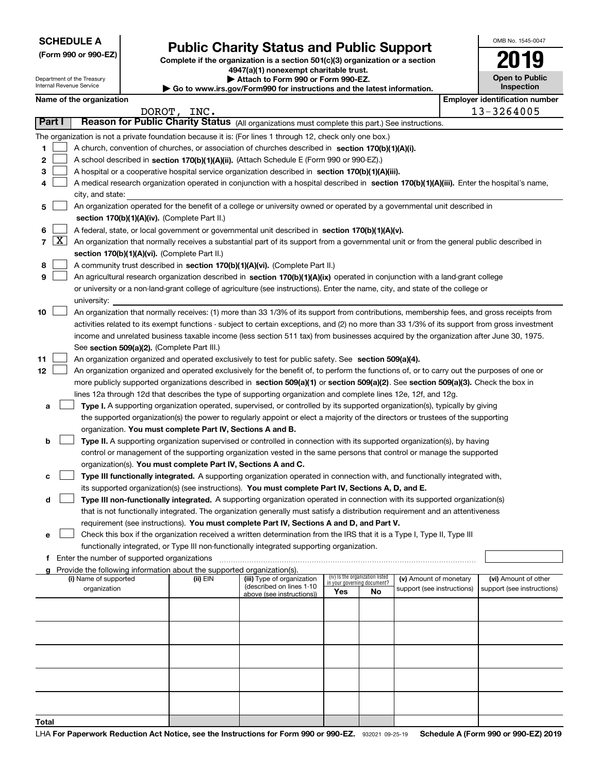Department of the Treasury Internal Revenue Service

**(Form 990 or 990-EZ)**

## **Public Charity Status and Public Support**

**Complete if the organization is a section 501(c)(3) organization or a section 4947(a)(1) nonexempt charitable trust. | Attach to Form 990 or Form 990-EZ. | Go to www.irs.gov/Form990 for instructions and the latest information.**

| OMB No 1545-0047             |
|------------------------------|
| 2019                         |
| Open to Public<br>Inspection |

| Name of the organization |
|--------------------------|
|--------------------------|

|                | as to mummungon, crimoco for mod dodono and the latest micrimation.<br>Name of the organization<br><b>Employer identification number</b> |                                                                                                                                               |          |                                                       |                                    |    |                            |  |                            |
|----------------|------------------------------------------------------------------------------------------------------------------------------------------|-----------------------------------------------------------------------------------------------------------------------------------------------|----------|-------------------------------------------------------|------------------------------------|----|----------------------------|--|----------------------------|
|                | 13-3264005<br>DOROT, INC.                                                                                                                |                                                                                                                                               |          |                                                       |                                    |    |                            |  |                            |
|                | Part I                                                                                                                                   | Reason for Public Charity Status (All organizations must complete this part.) See instructions.                                               |          |                                                       |                                    |    |                            |  |                            |
|                |                                                                                                                                          | The organization is not a private foundation because it is: (For lines 1 through 12, check only one box.)                                     |          |                                                       |                                    |    |                            |  |                            |
| 1              |                                                                                                                                          | A church, convention of churches, or association of churches described in section 170(b)(1)(A)(i).                                            |          |                                                       |                                    |    |                            |  |                            |
| 2              |                                                                                                                                          | A school described in section 170(b)(1)(A)(ii). (Attach Schedule E (Form 990 or 990-EZ).)                                                     |          |                                                       |                                    |    |                            |  |                            |
| з              |                                                                                                                                          | A hospital or a cooperative hospital service organization described in section $170(b)(1)(A)(iii)$ .                                          |          |                                                       |                                    |    |                            |  |                            |
| 4              |                                                                                                                                          | A medical research organization operated in conjunction with a hospital described in section 170(b)(1)(A)(iii). Enter the hospital's name,    |          |                                                       |                                    |    |                            |  |                            |
|                |                                                                                                                                          | city, and state:                                                                                                                              |          |                                                       |                                    |    |                            |  |                            |
| 5              |                                                                                                                                          | An organization operated for the benefit of a college or university owned or operated by a governmental unit described in                     |          |                                                       |                                    |    |                            |  |                            |
|                |                                                                                                                                          | section 170(b)(1)(A)(iv). (Complete Part II.)                                                                                                 |          |                                                       |                                    |    |                            |  |                            |
| 6              |                                                                                                                                          | A federal, state, or local government or governmental unit described in section 170(b)(1)(A)(v).                                              |          |                                                       |                                    |    |                            |  |                            |
| $\overline{7}$ | $\mathbf{X}$                                                                                                                             | An organization that normally receives a substantial part of its support from a governmental unit or from the general public described in     |          |                                                       |                                    |    |                            |  |                            |
|                |                                                                                                                                          | section 170(b)(1)(A)(vi). (Complete Part II.)                                                                                                 |          |                                                       |                                    |    |                            |  |                            |
| 8              |                                                                                                                                          | A community trust described in section 170(b)(1)(A)(vi). (Complete Part II.)                                                                  |          |                                                       |                                    |    |                            |  |                            |
| 9              |                                                                                                                                          | An agricultural research organization described in section 170(b)(1)(A)(ix) operated in conjunction with a land-grant college                 |          |                                                       |                                    |    |                            |  |                            |
|                |                                                                                                                                          | or university or a non-land-grant college of agriculture (see instructions). Enter the name, city, and state of the college or                |          |                                                       |                                    |    |                            |  |                            |
|                |                                                                                                                                          | university:                                                                                                                                   |          |                                                       |                                    |    |                            |  |                            |
| 10             |                                                                                                                                          | An organization that normally receives: (1) more than 33 1/3% of its support from contributions, membership fees, and gross receipts from     |          |                                                       |                                    |    |                            |  |                            |
|                |                                                                                                                                          | activities related to its exempt functions - subject to certain exceptions, and (2) no more than 33 1/3% of its support from gross investment |          |                                                       |                                    |    |                            |  |                            |
|                |                                                                                                                                          | income and unrelated business taxable income (less section 511 tax) from businesses acquired by the organization after June 30, 1975.         |          |                                                       |                                    |    |                            |  |                            |
|                |                                                                                                                                          | See section 509(a)(2). (Complete Part III.)                                                                                                   |          |                                                       |                                    |    |                            |  |                            |
| 11             |                                                                                                                                          | An organization organized and operated exclusively to test for public safety. See section 509(a)(4).                                          |          |                                                       |                                    |    |                            |  |                            |
| 12             |                                                                                                                                          | An organization organized and operated exclusively for the benefit of, to perform the functions of, or to carry out the purposes of one or    |          |                                                       |                                    |    |                            |  |                            |
|                |                                                                                                                                          | more publicly supported organizations described in section 509(a)(1) or section 509(a)(2). See section 509(a)(3). Check the box in            |          |                                                       |                                    |    |                            |  |                            |
|                |                                                                                                                                          | lines 12a through 12d that describes the type of supporting organization and complete lines 12e, 12f, and 12g.                                |          |                                                       |                                    |    |                            |  |                            |
| а              |                                                                                                                                          | Type I. A supporting organization operated, supervised, or controlled by its supported organization(s), typically by giving                   |          |                                                       |                                    |    |                            |  |                            |
|                |                                                                                                                                          | the supported organization(s) the power to regularly appoint or elect a majority of the directors or trustees of the supporting               |          |                                                       |                                    |    |                            |  |                            |
|                |                                                                                                                                          | organization. You must complete Part IV, Sections A and B.                                                                                    |          |                                                       |                                    |    |                            |  |                            |
| b              |                                                                                                                                          | Type II. A supporting organization supervised or controlled in connection with its supported organization(s), by having                       |          |                                                       |                                    |    |                            |  |                            |
|                |                                                                                                                                          | control or management of the supporting organization vested in the same persons that control or manage the supported                          |          |                                                       |                                    |    |                            |  |                            |
|                |                                                                                                                                          | organization(s). You must complete Part IV, Sections A and C.                                                                                 |          |                                                       |                                    |    |                            |  |                            |
| с              |                                                                                                                                          | Type III functionally integrated. A supporting organization operated in connection with, and functionally integrated with,                    |          |                                                       |                                    |    |                            |  |                            |
|                |                                                                                                                                          | its supported organization(s) (see instructions). You must complete Part IV, Sections A, D, and E.                                            |          |                                                       |                                    |    |                            |  |                            |
| d              |                                                                                                                                          | Type III non-functionally integrated. A supporting organization operated in connection with its supported organization(s)                     |          |                                                       |                                    |    |                            |  |                            |
|                |                                                                                                                                          | that is not functionally integrated. The organization generally must satisfy a distribution requirement and an attentiveness                  |          |                                                       |                                    |    |                            |  |                            |
|                |                                                                                                                                          | requirement (see instructions). You must complete Part IV, Sections A and D, and Part V.                                                      |          |                                                       |                                    |    |                            |  |                            |
| е              |                                                                                                                                          | Check this box if the organization received a written determination from the IRS that it is a Type I, Type II, Type III                       |          |                                                       |                                    |    |                            |  |                            |
|                |                                                                                                                                          | functionally integrated, or Type III non-functionally integrated supporting organization.<br>Enter the number of supported organizations      |          |                                                       |                                    |    |                            |  |                            |
| f<br>a         |                                                                                                                                          | Provide the following information about the supported organization(s).                                                                        |          |                                                       |                                    |    |                            |  |                            |
|                |                                                                                                                                          | (i) Name of supported                                                                                                                         | (ii) EIN | (iii) Type of organization                            | (iv) Is the organization listed    |    | (v) Amount of monetary     |  | (vi) Amount of other       |
|                |                                                                                                                                          | organization                                                                                                                                  |          | (described on lines 1-10<br>above (see instructions)) | in your governing document?<br>Yes | No | support (see instructions) |  | support (see instructions) |
|                |                                                                                                                                          |                                                                                                                                               |          |                                                       |                                    |    |                            |  |                            |
|                |                                                                                                                                          |                                                                                                                                               |          |                                                       |                                    |    |                            |  |                            |
|                |                                                                                                                                          |                                                                                                                                               |          |                                                       |                                    |    |                            |  |                            |
|                |                                                                                                                                          |                                                                                                                                               |          |                                                       |                                    |    |                            |  |                            |
|                |                                                                                                                                          |                                                                                                                                               |          |                                                       |                                    |    |                            |  |                            |
|                |                                                                                                                                          |                                                                                                                                               |          |                                                       |                                    |    |                            |  |                            |
|                |                                                                                                                                          |                                                                                                                                               |          |                                                       |                                    |    |                            |  |                            |
|                |                                                                                                                                          |                                                                                                                                               |          |                                                       |                                    |    |                            |  |                            |
|                |                                                                                                                                          |                                                                                                                                               |          |                                                       |                                    |    |                            |  |                            |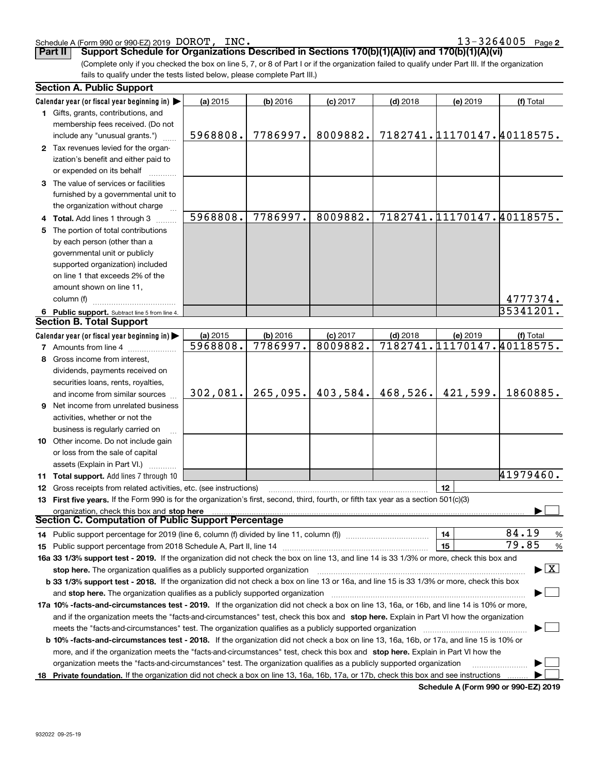#### 932022 09-25-19

|   | 1 Gifts, grants, contributions, and<br>membership fees received. (Do not                                                                        |                      |                      |                        |            |                                        |                                         |
|---|-------------------------------------------------------------------------------------------------------------------------------------------------|----------------------|----------------------|------------------------|------------|----------------------------------------|-----------------------------------------|
|   |                                                                                                                                                 | 5968808.             | 7786997.             | 8009882.               |            | 7182741.11170147.40118575.             |                                         |
|   | include any "unusual grants.")                                                                                                                  |                      |                      |                        |            |                                        |                                         |
|   | 2 Tax revenues levied for the organ-                                                                                                            |                      |                      |                        |            |                                        |                                         |
|   | ization's benefit and either paid to                                                                                                            |                      |                      |                        |            |                                        |                                         |
|   | or expended on its behalf                                                                                                                       |                      |                      |                        |            |                                        |                                         |
|   | 3 The value of services or facilities                                                                                                           |                      |                      |                        |            |                                        |                                         |
|   | furnished by a governmental unit to                                                                                                             |                      |                      |                        |            |                                        |                                         |
|   | the organization without charge                                                                                                                 | 5968808.             | 7786997.             | 8009882.               |            | 7182741.11170147.40118575.             |                                         |
|   | 4 Total. Add lines 1 through 3                                                                                                                  |                      |                      |                        |            |                                        |                                         |
|   | 5 The portion of total contributions                                                                                                            |                      |                      |                        |            |                                        |                                         |
|   | by each person (other than a                                                                                                                    |                      |                      |                        |            |                                        |                                         |
|   | governmental unit or publicly                                                                                                                   |                      |                      |                        |            |                                        |                                         |
|   | supported organization) included                                                                                                                |                      |                      |                        |            |                                        |                                         |
|   | on line 1 that exceeds 2% of the                                                                                                                |                      |                      |                        |            |                                        |                                         |
|   | amount shown on line 11,                                                                                                                        |                      |                      |                        |            |                                        |                                         |
|   | column (f)                                                                                                                                      |                      |                      |                        |            |                                        | 4777374.<br>35341201.                   |
|   | 6 Public support. Subtract line 5 from line 4.<br><b>Section B. Total Support</b>                                                               |                      |                      |                        |            |                                        |                                         |
|   |                                                                                                                                                 |                      |                      |                        |            |                                        |                                         |
|   | Calendar year (or fiscal year beginning in) $\blacktriangleright$                                                                               | (a) 2015<br>5968808. | (b) 2016<br>7786997. | $(c)$ 2017<br>8009882. | $(d)$ 2018 | (e) 2019<br>7182741.11170147.40118575. | (f) Total                               |
|   | 7 Amounts from line 4                                                                                                                           |                      |                      |                        |            |                                        |                                         |
|   | 8 Gross income from interest,                                                                                                                   |                      |                      |                        |            |                                        |                                         |
|   | dividends, payments received on                                                                                                                 |                      |                      |                        |            |                                        |                                         |
|   | securities loans, rents, royalties,                                                                                                             |                      |                      |                        |            |                                        |                                         |
|   | and income from similar sources                                                                                                                 | 302,081.             | 265,095.             | 403,584.               |            | $468,526.$ $421,599.$                  | 1860885.                                |
| 9 | Net income from unrelated business                                                                                                              |                      |                      |                        |            |                                        |                                         |
|   | activities, whether or not the                                                                                                                  |                      |                      |                        |            |                                        |                                         |
|   | business is regularly carried on                                                                                                                |                      |                      |                        |            |                                        |                                         |
|   | 10 Other income. Do not include gain                                                                                                            |                      |                      |                        |            |                                        |                                         |
|   | or loss from the sale of capital                                                                                                                |                      |                      |                        |            |                                        |                                         |
|   | assets (Explain in Part VI.)                                                                                                                    |                      |                      |                        |            |                                        |                                         |
|   | 11 Total support. Add lines 7 through 10                                                                                                        |                      |                      |                        |            |                                        | 41979460.                               |
|   | 12 Gross receipts from related activities, etc. (see instructions)                                                                              |                      |                      |                        |            | 12                                     |                                         |
|   | 13 First five years. If the Form 990 is for the organization's first, second, third, fourth, or fifth tax year as a section 501(c)(3)           |                      |                      |                        |            |                                        |                                         |
|   | organization, check this box and stop here<br>Section C. Computation of Public Support Percentage                                               |                      |                      |                        |            |                                        |                                         |
|   |                                                                                                                                                 |                      |                      |                        |            |                                        | 84.19                                   |
|   |                                                                                                                                                 |                      |                      |                        |            | 14                                     | %<br>79.85                              |
|   |                                                                                                                                                 |                      |                      |                        |            |                                        | $\%$                                    |
|   | 16a 33 1/3% support test - 2019. If the organization did not check the box on line 13, and line 14 is 33 1/3% or more, check this box and       |                      |                      |                        |            |                                        |                                         |
|   |                                                                                                                                                 |                      |                      |                        |            |                                        | $\blacktriangleright$ $\vert$ X $\vert$ |
|   | <b>b 33 1/3% support test - 2018.</b> If the organization did not check a box on line 13 or 16a, and line 15 is 33 1/3% or more, check this box |                      |                      |                        |            |                                        |                                         |
|   |                                                                                                                                                 |                      |                      |                        |            |                                        |                                         |
|   | 17a 10% -facts-and-circumstances test - 2019. If the organization did not check a box on line 13, 16a, or 16b, and line 14 is 10% or more,      |                      |                      |                        |            |                                        |                                         |
|   | and if the organization meets the "facts-and-circumstances" test, check this box and stop here. Explain in Part VI how the organization         |                      |                      |                        |            |                                        |                                         |
|   |                                                                                                                                                 |                      |                      |                        |            |                                        |                                         |
|   | <b>b 10% -facts-and-circumstances test - 2018.</b> If the organization did not check a box on line 13, 16a, 16b, or 17a, and line 15 is 10% or  |                      |                      |                        |            |                                        |                                         |
|   | more, and if the organization meets the "facts-and-circumstances" test, check this box and stop here. Explain in Part VI how the                |                      |                      |                        |            |                                        |                                         |
|   | organization meets the "facts-and-circumstances" test. The organization qualifies as a publicly supported organization                          |                      |                      |                        |            |                                        |                                         |
|   | 18 Private foundation. If the organization did not check a box on line 13, 16a, 16b, 17a, or 17b, check this box and see instructions           |                      |                      |                        |            |                                        |                                         |
|   |                                                                                                                                                 |                      |                      |                        |            | Schedule A (Form 990 or 990-EZ) 2019   |                                         |

#### Schedule A (Form 990 or 990-EZ) 2019 DOROT, INC.

(a) 2015

**Calendar year (or fiscal year beginning in)**  |

**Section A. Public Support**

**Part II Support Schedule for Organizations Described in Sections 170(b)(1)(A)(iv) and 170(b)(1)(A)(vi)** 

(Complete only if you checked the box on line 5, 7, or 8 of Part I or if the organization failed to qualify under Part III. If the organization fails to qualify under the tests listed below, please complete Part III.)

**(a)** 2015 **(b)** 2016 **(c)** 2017 **(d)** 2018 **(e)** 2019 **(f)** Total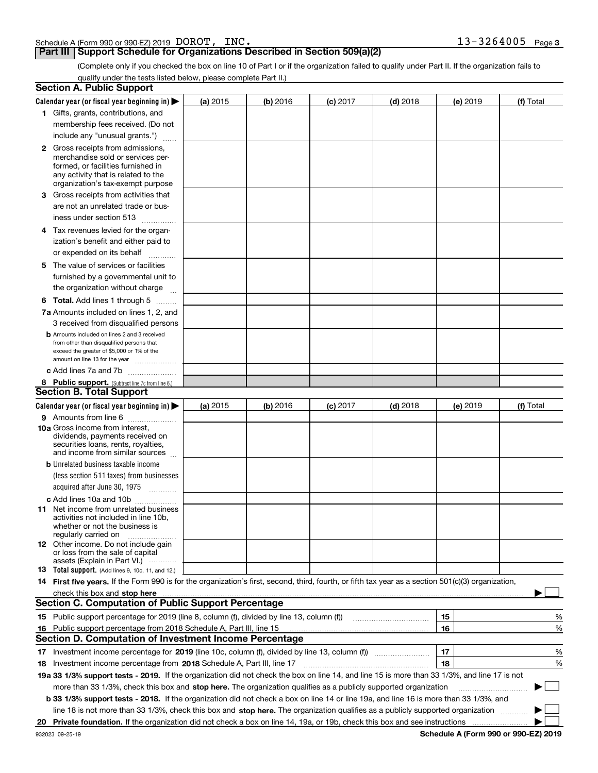| Schedule A (Form 990 or 990-EZ) 2019 $\,$ $\rm{DOROT}$ , |  | INC. | 3264005 | Page 3 |
|----------------------------------------------------------|--|------|---------|--------|
|                                                          |  |      |         |        |

#### **Part III** | Support Schedule for Organizations Described in Section 509(a)(2)

(Complete only if you checked the box on line 10 of Part I or if the organization failed to qualify under Part II. If the organization fails to qualify under the tests listed below, please complete Part II.)

|    | <b>Section A. Public Support</b>                                                                                                                                                                                              |          |          |            |            |          |             |
|----|-------------------------------------------------------------------------------------------------------------------------------------------------------------------------------------------------------------------------------|----------|----------|------------|------------|----------|-------------|
|    | Calendar year (or fiscal year beginning in) $\blacktriangleright$                                                                                                                                                             | (a) 2015 | (b) 2016 | $(c)$ 2017 | $(d)$ 2018 | (e) 2019 | (f) Total   |
|    | 1 Gifts, grants, contributions, and                                                                                                                                                                                           |          |          |            |            |          |             |
|    | membership fees received. (Do not                                                                                                                                                                                             |          |          |            |            |          |             |
|    | include any "unusual grants.")                                                                                                                                                                                                |          |          |            |            |          |             |
|    | <b>2</b> Gross receipts from admissions,                                                                                                                                                                                      |          |          |            |            |          |             |
|    | merchandise sold or services per-                                                                                                                                                                                             |          |          |            |            |          |             |
|    | formed, or facilities furnished in                                                                                                                                                                                            |          |          |            |            |          |             |
|    | any activity that is related to the<br>organization's tax-exempt purpose                                                                                                                                                      |          |          |            |            |          |             |
|    | 3 Gross receipts from activities that                                                                                                                                                                                         |          |          |            |            |          |             |
|    | are not an unrelated trade or bus-                                                                                                                                                                                            |          |          |            |            |          |             |
|    | iness under section 513                                                                                                                                                                                                       |          |          |            |            |          |             |
|    | 4 Tax revenues levied for the organ-                                                                                                                                                                                          |          |          |            |            |          |             |
|    | ization's benefit and either paid to                                                                                                                                                                                          |          |          |            |            |          |             |
|    | or expended on its behalf                                                                                                                                                                                                     |          |          |            |            |          |             |
|    | .<br>5 The value of services or facilities                                                                                                                                                                                    |          |          |            |            |          |             |
|    | furnished by a governmental unit to                                                                                                                                                                                           |          |          |            |            |          |             |
|    | the organization without charge                                                                                                                                                                                               |          |          |            |            |          |             |
|    |                                                                                                                                                                                                                               |          |          |            |            |          |             |
|    | <b>6 Total.</b> Add lines 1 through 5                                                                                                                                                                                         |          |          |            |            |          |             |
|    | 7a Amounts included on lines 1, 2, and                                                                                                                                                                                        |          |          |            |            |          |             |
|    | 3 received from disqualified persons<br><b>b</b> Amounts included on lines 2 and 3 received                                                                                                                                   |          |          |            |            |          |             |
|    | from other than disqualified persons that                                                                                                                                                                                     |          |          |            |            |          |             |
|    | exceed the greater of \$5,000 or 1% of the                                                                                                                                                                                    |          |          |            |            |          |             |
|    | amount on line 13 for the year                                                                                                                                                                                                |          |          |            |            |          |             |
|    | c Add lines 7a and 7b                                                                                                                                                                                                         |          |          |            |            |          |             |
|    | 8 Public support. (Subtract line 7c from line 6.)<br><b>Section B. Total Support</b>                                                                                                                                          |          |          |            |            |          |             |
|    |                                                                                                                                                                                                                               |          |          |            |            |          |             |
|    | Calendar year (or fiscal year beginning in)                                                                                                                                                                                   | (a) 2015 | (b) 2016 | $(c)$ 2017 | $(d)$ 2018 | (e) 2019 | (f) Total   |
|    | 9 Amounts from line 6                                                                                                                                                                                                         |          |          |            |            |          |             |
|    | <b>10a</b> Gross income from interest,<br>dividends, payments received on                                                                                                                                                     |          |          |            |            |          |             |
|    | securities loans, rents, royalties,                                                                                                                                                                                           |          |          |            |            |          |             |
|    | and income from similar sources                                                                                                                                                                                               |          |          |            |            |          |             |
|    | <b>b</b> Unrelated business taxable income                                                                                                                                                                                    |          |          |            |            |          |             |
|    | (less section 511 taxes) from businesses                                                                                                                                                                                      |          |          |            |            |          |             |
|    | acquired after June 30, 1975 [10001]                                                                                                                                                                                          |          |          |            |            |          |             |
|    | c Add lines 10a and 10b                                                                                                                                                                                                       |          |          |            |            |          |             |
|    | 11 Net income from unrelated business                                                                                                                                                                                         |          |          |            |            |          |             |
|    | activities not included in line 10b,<br>whether or not the business is                                                                                                                                                        |          |          |            |            |          |             |
|    | regularly carried on                                                                                                                                                                                                          |          |          |            |            |          |             |
|    | <b>12</b> Other income. Do not include gain                                                                                                                                                                                   |          |          |            |            |          |             |
|    | or loss from the sale of capital<br>assets (Explain in Part VI.)                                                                                                                                                              |          |          |            |            |          |             |
|    | <b>13</b> Total support. (Add lines 9, 10c, 11, and 12.)                                                                                                                                                                      |          |          |            |            |          |             |
|    | 14 First five years. If the Form 990 is for the organization's first, second, third, fourth, or fifth tax year as a section 501(c)(3) organization,                                                                           |          |          |            |            |          |             |
|    | check this box and stop here with the continuum control to the change of the state of the state of the change of the change of the change of the change of the change of the change of the change of the change of the change |          |          |            |            |          |             |
|    | <b>Section C. Computation of Public Support Percentage</b>                                                                                                                                                                    |          |          |            |            |          |             |
|    | 15 Public support percentage for 2019 (line 8, column (f), divided by line 13, column (f))                                                                                                                                    |          |          |            |            | 15       | %           |
|    | 16 Public support percentage from 2018 Schedule A, Part III, line 15                                                                                                                                                          |          |          |            |            | 16       | %           |
|    | Section D. Computation of Investment Income Percentage                                                                                                                                                                        |          |          |            |            |          |             |
|    | 17 Investment income percentage for 2019 (line 10c, column (f), divided by line 13, column (f))                                                                                                                               |          |          |            |            | 17       | %           |
|    | <b>18</b> Investment income percentage from <b>2018</b> Schedule A, Part III, line 17                                                                                                                                         |          |          |            |            | 18       | %           |
|    | 19a 33 1/3% support tests - 2019. If the organization did not check the box on line 14, and line 15 is more than 33 1/3%, and line 17 is not                                                                                  |          |          |            |            |          |             |
|    | more than 33 1/3%, check this box and stop here. The organization qualifies as a publicly supported organization                                                                                                              |          |          |            |            |          | $\sim$<br>▶ |
|    | b 33 1/3% support tests - 2018. If the organization did not check a box on line 14 or line 19a, and line 16 is more than 33 1/3%, and                                                                                         |          |          |            |            |          |             |
|    | line 18 is not more than 33 1/3%, check this box and stop here. The organization qualifies as a publicly supported organization                                                                                               |          |          |            |            |          |             |
| 20 |                                                                                                                                                                                                                               |          |          |            |            |          |             |
|    |                                                                                                                                                                                                                               |          |          |            |            |          |             |

**Schedule A (Form 990 or 990-EZ) 2019**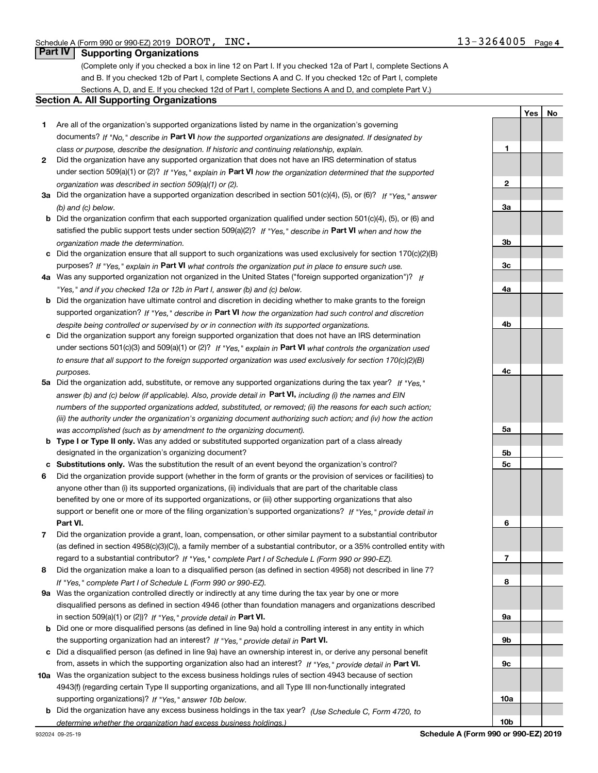**1**

**2**

**3a**

**YesNo**

#### **Part IV Supporting Organizations**

(Complete only if you checked a box in line 12 on Part I. If you checked 12a of Part I, complete Sections A and B. If you checked 12b of Part I, complete Sections A and C. If you checked 12c of Part I, complete Sections A, D, and E. If you checked 12d of Part I, complete Sections A and D, and complete Part V.)

#### **Section A. All Supporting Organizations**

- **1** Are all of the organization's supported organizations listed by name in the organization's governing documents? If "No," describe in **Part VI** how the supported organizations are designated. If designated by *class or purpose, describe the designation. If historic and continuing relationship, explain.*
- **2** Did the organization have any supported organization that does not have an IRS determination of status under section 509(a)(1) or (2)? If "Yes," explain in Part VI how the organization determined that the supported *organization was described in section 509(a)(1) or (2).*
- **3a** Did the organization have a supported organization described in section 501(c)(4), (5), or (6)? If "Yes," answer *(b) and (c) below.*
- **b** Did the organization confirm that each supported organization qualified under section 501(c)(4), (5), or (6) and satisfied the public support tests under section 509(a)(2)? If "Yes," describe in **Part VI** when and how the *organization made the determination.*
- **c**Did the organization ensure that all support to such organizations was used exclusively for section 170(c)(2)(B) purposes? If "Yes," explain in **Part VI** what controls the organization put in place to ensure such use.
- **4a***If* Was any supported organization not organized in the United States ("foreign supported organization")? *"Yes," and if you checked 12a or 12b in Part I, answer (b) and (c) below.*
- **b** Did the organization have ultimate control and discretion in deciding whether to make grants to the foreign supported organization? If "Yes," describe in **Part VI** how the organization had such control and discretion *despite being controlled or supervised by or in connection with its supported organizations.*
- **c** Did the organization support any foreign supported organization that does not have an IRS determination under sections 501(c)(3) and 509(a)(1) or (2)? If "Yes," explain in **Part VI** what controls the organization used *to ensure that all support to the foreign supported organization was used exclusively for section 170(c)(2)(B) purposes.*
- **5a***If "Yes,"* Did the organization add, substitute, or remove any supported organizations during the tax year? answer (b) and (c) below (if applicable). Also, provide detail in **Part VI,** including (i) the names and EIN *numbers of the supported organizations added, substituted, or removed; (ii) the reasons for each such action; (iii) the authority under the organization's organizing document authorizing such action; and (iv) how the action was accomplished (such as by amendment to the organizing document).*
- **b** Type I or Type II only. Was any added or substituted supported organization part of a class already designated in the organization's organizing document?
- **cSubstitutions only.**  Was the substitution the result of an event beyond the organization's control?
- **6** Did the organization provide support (whether in the form of grants or the provision of services or facilities) to **Part VI.** *If "Yes," provide detail in* support or benefit one or more of the filing organization's supported organizations? anyone other than (i) its supported organizations, (ii) individuals that are part of the charitable class benefited by one or more of its supported organizations, or (iii) other supporting organizations that also
- **7**Did the organization provide a grant, loan, compensation, or other similar payment to a substantial contributor *If "Yes," complete Part I of Schedule L (Form 990 or 990-EZ).* regard to a substantial contributor? (as defined in section 4958(c)(3)(C)), a family member of a substantial contributor, or a 35% controlled entity with
- **8** Did the organization make a loan to a disqualified person (as defined in section 4958) not described in line 7? *If "Yes," complete Part I of Schedule L (Form 990 or 990-EZ).*
- **9a** Was the organization controlled directly or indirectly at any time during the tax year by one or more in section 509(a)(1) or (2))? If "Yes," *provide detail in* <code>Part VI.</code> disqualified persons as defined in section 4946 (other than foundation managers and organizations described
- **b** Did one or more disqualified persons (as defined in line 9a) hold a controlling interest in any entity in which the supporting organization had an interest? If "Yes," provide detail in P**art VI**.
- **c**Did a disqualified person (as defined in line 9a) have an ownership interest in, or derive any personal benefit from, assets in which the supporting organization also had an interest? If "Yes," provide detail in P**art VI.**
- **10a** Was the organization subject to the excess business holdings rules of section 4943 because of section supporting organizations)? If "Yes," answer 10b below. 4943(f) (regarding certain Type II supporting organizations, and all Type III non-functionally integrated
- **b** Did the organization have any excess business holdings in the tax year? (Use Schedule C, Form 4720, to *determine whether the organization had excess business holdings.)*

**10b**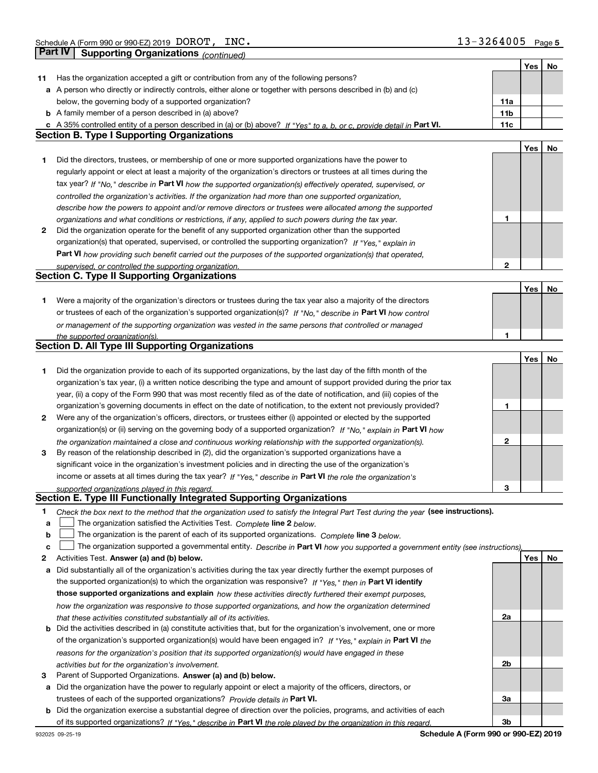|    |                                                                                                                                   |     | Yes | No |
|----|-----------------------------------------------------------------------------------------------------------------------------------|-----|-----|----|
| 11 | Has the organization accepted a gift or contribution from any of the following persons?                                           |     |     |    |
|    | a A person who directly or indirectly controls, either alone or together with persons described in (b) and (c)                    |     |     |    |
|    | below, the governing body of a supported organization?                                                                            | 11a |     |    |
|    | <b>b</b> A family member of a person described in (a) above?                                                                      | 11b |     |    |
|    | c A 35% controlled entity of a person described in (a) or (b) above? If "Yes" to a, b, or c, provide detail in Part VI.           | 11c |     |    |
|    | <b>Section B. Type I Supporting Organizations</b>                                                                                 |     |     |    |
|    |                                                                                                                                   |     | Yes | No |
| 1  | Did the directors, trustees, or membership of one or more supported organizations have the power to                               |     |     |    |
|    | regularly appoint or elect at least a majority of the organization's directors or trustees at all times during the                |     |     |    |
|    | tax year? If "No," describe in Part VI how the supported organization(s) effectively operated, supervised, or                     |     |     |    |
|    |                                                                                                                                   |     |     |    |
|    | controlled the organization's activities. If the organization had more than one supported organization,                           |     |     |    |
|    | describe how the powers to appoint and/or remove directors or trustees were allocated among the supported                         | 1   |     |    |
|    | organizations and what conditions or restrictions, if any, applied to such powers during the tax year.                            |     |     |    |
| 2  | Did the organization operate for the benefit of any supported organization other than the supported                               |     |     |    |
|    | organization(s) that operated, supervised, or controlled the supporting organization? If "Yes," explain in                        |     |     |    |
|    | Part VI how providing such benefit carried out the purposes of the supported organization(s) that operated,                       |     |     |    |
|    | supervised, or controlled the supporting organization.                                                                            | 2   |     |    |
|    | <b>Section C. Type II Supporting Organizations</b>                                                                                |     |     |    |
|    |                                                                                                                                   |     | Yes | No |
| 1  | Were a majority of the organization's directors or trustees during the tax year also a majority of the directors                  |     |     |    |
|    | or trustees of each of the organization's supported organization(s)? If "No," describe in Part VI how control                     |     |     |    |
|    | or management of the supporting organization was vested in the same persons that controlled or managed                            |     |     |    |
|    | the supported organization(s).                                                                                                    | 1   |     |    |
|    | Section D. All Type III Supporting Organizations                                                                                  |     |     |    |
|    |                                                                                                                                   |     | Yes | No |
| 1  | Did the organization provide to each of its supported organizations, by the last day of the fifth month of the                    |     |     |    |
|    | organization's tax year, (i) a written notice describing the type and amount of support provided during the prior tax             |     |     |    |
|    | year, (ii) a copy of the Form 990 that was most recently filed as of the date of notification, and (iii) copies of the            |     |     |    |
|    | organization's governing documents in effect on the date of notification, to the extent not previously provided?                  | 1   |     |    |
| 2  | Were any of the organization's officers, directors, or trustees either (i) appointed or elected by the supported                  |     |     |    |
|    | organization(s) or (ii) serving on the governing body of a supported organization? If "No," explain in Part VI how                |     |     |    |
|    | the organization maintained a close and continuous working relationship with the supported organization(s).                       | 2   |     |    |
| 3  | By reason of the relationship described in (2), did the organization's supported organizations have a                             |     |     |    |
|    | significant voice in the organization's investment policies and in directing the use of the organization's                        |     |     |    |
|    | income or assets at all times during the tax year? If "Yes," describe in Part VI the role the organization's                      |     |     |    |
|    |                                                                                                                                   | 3   |     |    |
|    | supported organizations played in this regard.<br>Section E. Type III Functionally Integrated Supporting Organizations            |     |     |    |
|    |                                                                                                                                   |     |     |    |
| 1  | Check the box next to the method that the organization used to satisfy the Integral Part Test during the year (see instructions). |     |     |    |
| а  | The organization satisfied the Activities Test. Complete line 2 below.                                                            |     |     |    |
| b  | The organization is the parent of each of its supported organizations. Complete line 3 below.                                     |     |     |    |
| c  | The organization supported a governmental entity. Describe in Part VI how you supported a government entity (see instructions),   |     |     |    |
| 2  | Activities Test. Answer (a) and (b) below.                                                                                        |     | Yes | No |
| а  | Did substantially all of the organization's activities during the tax year directly further the exempt purposes of                |     |     |    |
|    | the supported organization(s) to which the organization was responsive? If "Yes," then in Part VI identify                        |     |     |    |
|    | those supported organizations and explain how these activities directly furthered their exempt purposes,                          |     |     |    |
|    | how the organization was responsive to those supported organizations, and how the organization determined                         |     |     |    |
|    | that these activities constituted substantially all of its activities.                                                            | 2a  |     |    |
| b  | Did the activities described in (a) constitute activities that, but for the organization's involvement, one or more               |     |     |    |
|    | of the organization's supported organization(s) would have been engaged in? If "Yes," explain in Part VI the                      |     |     |    |
|    | reasons for the organization's position that its supported organization(s) would have engaged in these                            |     |     |    |
|    | activities but for the organization's involvement.                                                                                | 2b  |     |    |
| З  | Parent of Supported Organizations. Answer (a) and (b) below.                                                                      |     |     |    |
| а  | Did the organization have the power to regularly appoint or elect a majority of the officers, directors, or                       |     |     |    |
|    | trustees of each of the supported organizations? Provide details in Part VI.                                                      | За  |     |    |
| b  | Did the organization exercise a substantial degree of direction over the policies, programs, and activities of each               |     |     |    |
|    | of its supported organizations? If "Yes," describe in Part VI the role played by the organization in this regard.                 | 3b  |     |    |
|    |                                                                                                                                   |     |     |    |

**Schedule A (Form 990 or 990-EZ) 2019**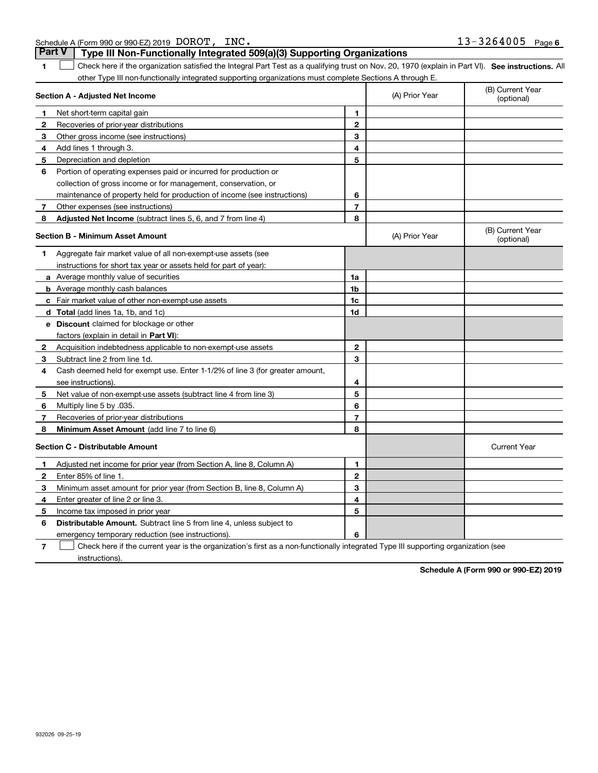|  | Schedule A (Form 990 or 990-EZ) 2019 DOROT, INC.                                      |  |  | $13 - 3264005$ Page 6 |  |
|--|---------------------------------------------------------------------------------------|--|--|-----------------------|--|
|  | <b>Part V</b> Type III Non-Functionally Integrated 509(a)(3) Supporting Organizations |  |  |                       |  |

| 1                                       | Check here if the organization satisfied the Integral Part Test as a qualifying trust on Nov. 20, 1970 (explain in Part VI). See instructions. Al |                |                |                                |
|-----------------------------------------|---------------------------------------------------------------------------------------------------------------------------------------------------|----------------|----------------|--------------------------------|
|                                         | other Type III non-functionally integrated supporting organizations must complete Sections A through E.                                           |                |                |                                |
|                                         | Section A - Adjusted Net Income                                                                                                                   |                | (A) Prior Year | (B) Current Year<br>(optional) |
| 1.                                      | Net short-term capital gain                                                                                                                       | 1              |                |                                |
| 2                                       | Recoveries of prior-year distributions                                                                                                            | $\mathbf{2}$   |                |                                |
| 3                                       | Other gross income (see instructions)                                                                                                             | 3              |                |                                |
| 4                                       | Add lines 1 through 3.                                                                                                                            | 4              |                |                                |
| 5                                       | Depreciation and depletion                                                                                                                        | 5              |                |                                |
| 6                                       | Portion of operating expenses paid or incurred for production or                                                                                  |                |                |                                |
|                                         | collection of gross income or for management, conservation, or                                                                                    |                |                |                                |
|                                         | maintenance of property held for production of income (see instructions)                                                                          | 6              |                |                                |
| 7                                       | Other expenses (see instructions)                                                                                                                 | $\overline{7}$ |                |                                |
| 8                                       | Adjusted Net Income (subtract lines 5, 6, and 7 from line 4)                                                                                      | 8              |                |                                |
| <b>Section B - Minimum Asset Amount</b> |                                                                                                                                                   |                | (A) Prior Year | (B) Current Year<br>(optional) |
| 1                                       | Aggregate fair market value of all non-exempt-use assets (see                                                                                     |                |                |                                |
|                                         | instructions for short tax year or assets held for part of year):                                                                                 |                |                |                                |
|                                         | a Average monthly value of securities                                                                                                             | 1a             |                |                                |
|                                         | <b>b</b> Average monthly cash balances                                                                                                            | 1 <sub>b</sub> |                |                                |
|                                         | c Fair market value of other non-exempt-use assets                                                                                                | 1c             |                |                                |
|                                         | <b>d</b> Total (add lines 1a, 1b, and 1c)                                                                                                         | 1d             |                |                                |
|                                         | e Discount claimed for blockage or other                                                                                                          |                |                |                                |
|                                         | factors (explain in detail in Part VI):                                                                                                           |                |                |                                |
| 2                                       | Acquisition indebtedness applicable to non-exempt-use assets                                                                                      | $\mathbf{2}$   |                |                                |
| 3                                       | Subtract line 2 from line 1d.                                                                                                                     | 3              |                |                                |
| 4                                       | Cash deemed held for exempt use. Enter 1-1/2% of line 3 (for greater amount,                                                                      |                |                |                                |
|                                         | see instructions).                                                                                                                                | 4              |                |                                |
| 5                                       | Net value of non-exempt-use assets (subtract line 4 from line 3)                                                                                  | 5              |                |                                |
| 6                                       | Multiply line 5 by .035.                                                                                                                          | 6              |                |                                |
| 7                                       | Recoveries of prior-year distributions                                                                                                            | 7              |                |                                |
| 8                                       | Minimum Asset Amount (add line 7 to line 6)                                                                                                       | 8              |                |                                |
|                                         | <b>Section C - Distributable Amount</b>                                                                                                           |                |                | <b>Current Year</b>            |
| 1                                       | Adjusted net income for prior year (from Section A, line 8, Column A)                                                                             | 1              |                |                                |
| $\mathbf{2}$                            | Enter 85% of line 1.                                                                                                                              | $\mathbf{2}$   |                |                                |
| 3                                       | Minimum asset amount for prior year (from Section B, line 8, Column A)                                                                            | 3              |                |                                |
| 4                                       | Enter greater of line 2 or line 3.                                                                                                                | 4              |                |                                |
| 5                                       | Income tax imposed in prior year                                                                                                                  | 5              |                |                                |
| 6                                       | <b>Distributable Amount.</b> Subtract line 5 from line 4, unless subject to                                                                       |                |                |                                |
|                                         | emergency temporary reduction (see instructions).                                                                                                 | 6              |                |                                |

**7**Check here if the current year is the organization's first as a non-functionally integrated Type III supporting organization (see instructions).

**Schedule A (Form 990 or 990-EZ) 2019**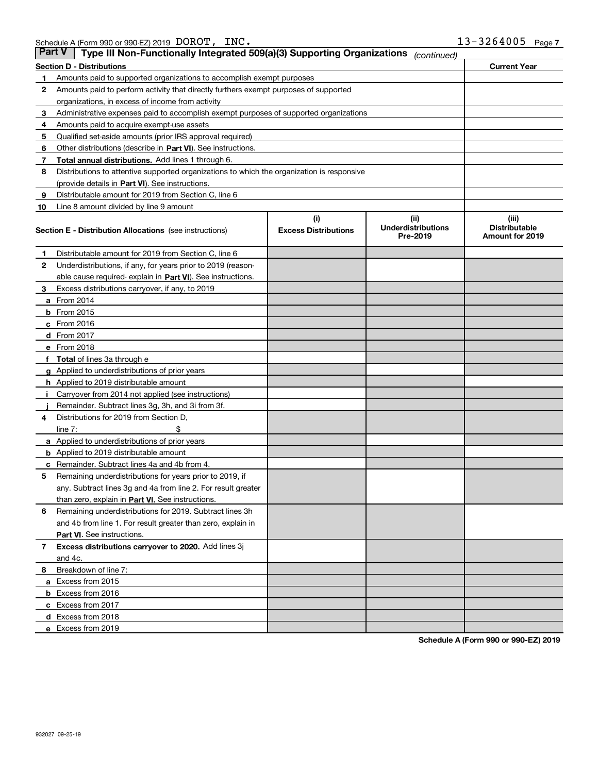| <b>Part V</b> | Type III Non-Functionally Integrated 509(a)(3) Supporting Organizations                    |                             | (continued)                           |                                         |
|---------------|--------------------------------------------------------------------------------------------|-----------------------------|---------------------------------------|-----------------------------------------|
|               | <b>Section D - Distributions</b>                                                           |                             |                                       | <b>Current Year</b>                     |
| 1             | Amounts paid to supported organizations to accomplish exempt purposes                      |                             |                                       |                                         |
| 2             | Amounts paid to perform activity that directly furthers exempt purposes of supported       |                             |                                       |                                         |
|               | organizations, in excess of income from activity                                           |                             |                                       |                                         |
| з             | Administrative expenses paid to accomplish exempt purposes of supported organizations      |                             |                                       |                                         |
| 4             | Amounts paid to acquire exempt-use assets                                                  |                             |                                       |                                         |
| 5             | Qualified set-aside amounts (prior IRS approval required)                                  |                             |                                       |                                         |
| 6             | Other distributions (describe in Part VI). See instructions.                               |                             |                                       |                                         |
| 7             | Total annual distributions. Add lines 1 through 6.                                         |                             |                                       |                                         |
| 8             | Distributions to attentive supported organizations to which the organization is responsive |                             |                                       |                                         |
|               | (provide details in Part VI). See instructions.                                            |                             |                                       |                                         |
| 9             | Distributable amount for 2019 from Section C, line 6                                       |                             |                                       |                                         |
| 10            | Line 8 amount divided by line 9 amount                                                     |                             |                                       |                                         |
|               |                                                                                            | (i)                         | (iii)                                 | (iii)                                   |
|               | <b>Section E - Distribution Allocations</b> (see instructions)                             | <b>Excess Distributions</b> | <b>Underdistributions</b><br>Pre-2019 | <b>Distributable</b><br>Amount for 2019 |
| 1             | Distributable amount for 2019 from Section C, line 6                                       |                             |                                       |                                         |
| 2             | Underdistributions, if any, for years prior to 2019 (reason-                               |                             |                                       |                                         |
|               | able cause required- explain in Part VI). See instructions.                                |                             |                                       |                                         |
| з             | Excess distributions carryover, if any, to 2019                                            |                             |                                       |                                         |
|               | <b>a</b> From 2014                                                                         |                             |                                       |                                         |
|               | <b>b</b> From $2015$                                                                       |                             |                                       |                                         |
|               | $c$ From 2016                                                                              |                             |                                       |                                         |
|               | <b>d</b> From 2017                                                                         |                             |                                       |                                         |
|               | e From 2018                                                                                |                             |                                       |                                         |
|               | Total of lines 3a through e                                                                |                             |                                       |                                         |
|               | <b>g</b> Applied to underdistributions of prior years                                      |                             |                                       |                                         |
|               | <b>h</b> Applied to 2019 distributable amount                                              |                             |                                       |                                         |
|               | Carryover from 2014 not applied (see instructions)                                         |                             |                                       |                                         |
|               | Remainder. Subtract lines 3g, 3h, and 3i from 3f.                                          |                             |                                       |                                         |
| 4             | Distributions for 2019 from Section D,                                                     |                             |                                       |                                         |
|               | line $7:$                                                                                  |                             |                                       |                                         |
|               | <b>a</b> Applied to underdistributions of prior years                                      |                             |                                       |                                         |
|               | <b>b</b> Applied to 2019 distributable amount                                              |                             |                                       |                                         |
| c             | Remainder. Subtract lines 4a and 4b from 4.                                                |                             |                                       |                                         |
| 5             | Remaining underdistributions for years prior to 2019, if                                   |                             |                                       |                                         |
|               | any. Subtract lines 3g and 4a from line 2. For result greater                              |                             |                                       |                                         |
|               | than zero, explain in Part VI. See instructions.                                           |                             |                                       |                                         |
| 6             | Remaining underdistributions for 2019. Subtract lines 3h                                   |                             |                                       |                                         |
|               | and 4b from line 1. For result greater than zero, explain in                               |                             |                                       |                                         |
|               | Part VI. See instructions.                                                                 |                             |                                       |                                         |
| 7             | Excess distributions carryover to 2020. Add lines 3j                                       |                             |                                       |                                         |
|               | and 4c.                                                                                    |                             |                                       |                                         |
| 8             | Breakdown of line 7:                                                                       |                             |                                       |                                         |
|               | a Excess from 2015                                                                         |                             |                                       |                                         |
|               |                                                                                            |                             |                                       |                                         |
|               | <b>b</b> Excess from 2016<br>c Excess from 2017                                            |                             |                                       |                                         |
|               |                                                                                            |                             |                                       |                                         |
|               | d Excess from 2018<br>e Excess from 2019                                                   |                             |                                       |                                         |
|               |                                                                                            |                             |                                       |                                         |

**Schedule A (Form 990 or 990-EZ) 2019**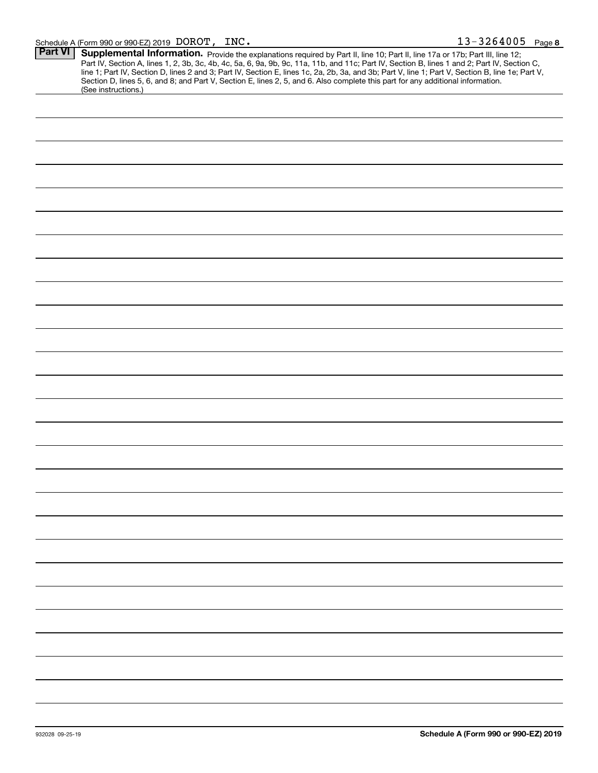| <b>Part VI</b> | Supplemental Information. Provide the explanations required by Part II, line 10; Part II, line 17a or 17b; Part III, line 12;                                                                                                                                                                    |
|----------------|--------------------------------------------------------------------------------------------------------------------------------------------------------------------------------------------------------------------------------------------------------------------------------------------------|
|                | Part IV, Section A, lines 1, 2, 3b, 3c, 4b, 4c, 5a, 6, 9a, 9b, 9c, 11a, 11b, and 11c; Part IV, Section B, lines 1 and 2; Part IV, Section C,<br>line 1; Part IV, Section D, lines 2 and 3; Part IV, Section E, lines 1c, 2a, 2b, 3a, and 3b; Part V, line 1; Part V, Section B, line 1e; Part V, |
|                | Section D, lines 5, 6, and 8; and Part V, Section E, lines 2, 5, and 6. Also complete this part for any additional information.<br>(See instructions.)                                                                                                                                           |
|                |                                                                                                                                                                                                                                                                                                  |
|                |                                                                                                                                                                                                                                                                                                  |
|                |                                                                                                                                                                                                                                                                                                  |
|                |                                                                                                                                                                                                                                                                                                  |
|                |                                                                                                                                                                                                                                                                                                  |
|                |                                                                                                                                                                                                                                                                                                  |
|                |                                                                                                                                                                                                                                                                                                  |
|                |                                                                                                                                                                                                                                                                                                  |
|                |                                                                                                                                                                                                                                                                                                  |
|                |                                                                                                                                                                                                                                                                                                  |
|                |                                                                                                                                                                                                                                                                                                  |
|                |                                                                                                                                                                                                                                                                                                  |
|                |                                                                                                                                                                                                                                                                                                  |
|                |                                                                                                                                                                                                                                                                                                  |
|                |                                                                                                                                                                                                                                                                                                  |
|                |                                                                                                                                                                                                                                                                                                  |
|                |                                                                                                                                                                                                                                                                                                  |
|                |                                                                                                                                                                                                                                                                                                  |
|                |                                                                                                                                                                                                                                                                                                  |
|                |                                                                                                                                                                                                                                                                                                  |
|                |                                                                                                                                                                                                                                                                                                  |
|                |                                                                                                                                                                                                                                                                                                  |
|                |                                                                                                                                                                                                                                                                                                  |
|                |                                                                                                                                                                                                                                                                                                  |
|                |                                                                                                                                                                                                                                                                                                  |
|                |                                                                                                                                                                                                                                                                                                  |
|                |                                                                                                                                                                                                                                                                                                  |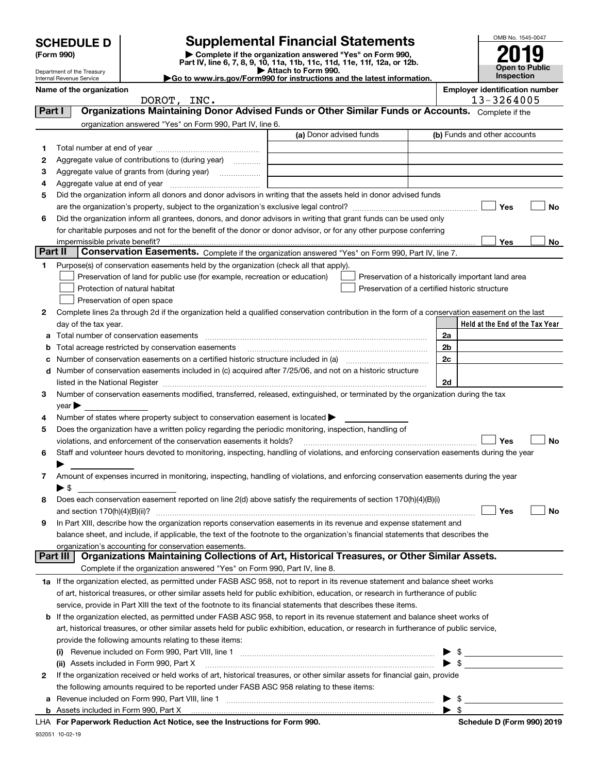Department of the Treasury

### **SCHEDULE D Supplemental Financial Statements**

(Form 990)<br>
Pepartment of the Treasury<br>
Department of the Treasury<br>
Department of the Treasury<br>
Department of the Treasury<br> **Co to www.irs.gov/Form990 for instructions and the latest information.**<br> **Co to www.irs.gov/Form9** 



|         | Internal Revenue Service                                                                                                                                                                                                                               | $\blacktriangleright$ Go to www.irs.gov/Form990 for instructions and the latest information. |                          | <b>Inspection</b>                     |    |
|---------|--------------------------------------------------------------------------------------------------------------------------------------------------------------------------------------------------------------------------------------------------------|----------------------------------------------------------------------------------------------|--------------------------|---------------------------------------|----|
|         | Name of the organization                                                                                                                                                                                                                               |                                                                                              |                          | <b>Employer identification number</b> |    |
|         | DOROT, INC.                                                                                                                                                                                                                                            |                                                                                              |                          | 13-3264005                            |    |
| Part I  | Organizations Maintaining Donor Advised Funds or Other Similar Funds or Accounts. Complete if the                                                                                                                                                      |                                                                                              |                          |                                       |    |
|         | organization answered "Yes" on Form 990, Part IV, line 6.                                                                                                                                                                                              | (a) Donor advised funds                                                                      |                          | (b) Funds and other accounts          |    |
|         |                                                                                                                                                                                                                                                        |                                                                                              |                          |                                       |    |
| 1.      |                                                                                                                                                                                                                                                        |                                                                                              |                          |                                       |    |
| 2       | Aggregate value of contributions to (during year)                                                                                                                                                                                                      |                                                                                              |                          |                                       |    |
| 3<br>4  |                                                                                                                                                                                                                                                        |                                                                                              |                          |                                       |    |
| 5       | Did the organization inform all donors and donor advisors in writing that the assets held in donor advised funds                                                                                                                                       |                                                                                              |                          |                                       |    |
|         |                                                                                                                                                                                                                                                        |                                                                                              |                          | Yes                                   | No |
| 6       | Did the organization inform all grantees, donors, and donor advisors in writing that grant funds can be used only                                                                                                                                      |                                                                                              |                          |                                       |    |
|         | for charitable purposes and not for the benefit of the donor or donor advisor, or for any other purpose conferring                                                                                                                                     |                                                                                              |                          |                                       |    |
|         |                                                                                                                                                                                                                                                        |                                                                                              |                          | Yes                                   | No |
| Part II | Conservation Easements. Complete if the organization answered "Yes" on Form 990, Part IV, line 7.                                                                                                                                                      |                                                                                              |                          |                                       |    |
| 1       | Purpose(s) of conservation easements held by the organization (check all that apply).                                                                                                                                                                  |                                                                                              |                          |                                       |    |
|         | Preservation of land for public use (for example, recreation or education)                                                                                                                                                                             | Preservation of a historically important land area                                           |                          |                                       |    |
|         | Protection of natural habitat                                                                                                                                                                                                                          | Preservation of a certified historic structure                                               |                          |                                       |    |
|         | Preservation of open space                                                                                                                                                                                                                             |                                                                                              |                          |                                       |    |
| 2       | Complete lines 2a through 2d if the organization held a qualified conservation contribution in the form of a conservation easement on the last                                                                                                         |                                                                                              |                          |                                       |    |
|         | day of the tax year.                                                                                                                                                                                                                                   |                                                                                              |                          | Held at the End of the Tax Year       |    |
| a       | Total number of conservation easements                                                                                                                                                                                                                 |                                                                                              | 2a                       |                                       |    |
| b       |                                                                                                                                                                                                                                                        |                                                                                              | 2b                       |                                       |    |
| с       |                                                                                                                                                                                                                                                        |                                                                                              | 2 <sub>c</sub>           |                                       |    |
|         | d Number of conservation easements included in (c) acquired after 7/25/06, and not on a historic structure                                                                                                                                             |                                                                                              |                          |                                       |    |
|         |                                                                                                                                                                                                                                                        |                                                                                              | 2d                       |                                       |    |
| з       | Number of conservation easements modified, transferred, released, extinguished, or terminated by the organization during the tax                                                                                                                       |                                                                                              |                          |                                       |    |
| 4       | year<br>Number of states where property subject to conservation easement is located >                                                                                                                                                                  |                                                                                              |                          |                                       |    |
| 5       | Does the organization have a written policy regarding the periodic monitoring, inspection, handling of                                                                                                                                                 |                                                                                              |                          |                                       |    |
|         | violations, and enforcement of the conservation easements it holds?                                                                                                                                                                                    |                                                                                              |                          | Yes                                   | No |
| 6       | Staff and volunteer hours devoted to monitoring, inspecting, handling of violations, and enforcing conservation easements during the year                                                                                                              |                                                                                              |                          |                                       |    |
|         |                                                                                                                                                                                                                                                        |                                                                                              |                          |                                       |    |
| 7       | Amount of expenses incurred in monitoring, inspecting, handling of violations, and enforcing conservation easements during the year                                                                                                                    |                                                                                              |                          |                                       |    |
|         | $\blacktriangleright$ \$                                                                                                                                                                                                                               |                                                                                              |                          |                                       |    |
| 8       | Does each conservation easement reported on line $2(d)$ above satisfy the requirements of section 170(h)(4)(B)(i)                                                                                                                                      |                                                                                              |                          |                                       |    |
|         |                                                                                                                                                                                                                                                        |                                                                                              |                          | Yes                                   | No |
| 9       | In Part XIII, describe how the organization reports conservation easements in its revenue and expense statement and                                                                                                                                    |                                                                                              |                          |                                       |    |
|         | balance sheet, and include, if applicable, the text of the footnote to the organization's financial statements that describes the                                                                                                                      |                                                                                              |                          |                                       |    |
|         | organization's accounting for conservation easements.                                                                                                                                                                                                  |                                                                                              |                          |                                       |    |
|         | Organizations Maintaining Collections of Art, Historical Treasures, or Other Similar Assets.<br>Part III                                                                                                                                               |                                                                                              |                          |                                       |    |
|         | Complete if the organization answered "Yes" on Form 990, Part IV, line 8.                                                                                                                                                                              |                                                                                              |                          |                                       |    |
|         | 1a If the organization elected, as permitted under FASB ASC 958, not to report in its revenue statement and balance sheet works                                                                                                                        |                                                                                              |                          |                                       |    |
|         | of art, historical treasures, or other similar assets held for public exhibition, education, or research in furtherance of public                                                                                                                      |                                                                                              |                          |                                       |    |
|         | service, provide in Part XIII the text of the footnote to its financial statements that describes these items.<br><b>b</b> If the organization elected, as permitted under FASB ASC 958, to report in its revenue statement and balance sheet works of |                                                                                              |                          |                                       |    |
|         | art, historical treasures, or other similar assets held for public exhibition, education, or research in furtherance of public service,                                                                                                                |                                                                                              |                          |                                       |    |
|         | provide the following amounts relating to these items:                                                                                                                                                                                                 |                                                                                              |                          |                                       |    |
|         |                                                                                                                                                                                                                                                        |                                                                                              | - \$                     |                                       |    |
|         | (ii) Assets included in Form 990, Part X                                                                                                                                                                                                               |                                                                                              | $\blacktriangleright$ \$ |                                       |    |
| 2       | If the organization received or held works of art, historical treasures, or other similar assets for financial gain, provide                                                                                                                           |                                                                                              |                          |                                       |    |
|         | the following amounts required to be reported under FASB ASC 958 relating to these items:                                                                                                                                                              |                                                                                              |                          |                                       |    |
|         |                                                                                                                                                                                                                                                        |                                                                                              | $\blacktriangleright$ \$ |                                       |    |

**b**Assets included in Form 990, Part X

**For Paperwork Reduction Act Notice, see the Instructions for Form 990. Schedule D (Form 990) 2019** LHA

 $\blacktriangleright$  \$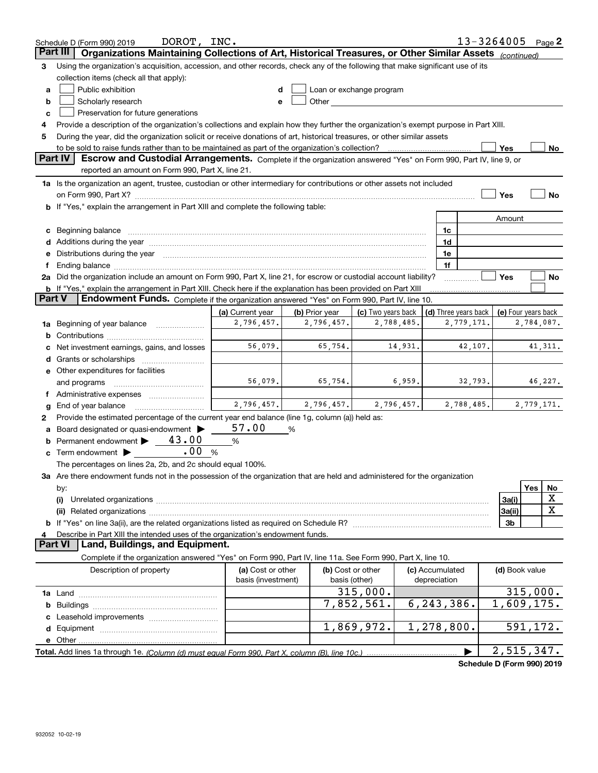|               | DOROT, INC.<br>Schedule D (Form 990) 2019                                                                                            |                    |                |                          |                      | 13-3264005                 | Page $2$            |
|---------------|--------------------------------------------------------------------------------------------------------------------------------------|--------------------|----------------|--------------------------|----------------------|----------------------------|---------------------|
|               | Organizations Maintaining Collections of Art, Historical Treasures, or Other Similar Assets<br>Part III                              |                    |                |                          |                      | (continued)                |                     |
| 3             | Using the organization's acquisition, accession, and other records, check any of the following that make significant use of its      |                    |                |                          |                      |                            |                     |
|               | collection items (check all that apply):                                                                                             |                    |                |                          |                      |                            |                     |
| a             | Public exhibition                                                                                                                    |                    |                | Loan or exchange program |                      |                            |                     |
| b             | Scholarly research                                                                                                                   | e                  |                |                          |                      |                            |                     |
| c             | Preservation for future generations                                                                                                  |                    |                |                          |                      |                            |                     |
| 4             | Provide a description of the organization's collections and explain how they further the organization's exempt purpose in Part XIII. |                    |                |                          |                      |                            |                     |
| 5             | During the year, did the organization solicit or receive donations of art, historical treasures, or other similar assets             |                    |                |                          |                      |                            |                     |
|               | to be sold to raise funds rather than to be maintained as part of the organization's collection?                                     |                    |                |                          |                      | Yes                        | No                  |
|               | Part IV<br>Escrow and Custodial Arrangements. Complete if the organization answered "Yes" on Form 990, Part IV, line 9, or           |                    |                |                          |                      |                            |                     |
|               | reported an amount on Form 990, Part X, line 21.                                                                                     |                    |                |                          |                      |                            |                     |
|               | 1a Is the organization an agent, trustee, custodian or other intermediary for contributions or other assets not included             |                    |                |                          |                      |                            |                     |
|               |                                                                                                                                      |                    |                |                          |                      | Yes                        | <b>No</b>           |
|               | b If "Yes," explain the arrangement in Part XIII and complete the following table:                                                   |                    |                |                          |                      |                            |                     |
|               |                                                                                                                                      |                    |                |                          |                      | Amount                     |                     |
| c             | Beginning balance <u>www.marent.com married was contracted</u> and the contracted and the contracted and the contracted              |                    |                |                          | 1c                   |                            |                     |
|               |                                                                                                                                      |                    |                |                          | 1d                   |                            |                     |
| е             |                                                                                                                                      |                    |                |                          | 1e                   |                            |                     |
| f             | Distributions during the year manufactured and continuum and contained and the year manufactured and contained                       |                    |                |                          | 1f                   |                            |                     |
|               | 2a Did the organization include an amount on Form 990, Part X, line 21, for escrow or custodial account liability?                   |                    |                |                          |                      | Yes                        | No                  |
|               | <b>b</b> If "Yes," explain the arrangement in Part XIII. Check here if the explanation has been provided on Part XIII                |                    |                |                          |                      |                            |                     |
| <b>Part V</b> | <b>Endowment Funds.</b> Complete if the organization answered "Yes" on Form 990, Part IV, line 10.                                   |                    |                |                          |                      |                            |                     |
|               |                                                                                                                                      | (a) Current year   | (b) Prior year | (c) Two years back       | (d) Three years back |                            | (e) Four years back |
|               | Beginning of year balance                                                                                                            | 2,796,457.         | 2,796,457.     | 2,788,485.               | 2,779,171.           |                            | 2,784,087.          |
| 1a            |                                                                                                                                      |                    |                |                          |                      |                            |                     |
| b             |                                                                                                                                      | 56,079.            | 65,754.        | 14,931.                  | 42,107.              |                            | 41, 311.            |
|               | Net investment earnings, gains, and losses                                                                                           |                    |                |                          |                      |                            |                     |
| d             |                                                                                                                                      |                    |                |                          |                      |                            |                     |
|               | e Other expenditures for facilities                                                                                                  | 56,079.            | 65,754.        | 6,959.                   | 32,793.              |                            |                     |
|               | and programs                                                                                                                         |                    |                |                          |                      |                            | 46,227.             |
| Ť.            | Administrative expenses <i></i>                                                                                                      | 2,796,457.         |                |                          |                      |                            |                     |
| g             | End of year balance                                                                                                                  |                    | 2,796,457.     | 2,796,457.               | 2,788,485.           |                            | 2,779,171.          |
| 2             | Provide the estimated percentage of the current year end balance (line 1g, column (a)) held as:                                      |                    |                |                          |                      |                            |                     |
| а             | Board designated or quasi-endowment >                                                                                                | 57.00              | %              |                          |                      |                            |                     |
|               | Permanent endowment > 43.00                                                                                                          | %                  |                |                          |                      |                            |                     |
|               | .00<br>Term endowment $\blacktriangleright$                                                                                          | %                  |                |                          |                      |                            |                     |
|               | The percentages on lines 2a, 2b, and 2c should equal 100%.                                                                           |                    |                |                          |                      |                            |                     |
|               | 3a Are there endowment funds not in the possession of the organization that are held and administered for the organization           |                    |                |                          |                      |                            |                     |
|               | by:                                                                                                                                  |                    |                |                          |                      |                            | Yes<br>No           |
|               | (i)                                                                                                                                  |                    |                |                          |                      | 3a(i)                      | х                   |
|               |                                                                                                                                      |                    |                |                          |                      | 3a(ii)                     | X                   |
|               |                                                                                                                                      |                    |                |                          |                      | 3 <sub>b</sub>             |                     |
| 4             | Describe in Part XIII the intended uses of the organization's endowment funds.<br><b>Part VI</b>                                     |                    |                |                          |                      |                            |                     |
|               | Land, Buildings, and Equipment.                                                                                                      |                    |                |                          |                      |                            |                     |
|               | Complete if the organization answered "Yes" on Form 990, Part IV, line 11a. See Form 990, Part X, line 10.                           |                    |                |                          |                      |                            |                     |
|               | Description of property                                                                                                              | (a) Cost or other  |                | (b) Cost or other        | (c) Accumulated      | (d) Book value             |                     |
|               |                                                                                                                                      | basis (investment) |                | basis (other)            | depreciation         |                            |                     |
|               |                                                                                                                                      |                    |                | 315,000.                 |                      |                            | 315,000.            |
|               |                                                                                                                                      |                    |                | 7,852,561.               | 6, 243, 386.         |                            | 1,609,175.          |
|               |                                                                                                                                      |                    |                |                          |                      |                            |                     |
|               |                                                                                                                                      |                    |                | 1,869,972.               | 1,278,800.           |                            | 591,172.            |
|               |                                                                                                                                      |                    |                |                          |                      |                            |                     |
|               | Total. Add lines 1a through 1e. (Column (d) must equal Form 990. Part X, column (B), line 10c.)                                      |                    |                |                          |                      |                            | 2,515,347.          |
|               |                                                                                                                                      |                    |                |                          |                      | Schedule D (Form 990) 2019 |                     |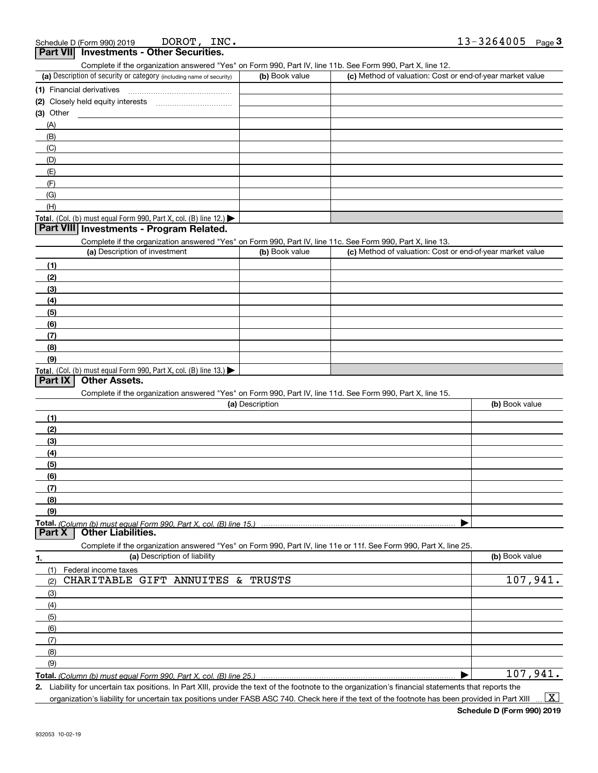| (a) Description of security or category (including name of security)                                                                              | (b) Book value  | Complete if the organization answered "Yes" on Form 990, Part IV, line 11b. See Form 990, Part X, line 12.<br>(c) Method of valuation: Cost or end-of-year market value |                |
|---------------------------------------------------------------------------------------------------------------------------------------------------|-----------------|-------------------------------------------------------------------------------------------------------------------------------------------------------------------------|----------------|
| (1) Financial derivatives                                                                                                                         |                 |                                                                                                                                                                         |                |
|                                                                                                                                                   |                 |                                                                                                                                                                         |                |
| $(3)$ Other                                                                                                                                       |                 |                                                                                                                                                                         |                |
| (A)                                                                                                                                               |                 |                                                                                                                                                                         |                |
| (B)                                                                                                                                               |                 |                                                                                                                                                                         |                |
| (C)                                                                                                                                               |                 |                                                                                                                                                                         |                |
| (D)                                                                                                                                               |                 |                                                                                                                                                                         |                |
|                                                                                                                                                   |                 |                                                                                                                                                                         |                |
| (E)                                                                                                                                               |                 |                                                                                                                                                                         |                |
| (F)                                                                                                                                               |                 |                                                                                                                                                                         |                |
| (G)                                                                                                                                               |                 |                                                                                                                                                                         |                |
| (H)                                                                                                                                               |                 |                                                                                                                                                                         |                |
| Total. (Col. (b) must equal Form 990, Part X, col. (B) line 12.) $\blacktriangleright$                                                            |                 |                                                                                                                                                                         |                |
| Part VIII Investments - Program Related.                                                                                                          |                 |                                                                                                                                                                         |                |
| Complete if the organization answered "Yes" on Form 990, Part IV, line 11c. See Form 990, Part X, line 13.                                        |                 |                                                                                                                                                                         |                |
| (a) Description of investment                                                                                                                     | (b) Book value  | (c) Method of valuation: Cost or end-of-year market value                                                                                                               |                |
| (1)                                                                                                                                               |                 |                                                                                                                                                                         |                |
| (2)                                                                                                                                               |                 |                                                                                                                                                                         |                |
| (3)                                                                                                                                               |                 |                                                                                                                                                                         |                |
| (4)                                                                                                                                               |                 |                                                                                                                                                                         |                |
| (5)                                                                                                                                               |                 |                                                                                                                                                                         |                |
| (6)                                                                                                                                               |                 |                                                                                                                                                                         |                |
| (7)                                                                                                                                               |                 |                                                                                                                                                                         |                |
| (8)                                                                                                                                               |                 |                                                                                                                                                                         |                |
| (9)                                                                                                                                               |                 |                                                                                                                                                                         |                |
| Total. (Col. (b) must equal Form 990, Part X, col. (B) line 13.)                                                                                  |                 |                                                                                                                                                                         |                |
| <b>Other Assets.</b><br><b>Part IX</b>                                                                                                            |                 |                                                                                                                                                                         |                |
| Complete if the organization answered "Yes" on Form 990, Part IV, line 11d. See Form 990, Part X, line 15.                                        |                 |                                                                                                                                                                         |                |
|                                                                                                                                                   |                 |                                                                                                                                                                         |                |
|                                                                                                                                                   |                 |                                                                                                                                                                         |                |
|                                                                                                                                                   | (a) Description |                                                                                                                                                                         | (b) Book value |
| (1)                                                                                                                                               |                 |                                                                                                                                                                         |                |
| (2)                                                                                                                                               |                 |                                                                                                                                                                         |                |
| (3)                                                                                                                                               |                 |                                                                                                                                                                         |                |
| (4)                                                                                                                                               |                 |                                                                                                                                                                         |                |
| (5)                                                                                                                                               |                 |                                                                                                                                                                         |                |
| (6)                                                                                                                                               |                 |                                                                                                                                                                         |                |
| (7)                                                                                                                                               |                 |                                                                                                                                                                         |                |
| (8)                                                                                                                                               |                 |                                                                                                                                                                         |                |
| (9)                                                                                                                                               |                 |                                                                                                                                                                         |                |
| <b>Other Liabilities.</b>                                                                                                                         |                 |                                                                                                                                                                         |                |
|                                                                                                                                                   |                 |                                                                                                                                                                         |                |
| Complete if the organization answered "Yes" on Form 990, Part IV, line 11e or 11f. See Form 990, Part X, line 25.<br>(a) Description of liability |                 |                                                                                                                                                                         |                |
|                                                                                                                                                   |                 |                                                                                                                                                                         | (b) Book value |
| Federal income taxes<br>(1)                                                                                                                       |                 |                                                                                                                                                                         |                |
| CHARITABLE GIFT ANNUITES &<br>(2)                                                                                                                 | <b>TRUSTS</b>   |                                                                                                                                                                         | 107,941.       |
| (3)                                                                                                                                               |                 |                                                                                                                                                                         |                |
| (4)                                                                                                                                               |                 |                                                                                                                                                                         |                |
| (5)                                                                                                                                               |                 |                                                                                                                                                                         |                |
| (6)                                                                                                                                               |                 |                                                                                                                                                                         |                |
| (7)                                                                                                                                               |                 |                                                                                                                                                                         |                |
| (8)                                                                                                                                               |                 |                                                                                                                                                                         |                |
| Part X<br>1.<br>(9)                                                                                                                               |                 |                                                                                                                                                                         | 107,941.       |

**Total.**  *(Column (b) must equal Form 990, Part X, col. (B) line 25.)*

**2.** Liability for uncertain tax positions. In Part XIII, provide the text of the footnote to the organization's financial statements that reports the organization's liability for uncertain tax positions under FASB ASC 740. Check here if the text of the footnote has been provided in Part XIII  $\vert$  X  $\vert$ 

**Schedule D (Form 990) 2019**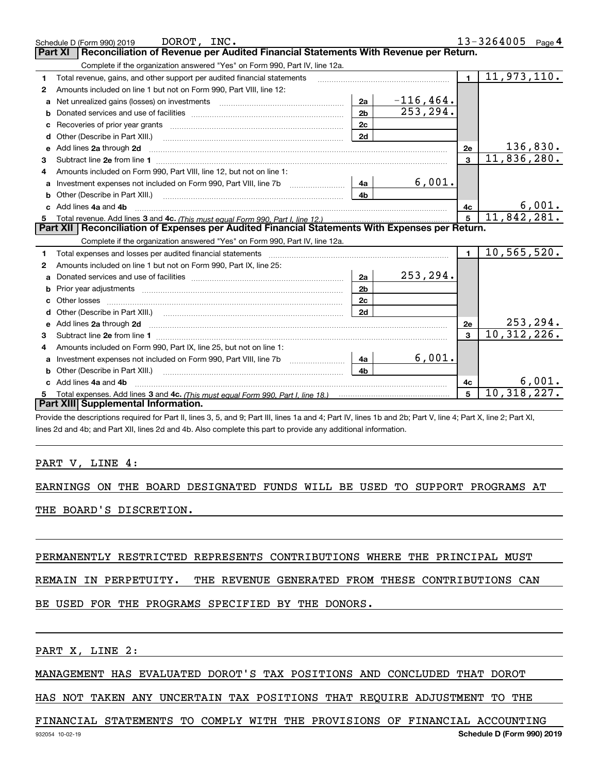|              | DOROT, INC.<br>Schedule D (Form 990) 2019                                                                                                                                                                                      |                |              |                 | $13 - 3264005$ Page 4     |
|--------------|--------------------------------------------------------------------------------------------------------------------------------------------------------------------------------------------------------------------------------|----------------|--------------|-----------------|---------------------------|
|              | Reconciliation of Revenue per Audited Financial Statements With Revenue per Return.<br>Part XI                                                                                                                                 |                |              |                 |                           |
|              | Complete if the organization answered "Yes" on Form 990, Part IV, line 12a.                                                                                                                                                    |                |              |                 |                           |
| 1            | Total revenue, gains, and other support per audited financial statements                                                                                                                                                       |                |              | $\blacksquare$  | $\overline{11,973,110}$ . |
| $\mathbf{2}$ | Amounts included on line 1 but not on Form 990, Part VIII, line 12:                                                                                                                                                            |                |              |                 |                           |
|              | Net unrealized gains (losses) on investments [11] matter contracts and the unrealized gains (losses) on investments                                                                                                            | 2a             | $-116, 464.$ |                 |                           |
| b            |                                                                                                                                                                                                                                | 2 <sub>b</sub> | 253,294.     |                 |                           |
| c            |                                                                                                                                                                                                                                | 2c             |              |                 |                           |
| d            | Other (Describe in Part XIII.)                                                                                                                                                                                                 | 2d             |              |                 |                           |
| е            | Add lines 2a through 2d                                                                                                                                                                                                        |                |              | 2e              | 136,830.                  |
| 3            | Subtract line 2e from line 1 <b>manufacture in the contract of the 2e</b> from line 1                                                                                                                                          |                |              | 3               | 11,836,280.               |
|              | Amounts included on Form 990, Part VIII, line 12, but not on line 1:                                                                                                                                                           |                |              |                 |                           |
| a            |                                                                                                                                                                                                                                | 4a             | 6,001.       |                 |                           |
| b            |                                                                                                                                                                                                                                | 4b             |              |                 |                           |
|              | Add lines 4a and 4b                                                                                                                                                                                                            |                |              | 4c              | 6,001.                    |
| 5            |                                                                                                                                                                                                                                |                |              | $5\overline{5}$ | 11,842,281.               |
|              | Part XII   Reconciliation of Expenses per Audited Financial Statements With Expenses per Return.                                                                                                                               |                |              |                 |                           |
|              | Complete if the organization answered "Yes" on Form 990, Part IV, line 12a.                                                                                                                                                    |                |              |                 |                           |
| 1            | Total expenses and losses per audited financial statements [11] [12] contain the control of the statements [11] [12] and the statements [12] and the statements [12] and the statements [12] and the statements [12] and the s |                |              | $\blacksquare$  | 10,565,520.               |
| 2            | Amounts included on line 1 but not on Form 990, Part IX, line 25:                                                                                                                                                              |                |              |                 |                           |
| a            |                                                                                                                                                                                                                                | 2a             | 253,294.     |                 |                           |
| b            |                                                                                                                                                                                                                                | 2b             |              |                 |                           |
| c            |                                                                                                                                                                                                                                | 2c             |              |                 |                           |
| d            |                                                                                                                                                                                                                                | 2d             |              |                 |                           |
|              |                                                                                                                                                                                                                                |                |              | 2e              | 253,294.                  |
| з            |                                                                                                                                                                                                                                |                |              |                 |                           |
|              |                                                                                                                                                                                                                                |                |              | $\mathbf{R}$    | 10, 312, 226.             |
| 4            | Amounts included on Form 990, Part IX, line 25, but not on line 1:                                                                                                                                                             |                |              |                 |                           |
|              |                                                                                                                                                                                                                                | 4a             | 6,001.       |                 |                           |
| b            | Other (Describe in Part XIII.) <b>Construction Contract Construction</b> Chemistry Chemistry Chemistry Chemistry Chemistry                                                                                                     | 4b             |              |                 |                           |
|              | c Add lines 4a and 4b                                                                                                                                                                                                          |                |              | 4с              | 6,001.                    |
|              | Part XIII Supplemental Information.                                                                                                                                                                                            |                |              | 5               | 10,318,227.               |

Provide the descriptions required for Part II, lines 3, 5, and 9; Part III, lines 1a and 4; Part IV, lines 1b and 2b; Part V, line 4; Part X, line 2; Part XI, lines 2d and 4b; and Part XII, lines 2d and 4b. Also complete this part to provide any additional information.

#### PART V, LINE 4:

EARNINGS ON THE BOARD DESIGNATED FUNDS WILL BE USED TO SUPPORT PROGRAMS AT THE BOARD'S DISCRETION.

PERMANENTLY RESTRICTED REPRESENTS CONTRIBUTIONS WHERE THE PRINCIPAL MUST

REMAIN IN PERPETUITY. THE REVENUE GENERATED FROM THESE CONTRIBUTIONS CAN

BE USED FOR THE PROGRAMS SPECIFIED BY THE DONORS.

PART X, LINE 2:

MANAGEMENT HAS EVALUATED DOROT'S TAX POSITIONS AND CONCLUDED THAT DOROT

HAS NOT TAKEN ANY UNCERTAIN TAX POSITIONS THAT REQUIRE ADJUSTMENT TO THE

#### FINANCIAL STATEMENTS TO COMPLY WITH THE PROVISIONS OF FINANCIAL ACCOUNTING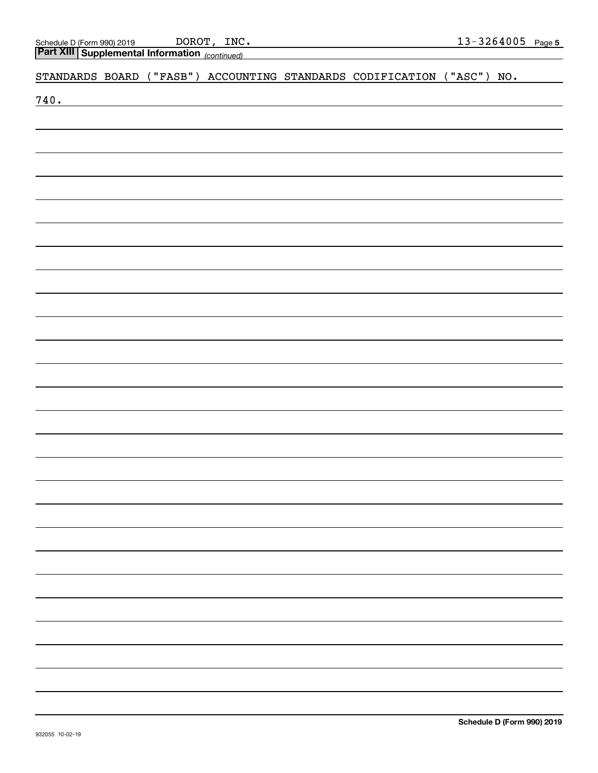*(continued)* **Part XIII Supplemental Information** 

STANDARDS BOARD ("FASB") ACCOUNTING STANDARDS CODIFICATION ("ASC") NO.

740.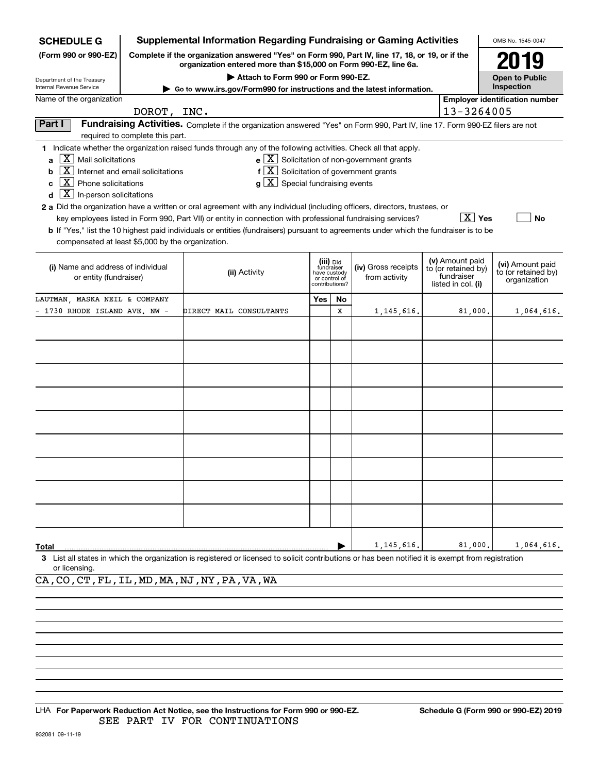| <b>SCHEDULE G</b>                                                                                                                                                                                   |                                                     | <b>Supplemental Information Regarding Fundraising or Gaming Activities</b>                                                                                                                                                                                                                                                                                                                                                                                                                                                                                                                                      |                                |                                          |                                                                      |                                                                            | OMB No. 1545-0047                                       |
|-----------------------------------------------------------------------------------------------------------------------------------------------------------------------------------------------------|-----------------------------------------------------|-----------------------------------------------------------------------------------------------------------------------------------------------------------------------------------------------------------------------------------------------------------------------------------------------------------------------------------------------------------------------------------------------------------------------------------------------------------------------------------------------------------------------------------------------------------------------------------------------------------------|--------------------------------|------------------------------------------|----------------------------------------------------------------------|----------------------------------------------------------------------------|---------------------------------------------------------|
| (Form 990 or 990-EZ)                                                                                                                                                                                |                                                     | Complete if the organization answered "Yes" on Form 990, Part IV, line 17, 18, or 19, or if the<br>organization entered more than \$15,000 on Form 990-EZ, line 6a.                                                                                                                                                                                                                                                                                                                                                                                                                                             |                                |                                          |                                                                      |                                                                            | 2019                                                    |
| Department of the Treasury                                                                                                                                                                          |                                                     | Attach to Form 990 or Form 990-EZ.                                                                                                                                                                                                                                                                                                                                                                                                                                                                                                                                                                              |                                |                                          |                                                                      |                                                                            | <b>Open to Public</b>                                   |
| Internal Revenue Service                                                                                                                                                                            |                                                     | Go to www.irs.gov/Form990 for instructions and the latest information.                                                                                                                                                                                                                                                                                                                                                                                                                                                                                                                                          |                                |                                          |                                                                      |                                                                            | Inspection                                              |
| Name of the organization                                                                                                                                                                            |                                                     |                                                                                                                                                                                                                                                                                                                                                                                                                                                                                                                                                                                                                 |                                |                                          |                                                                      |                                                                            | <b>Employer identification number</b>                   |
|                                                                                                                                                                                                     | DOROT, INC.                                         |                                                                                                                                                                                                                                                                                                                                                                                                                                                                                                                                                                                                                 |                                |                                          |                                                                      | 13-3264005                                                                 |                                                         |
| Part I                                                                                                                                                                                              | required to complete this part.                     | Fundraising Activities. Complete if the organization answered "Yes" on Form 990, Part IV, line 17. Form 990-EZ filers are not                                                                                                                                                                                                                                                                                                                                                                                                                                                                                   |                                |                                          |                                                                      |                                                                            |                                                         |
| $\boxed{\text{X}}$ Mail solicitations<br>b<br>$\boxed{\text{X}}$ Phone solicitations<br>c<br>$\boxed{\textbf{X}}$ In-person solicitations<br>d<br>compensated at least \$5,000 by the organization. | $\boxed{\text{X}}$ Internet and email solicitations | 1 Indicate whether the organization raised funds through any of the following activities. Check all that apply.<br>$f\left[\overline{X}\right]$ Solicitation of government grants<br>$g\mid X$ Special fundraising events<br>2 a Did the organization have a written or oral agreement with any individual (including officers, directors, trustees, or<br>key employees listed in Form 990, Part VII) or entity in connection with professional fundraising services?<br>b If "Yes," list the 10 highest paid individuals or entities (fundraisers) pursuant to agreements under which the fundraiser is to be |                                |                                          | $\mathbf{e} \times \mathbf{X}$ Solicitation of non-government grants | $\boxed{\text{X}}$ Yes                                                     | <b>No</b>                                               |
| (i) Name and address of individual<br>or entity (fundraiser)                                                                                                                                        |                                                     | (ii) Activity                                                                                                                                                                                                                                                                                                                                                                                                                                                                                                                                                                                                   | have custody<br>contributions? | (iii) Did<br>fundraiser<br>or control of | (iv) Gross receipts<br>from activity                                 | (v) Amount paid<br>to (or retained by)<br>fundraiser<br>listed in col. (i) | (vi) Amount paid<br>to (or retained by)<br>organization |
| LAUTMAN, MASKA NEIL & COMPANY                                                                                                                                                                       |                                                     |                                                                                                                                                                                                                                                                                                                                                                                                                                                                                                                                                                                                                 | <b>Yes</b>                     | No                                       |                                                                      |                                                                            |                                                         |
| 1730 RHODE ISLAND AVE. NW -                                                                                                                                                                         |                                                     | DIRECT MAIL CONSULTANTS                                                                                                                                                                                                                                                                                                                                                                                                                                                                                                                                                                                         |                                | x                                        | 1, 145, 616.                                                         | 81,000.                                                                    | 1,064,616.                                              |
|                                                                                                                                                                                                     |                                                     |                                                                                                                                                                                                                                                                                                                                                                                                                                                                                                                                                                                                                 |                                |                                          |                                                                      |                                                                            |                                                         |
|                                                                                                                                                                                                     |                                                     |                                                                                                                                                                                                                                                                                                                                                                                                                                                                                                                                                                                                                 |                                |                                          |                                                                      |                                                                            |                                                         |
|                                                                                                                                                                                                     |                                                     |                                                                                                                                                                                                                                                                                                                                                                                                                                                                                                                                                                                                                 |                                |                                          |                                                                      |                                                                            |                                                         |
|                                                                                                                                                                                                     |                                                     |                                                                                                                                                                                                                                                                                                                                                                                                                                                                                                                                                                                                                 |                                |                                          |                                                                      |                                                                            |                                                         |
|                                                                                                                                                                                                     |                                                     |                                                                                                                                                                                                                                                                                                                                                                                                                                                                                                                                                                                                                 |                                |                                          |                                                                      |                                                                            |                                                         |
|                                                                                                                                                                                                     |                                                     |                                                                                                                                                                                                                                                                                                                                                                                                                                                                                                                                                                                                                 |                                |                                          |                                                                      |                                                                            |                                                         |
|                                                                                                                                                                                                     |                                                     |                                                                                                                                                                                                                                                                                                                                                                                                                                                                                                                                                                                                                 |                                |                                          |                                                                      |                                                                            |                                                         |
|                                                                                                                                                                                                     |                                                     |                                                                                                                                                                                                                                                                                                                                                                                                                                                                                                                                                                                                                 |                                |                                          |                                                                      |                                                                            |                                                         |
|                                                                                                                                                                                                     |                                                     |                                                                                                                                                                                                                                                                                                                                                                                                                                                                                                                                                                                                                 |                                |                                          |                                                                      |                                                                            |                                                         |
| Total                                                                                                                                                                                               |                                                     |                                                                                                                                                                                                                                                                                                                                                                                                                                                                                                                                                                                                                 |                                |                                          | 1, 145, 616,                                                         | 81,000.                                                                    | 1,064,616.                                              |
| or licensing.                                                                                                                                                                                       |                                                     | 3 List all states in which the organization is registered or licensed to solicit contributions or has been notified it is exempt from registration                                                                                                                                                                                                                                                                                                                                                                                                                                                              |                                |                                          |                                                                      |                                                                            |                                                         |

CA,CO,CT,FL,IL,MD,MA,NJ,NY,PA,VA,WA

LHA For Paperwork Reduction Act Notice, see the Instructions for Form 990 or 990-EZ. Schedule G (Form 990 or 990-EZ) 2019 SEE PART IV FOR CONTINUATIONS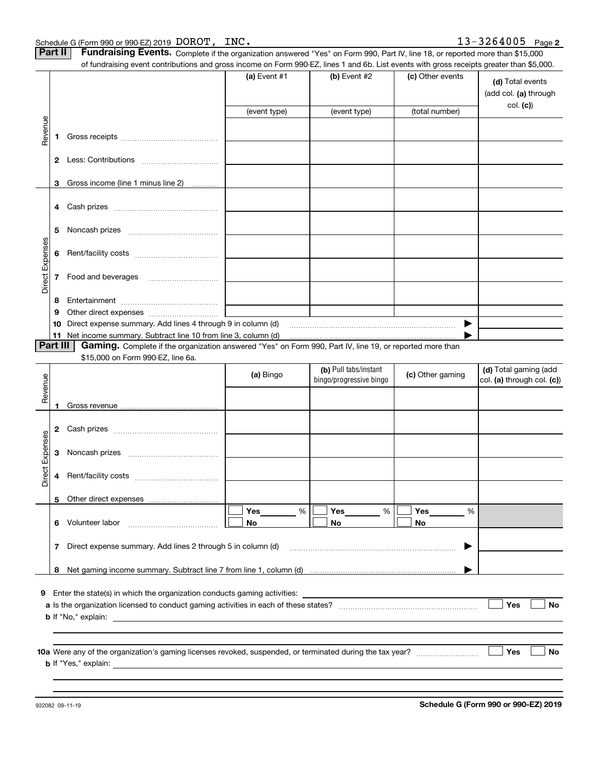|                            |          | of fundraising event contributions and gross income on Form 990-EZ, lines 1 and 6b. List events with gross receipts greater than \$5,000.            | (a) Event $#1$        | (b) Event $#2$                                   | (c) Other events | (d) Total events                                    |
|----------------------------|----------|------------------------------------------------------------------------------------------------------------------------------------------------------|-----------------------|--------------------------------------------------|------------------|-----------------------------------------------------|
|                            |          |                                                                                                                                                      |                       |                                                  |                  | (add col. (a) through<br>col. (c)                   |
|                            |          |                                                                                                                                                      | (event type)          | (event type)                                     | (total number)   |                                                     |
|                            | 1.       |                                                                                                                                                      |                       |                                                  |                  |                                                     |
|                            |          |                                                                                                                                                      |                       |                                                  |                  |                                                     |
|                            | 3        | Gross income (line 1 minus line 2)                                                                                                                   |                       |                                                  |                  |                                                     |
|                            | 4        |                                                                                                                                                      |                       |                                                  |                  |                                                     |
|                            | 5        |                                                                                                                                                      |                       |                                                  |                  |                                                     |
|                            |          |                                                                                                                                                      |                       |                                                  |                  |                                                     |
|                            |          |                                                                                                                                                      |                       |                                                  |                  |                                                     |
|                            | 8        |                                                                                                                                                      |                       |                                                  |                  |                                                     |
|                            | 9        |                                                                                                                                                      |                       |                                                  |                  |                                                     |
|                            | Part III | <b>Gaming.</b> Complete if the organization answered "Yes" on Form 990, Part IV, line 19, or reported more than<br>\$15,000 on Form 990-EZ, line 6a. |                       |                                                  |                  |                                                     |
|                            |          |                                                                                                                                                      | (a) Bingo             | (b) Pull tabs/instant<br>bingo/progressive bingo | (c) Other gaming |                                                     |
|                            |          |                                                                                                                                                      |                       |                                                  |                  | (d) Total gaming (add<br>col. (a) through col. (c)) |
|                            | 2        |                                                                                                                                                      |                       |                                                  |                  |                                                     |
|                            | 3        |                                                                                                                                                      |                       |                                                  |                  |                                                     |
|                            | 4        |                                                                                                                                                      |                       |                                                  |                  |                                                     |
|                            | 5        |                                                                                                                                                      |                       |                                                  |                  |                                                     |
|                            |          | 6 Volunteer labor                                                                                                                                    | <b>Yes</b><br>%<br>No | %<br><b>Yes</b><br>No                            | Yes<br>%<br>No   |                                                     |
|                            | 7        |                                                                                                                                                      |                       |                                                  | ▶                |                                                     |
|                            |          |                                                                                                                                                      |                       |                                                  |                  |                                                     |
|                            |          |                                                                                                                                                      |                       |                                                  |                  |                                                     |
| Revenue<br>Direct Expenses |          | Enter the state(s) in which the organization conducts gaming activities:                                                                             |                       |                                                  |                  | Yes                                                 |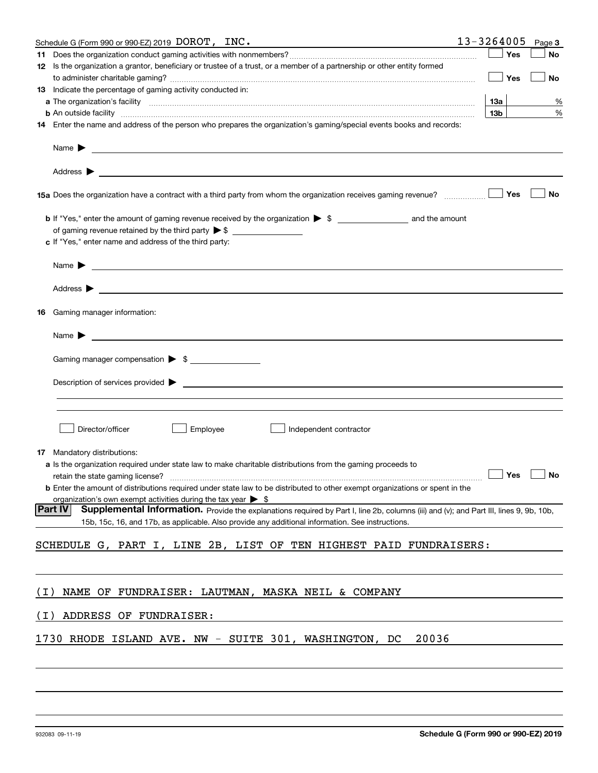|       | Schedule G (Form 990 or 990-EZ) 2019 DOROT, INC.                                                                                                                                                                                                      | 13-3264005      | Page 3 |
|-------|-------------------------------------------------------------------------------------------------------------------------------------------------------------------------------------------------------------------------------------------------------|-----------------|--------|
| 11    |                                                                                                                                                                                                                                                       | Yes             | No     |
|       | 12 Is the organization a grantor, beneficiary or trustee of a trust, or a member of a partnership or other entity formed                                                                                                                              | Yes             | No     |
|       | 13 Indicate the percentage of gaming activity conducted in:                                                                                                                                                                                           |                 |        |
|       | a The organization's facility measurements are constructed as the construction of the construction of the construction of the construction of the construction of the construction of the construction of the construction of                         | 13а             | %      |
|       | <b>b</b> An outside facility <i>www.communically.communically.communically.communically.communically.communically.communically.communically.communically.communically.communically.communically.communically.communically.communicall</i>             | 13 <sub>b</sub> | %      |
|       | 14 Enter the name and address of the person who prepares the organization's gaming/special events books and records:                                                                                                                                  |                 |        |
|       | Name $\blacktriangleright$                                                                                                                                                                                                                            |                 |        |
|       |                                                                                                                                                                                                                                                       |                 |        |
|       |                                                                                                                                                                                                                                                       | Yes             | No     |
|       | of gaming revenue retained by the third party $\triangleright$ \$                                                                                                                                                                                     |                 |        |
|       | c If "Yes," enter name and address of the third party:                                                                                                                                                                                                |                 |        |
|       |                                                                                                                                                                                                                                                       |                 |        |
|       | Address $\blacktriangleright$                                                                                                                                                                                                                         |                 |        |
| 16    | Gaming manager information:                                                                                                                                                                                                                           |                 |        |
|       | <u> 1989 - Johann Barbara, martin amerikan basal dan berasal dan berasal dalam basal dan berasal dan berasal dan</u><br>Name $\blacktriangleright$                                                                                                    |                 |        |
|       | Gaming manager compensation > \$                                                                                                                                                                                                                      |                 |        |
|       | Description of services provided states and the service of the service of the services provided states are serviced to be a service of the services provided states and the services of the services of the services of the se                        |                 |        |
|       |                                                                                                                                                                                                                                                       |                 |        |
|       | Director/officer<br>Employee<br>Independent contractor                                                                                                                                                                                                |                 |        |
| 17    | Mandatory distributions:                                                                                                                                                                                                                              |                 |        |
|       | a Is the organization required under state law to make charitable distributions from the gaming proceeds to<br>$\Box$ Yes $\Box$ No<br>retain the state gaming license?                                                                               |                 |        |
|       | <b>b</b> Enter the amount of distributions required under state law to be distributed to other exempt organizations or spent in the<br>organization's own exempt activities during the tax year $\triangleright$ \$                                   |                 |        |
|       | Part IV<br>Supplemental Information. Provide the explanations required by Part I, line 2b, columns (iii) and (v); and Part III, lines 9, 9b, 10b,<br>15b, 15c, 16, and 17b, as applicable. Also provide any additional information. See instructions. |                 |        |
|       | SCHEDULE G, PART I, LINE 2B, LIST OF TEN HIGHEST PAID FUNDRAISERS:                                                                                                                                                                                    |                 |        |
|       |                                                                                                                                                                                                                                                       |                 |        |
| ( I ) | NAME OF FUNDRAISER: LAUTMAN, MASKA NEIL & COMPANY                                                                                                                                                                                                     |                 |        |
| ( I ) | ADDRESS OF FUNDRAISER:                                                                                                                                                                                                                                |                 |        |
|       | 1730 RHODE ISLAND AVE. NW - SUITE 301, WASHINGTON, DC<br>20036                                                                                                                                                                                        |                 |        |
|       |                                                                                                                                                                                                                                                       |                 |        |
|       |                                                                                                                                                                                                                                                       |                 |        |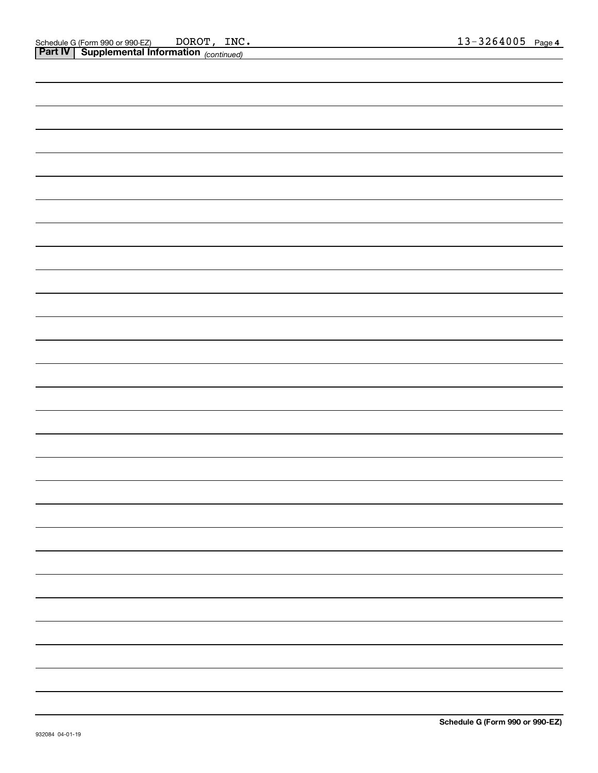| <b>Part IV Supplemental Information</b> (continued) |   |
|-----------------------------------------------------|---|
|                                                     |   |
|                                                     |   |
|                                                     |   |
|                                                     |   |
|                                                     |   |
|                                                     |   |
|                                                     |   |
|                                                     |   |
|                                                     |   |
|                                                     |   |
|                                                     |   |
|                                                     |   |
|                                                     |   |
|                                                     |   |
|                                                     |   |
|                                                     |   |
|                                                     |   |
|                                                     |   |
|                                                     |   |
|                                                     | - |
|                                                     | - |
|                                                     |   |
|                                                     |   |
|                                                     |   |
|                                                     |   |
|                                                     |   |
|                                                     |   |
|                                                     |   |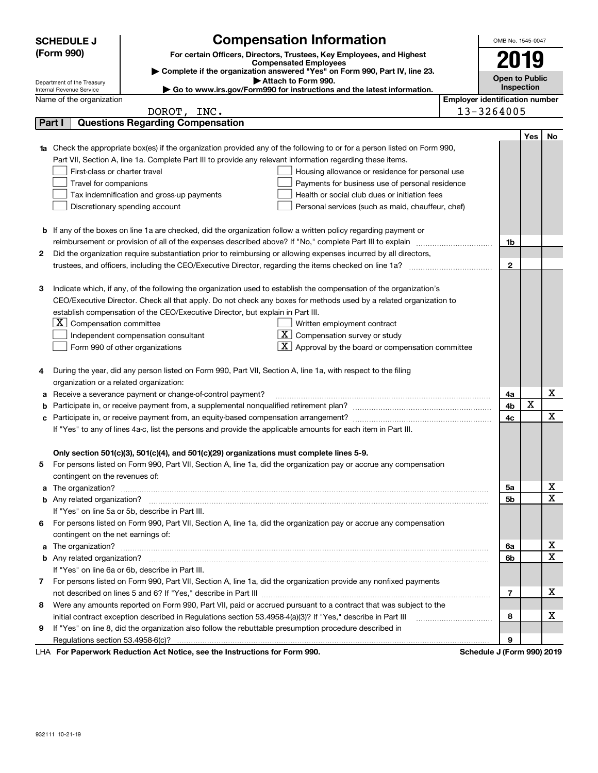|   | <b>SCHEDULE J</b>                                                              | <b>Compensation Information</b>                                                                                                                                                                                                      |                                       | OMB No. 1545-0047          |      |             |  |
|---|--------------------------------------------------------------------------------|--------------------------------------------------------------------------------------------------------------------------------------------------------------------------------------------------------------------------------------|---------------------------------------|----------------------------|------|-------------|--|
|   | (Form 990)                                                                     | For certain Officers, Directors, Trustees, Key Employees, and Highest                                                                                                                                                                |                                       |                            | 2019 |             |  |
|   |                                                                                | <b>Compensated Employees</b>                                                                                                                                                                                                         |                                       |                            |      |             |  |
|   |                                                                                | Complete if the organization answered "Yes" on Form 990, Part IV, line 23.<br>Attach to Form 990.                                                                                                                                    |                                       | <b>Open to Public</b>      |      |             |  |
|   | Department of the Treasury<br>Internal Revenue Service                         | ► Go to www.irs.gov/Form990 for instructions and the latest information.                                                                                                                                                             |                                       | Inspection                 |      |             |  |
|   | Name of the organization                                                       |                                                                                                                                                                                                                                      | <b>Employer identification number</b> |                            |      |             |  |
|   | DOROT, INC.                                                                    |                                                                                                                                                                                                                                      |                                       | 13-3264005                 |      |             |  |
|   | <b>Questions Regarding Compensation</b><br>Part I                              |                                                                                                                                                                                                                                      |                                       |                            |      |             |  |
|   |                                                                                |                                                                                                                                                                                                                                      |                                       |                            | Yes  | No          |  |
|   |                                                                                | Check the appropriate box(es) if the organization provided any of the following to or for a person listed on Form 990,                                                                                                               |                                       |                            |      |             |  |
|   |                                                                                | Part VII, Section A, line 1a. Complete Part III to provide any relevant information regarding these items.                                                                                                                           |                                       |                            |      |             |  |
|   | First-class or charter travel                                                  | Housing allowance or residence for personal use                                                                                                                                                                                      |                                       |                            |      |             |  |
|   | Travel for companions                                                          | Payments for business use of personal residence                                                                                                                                                                                      |                                       |                            |      |             |  |
|   | Tax indemnification and gross-up payments                                      | Health or social club dues or initiation fees                                                                                                                                                                                        |                                       |                            |      |             |  |
|   | Discretionary spending account                                                 | Personal services (such as maid, chauffeur, chef)                                                                                                                                                                                    |                                       |                            |      |             |  |
|   |                                                                                |                                                                                                                                                                                                                                      |                                       |                            |      |             |  |
| b |                                                                                | If any of the boxes on line 1a are checked, did the organization follow a written policy regarding payment or                                                                                                                        |                                       |                            |      |             |  |
|   |                                                                                | reimbursement or provision of all of the expenses described above? If "No," complete Part III to explain                                                                                                                             |                                       | 1b                         |      |             |  |
| 2 |                                                                                | Did the organization require substantiation prior to reimbursing or allowing expenses incurred by all directors,                                                                                                                     |                                       |                            |      |             |  |
|   |                                                                                |                                                                                                                                                                                                                                      |                                       | $\mathbf{2}$               |      |             |  |
|   |                                                                                |                                                                                                                                                                                                                                      |                                       |                            |      |             |  |
| з |                                                                                | Indicate which, if any, of the following the organization used to establish the compensation of the organization's                                                                                                                   |                                       |                            |      |             |  |
|   |                                                                                | CEO/Executive Director. Check all that apply. Do not check any boxes for methods used by a related organization to                                                                                                                   |                                       |                            |      |             |  |
|   | establish compensation of the CEO/Executive Director, but explain in Part III. |                                                                                                                                                                                                                                      |                                       |                            |      |             |  |
|   | $X$ Compensation committee                                                     | Written employment contract                                                                                                                                                                                                          |                                       |                            |      |             |  |
|   | Independent compensation consultant                                            | $\overline{X}$ Compensation survey or study                                                                                                                                                                                          |                                       |                            |      |             |  |
|   | Form 990 of other organizations                                                | Approval by the board or compensation committee                                                                                                                                                                                      |                                       |                            |      |             |  |
| 4 |                                                                                | During the year, did any person listed on Form 990, Part VII, Section A, line 1a, with respect to the filing                                                                                                                         |                                       |                            |      |             |  |
|   | organization or a related organization:                                        |                                                                                                                                                                                                                                      |                                       |                            |      |             |  |
| а | Receive a severance payment or change-of-control payment?                      |                                                                                                                                                                                                                                      |                                       | 4a                         |      | х           |  |
| b |                                                                                |                                                                                                                                                                                                                                      |                                       | 4b                         | X    |             |  |
|   |                                                                                |                                                                                                                                                                                                                                      |                                       | 4c                         |      | х           |  |
|   |                                                                                | If "Yes" to any of lines 4a-c, list the persons and provide the applicable amounts for each item in Part III.                                                                                                                        |                                       |                            |      |             |  |
|   |                                                                                |                                                                                                                                                                                                                                      |                                       |                            |      |             |  |
|   |                                                                                | Only section 501(c)(3), 501(c)(4), and 501(c)(29) organizations must complete lines 5-9.                                                                                                                                             |                                       |                            |      |             |  |
| 5 |                                                                                | For persons listed on Form 990, Part VII, Section A, line 1a, did the organization pay or accrue any compensation                                                                                                                    |                                       |                            |      |             |  |
|   | contingent on the revenues of:                                                 |                                                                                                                                                                                                                                      |                                       |                            |      |             |  |
| a |                                                                                | The organization? <b>With the contract of the contract of the contract of the contract of the contract of the contract of the contract of the contract of the contract of the contract of the contract of the contract of the co</b> |                                       | 5а                         |      | х           |  |
|   |                                                                                |                                                                                                                                                                                                                                      |                                       | 5b                         |      | X           |  |
|   | If "Yes" on line 5a or 5b, describe in Part III.                               |                                                                                                                                                                                                                                      |                                       |                            |      |             |  |
| 6 |                                                                                | For persons listed on Form 990, Part VII, Section A, line 1a, did the organization pay or accrue any compensation                                                                                                                    |                                       |                            |      |             |  |
|   | contingent on the net earnings of:                                             |                                                                                                                                                                                                                                      |                                       |                            |      |             |  |
| a |                                                                                |                                                                                                                                                                                                                                      |                                       | 6a                         |      | х           |  |
|   |                                                                                |                                                                                                                                                                                                                                      |                                       | 6b                         |      | $\mathbf X$ |  |
|   | If "Yes" on line 6a or 6b, describe in Part III.                               |                                                                                                                                                                                                                                      |                                       |                            |      |             |  |
| 7 |                                                                                | For persons listed on Form 990, Part VII, Section A, line 1a, did the organization provide any nonfixed payments                                                                                                                     |                                       |                            |      |             |  |
|   |                                                                                |                                                                                                                                                                                                                                      |                                       | 7                          |      | х           |  |
| 8 |                                                                                | Were any amounts reported on Form 990, Part VII, paid or accrued pursuant to a contract that was subject to the                                                                                                                      |                                       |                            |      |             |  |
|   |                                                                                | initial contract exception described in Regulations section 53.4958-4(a)(3)? If "Yes," describe in Part III                                                                                                                          |                                       | 8                          |      | х           |  |
| 9 |                                                                                | If "Yes" on line 8, did the organization also follow the rebuttable presumption procedure described in                                                                                                                               |                                       |                            |      |             |  |
|   |                                                                                |                                                                                                                                                                                                                                      |                                       | 9                          |      |             |  |
|   | r Deperwerk Reduction Act Notice, and the Instructions for Form 000            |                                                                                                                                                                                                                                      |                                       | Cohodulo I (Form 000) 2010 |      |             |  |

LHA For Paperwork Reduction Act Notice, see the Instructions for Form 990. Schedule J (Form 990) 2019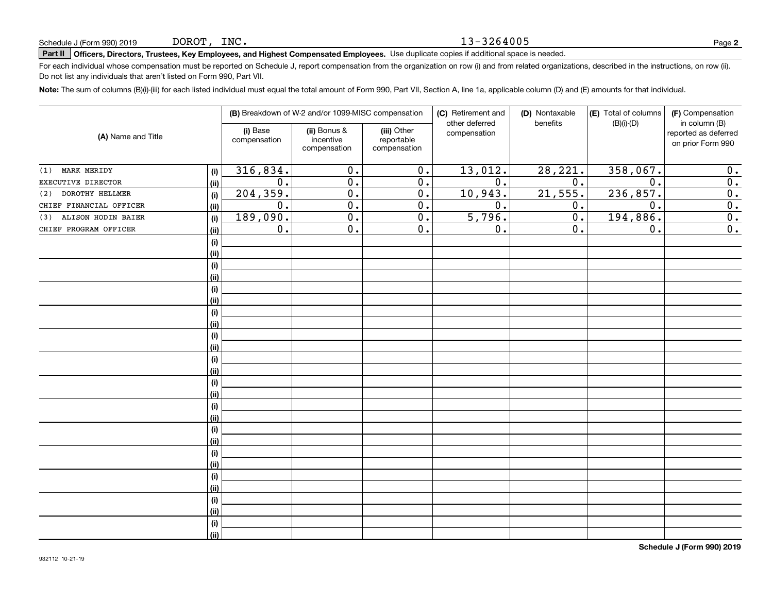#### 13-3264005

## **Part II Officers, Directors, Trustees, Key Employees, and Highest Compensated Employees.**  Schedule J (Form 990) 2019 Page Use duplicate copies if additional space is needed.

For each individual whose compensation must be reported on Schedule J, report compensation from the organization on row (i) and from related organizations, described in the instructions, on row (ii). Do not list any individuals that aren't listed on Form 990, Part VII.

**Note:**  The sum of columns (B)(i)-(iii) for each listed individual must equal the total amount of Form 990, Part VII, Section A, line 1a, applicable column (D) and (E) amounts for that individual.

| (A) Name and Title        |      | (B) Breakdown of W-2 and/or 1099-MISC compensation |                                           | (C) Retirement and<br>other deferred      | (D) Nontaxable<br>benefits | (E) Total of columns<br>$(B)(i)-(D)$ | (F) Compensation<br>in column (B) |                                           |
|---------------------------|------|----------------------------------------------------|-------------------------------------------|-------------------------------------------|----------------------------|--------------------------------------|-----------------------------------|-------------------------------------------|
|                           |      | (i) Base<br>compensation                           | (ii) Bonus &<br>incentive<br>compensation | (iii) Other<br>reportable<br>compensation | compensation               |                                      |                                   | reported as deferred<br>on prior Form 990 |
| MARK MERIDY<br>(1)        | (i)  | 316,834.                                           | 0.                                        | 0.                                        | 13,012.                    | 28, 221.                             | 358,067.                          | 0.                                        |
| EXECUTIVE DIRECTOR        | (ii) | 0.                                                 | 0.                                        | 0.                                        | 0.                         | 0.                                   | 0.                                | $\overline{0}$ .                          |
| DOROTHY HELLMER<br>(2)    | (i)  | 204,359.                                           | 0.                                        | 0.                                        | 10,943.                    | 21,555.                              | 236, 857.                         | $\overline{0}$ .                          |
| CHIEF FINANCIAL OFFICER   | (ii) | $0$ .                                              | $\overline{0}$ .                          | 0.                                        | 0.                         | 0.                                   | 0.                                | $\overline{0}$ .                          |
| ALISON HODIN BAIER<br>(3) | (i)  | 189,090.                                           | 0.                                        | 0.                                        | 5,796.                     | 0.                                   | 194, 886.                         | $\overline{0}$ .                          |
| CHIEF PROGRAM OFFICER     | (ii) | 0.                                                 | $\overline{0}$ .                          | 0.                                        | 0.                         | 0.                                   | 0.                                | $\overline{0}$ .                          |
|                           | (i)  |                                                    |                                           |                                           |                            |                                      |                                   |                                           |
|                           | (ii) |                                                    |                                           |                                           |                            |                                      |                                   |                                           |
|                           | (i)  |                                                    |                                           |                                           |                            |                                      |                                   |                                           |
|                           | (ii) |                                                    |                                           |                                           |                            |                                      |                                   |                                           |
|                           | (i)  |                                                    |                                           |                                           |                            |                                      |                                   |                                           |
|                           | (ii) |                                                    |                                           |                                           |                            |                                      |                                   |                                           |
|                           | (i)  |                                                    |                                           |                                           |                            |                                      |                                   |                                           |
|                           | (ii) |                                                    |                                           |                                           |                            |                                      |                                   |                                           |
|                           | (i)  |                                                    |                                           |                                           |                            |                                      |                                   |                                           |
|                           | (ii) |                                                    |                                           |                                           |                            |                                      |                                   |                                           |
|                           | (i)  |                                                    |                                           |                                           |                            |                                      |                                   |                                           |
|                           | (ii) |                                                    |                                           |                                           |                            |                                      |                                   |                                           |
|                           | (i)  |                                                    |                                           |                                           |                            |                                      |                                   |                                           |
|                           | (ii) |                                                    |                                           |                                           |                            |                                      |                                   |                                           |
|                           | (i)  |                                                    |                                           |                                           |                            |                                      |                                   |                                           |
|                           | (ii) |                                                    |                                           |                                           |                            |                                      |                                   |                                           |
|                           | (i)  |                                                    |                                           |                                           |                            |                                      |                                   |                                           |
|                           | (ii) |                                                    |                                           |                                           |                            |                                      |                                   |                                           |
|                           | (i)  |                                                    |                                           |                                           |                            |                                      |                                   |                                           |
|                           | (ii) |                                                    |                                           |                                           |                            |                                      |                                   |                                           |
|                           | (i)  |                                                    |                                           |                                           |                            |                                      |                                   |                                           |
|                           | (ii) |                                                    |                                           |                                           |                            |                                      |                                   |                                           |
|                           | (i)  |                                                    |                                           |                                           |                            |                                      |                                   |                                           |
|                           | (ii) |                                                    |                                           |                                           |                            |                                      |                                   |                                           |
|                           | (i)  |                                                    |                                           |                                           |                            |                                      |                                   |                                           |
|                           | (ii) |                                                    |                                           |                                           |                            |                                      |                                   |                                           |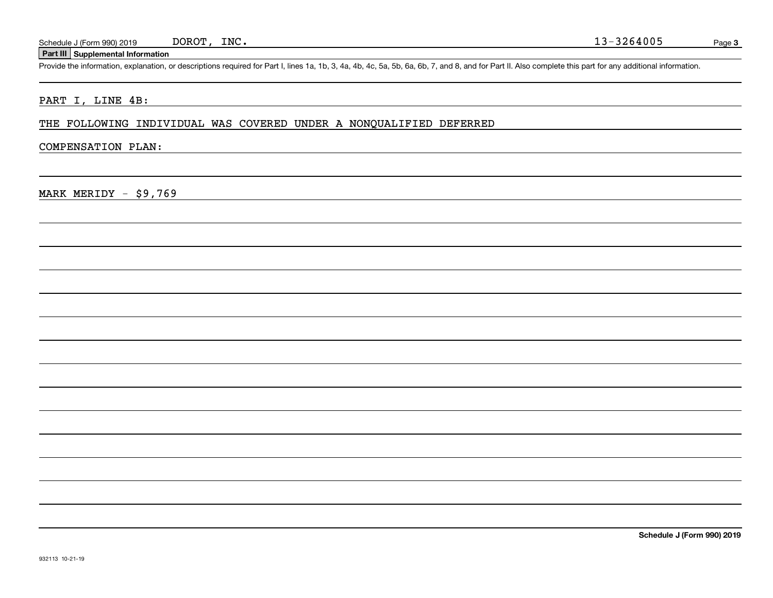DOROT, INC.

#### **Part III Supplemental Information**

Schedule J (Form 990) 2019 DOROT, INC.<br>Part III Supplemental Information<br>Provide the information, explanation, or descriptions required for Part I, lines 1a, 1b, 3, 4a, 4b, 4c, 5a, 5b, 6a, 6b, 7, and 8, and for Part II. Al

#### PART I, LINE 4B:

THE FOLLOWING INDIVIDUAL WAS COVERED UNDER A NONQUALIFIED DEFERRED

#### COMPENSATION PLAN:

MARK MERIDY - \$9,769

**Schedule J (Form 990) 2019**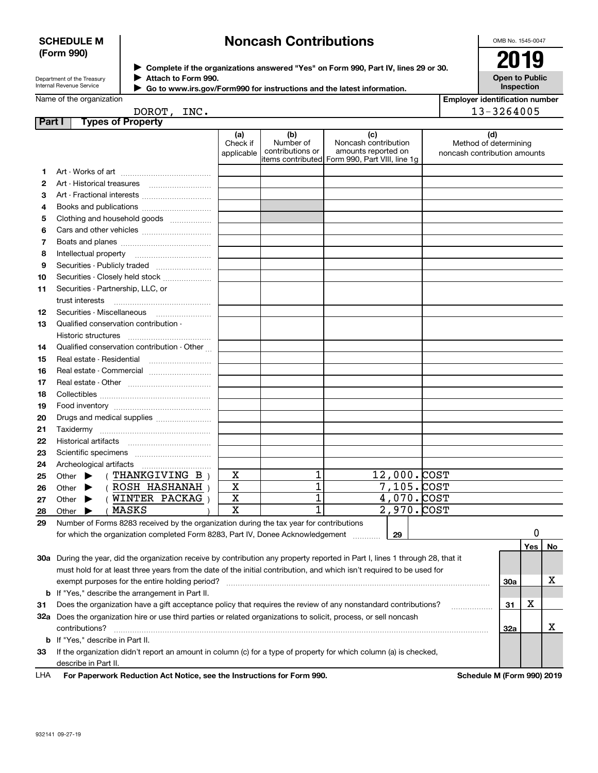#### **SCHEDULE M (Form 990)**

## **Noncash Contributions**

OMB No. 1545-0047

| Department of the Treasury      |  |
|---------------------------------|--|
| <b>Internal Revenue Service</b> |  |

**Complete if the organizations answered "Yes" on Form 990, Part IV, lines 29 or 30.** <sup>J</sup>**2019 Attach to Form 990.** J

**Open to Public Inspection**

| Name of the organization |  |
|--------------------------|--|

 $\blacktriangleright$ 

| ,,,,,,,,,,,,,,,,,,,,,,,,                                               |
|------------------------------------------------------------------------|
| Go to www.irs.gov/Form990 for instructions and the latest information. |
|                                                                        |

| <b>Employer identification number</b> |  |
|---------------------------------------|--|
| 13-3264005                            |  |

DOROT, INC.

| Part I | <b>Types of Property</b>                                                                                                       |                               |                                                                                        |                                                    |             |   |                                                              |     |     |    |
|--------|--------------------------------------------------------------------------------------------------------------------------------|-------------------------------|----------------------------------------------------------------------------------------|----------------------------------------------------|-------------|---|--------------------------------------------------------------|-----|-----|----|
|        |                                                                                                                                | (a)<br>Check if<br>applicable | (b)<br>Number of<br>contributions or<br>items contributed Form 990, Part VIII, line 1g | (c)<br>Noncash contribution<br>amounts reported on |             |   | (d)<br>Method of determining<br>noncash contribution amounts |     |     |    |
| 1      |                                                                                                                                |                               |                                                                                        |                                                    |             |   |                                                              |     |     |    |
| 2      | Art - Historical treasures                                                                                                     |                               |                                                                                        |                                                    |             |   |                                                              |     |     |    |
| 3      |                                                                                                                                |                               |                                                                                        |                                                    |             |   |                                                              |     |     |    |
| 4      |                                                                                                                                |                               |                                                                                        |                                                    |             |   |                                                              |     |     |    |
| 5      | Clothing and household goods                                                                                                   |                               |                                                                                        |                                                    |             |   |                                                              |     |     |    |
| 6      |                                                                                                                                |                               |                                                                                        |                                                    |             |   |                                                              |     |     |    |
| 7      |                                                                                                                                |                               |                                                                                        |                                                    |             |   |                                                              |     |     |    |
| 8      |                                                                                                                                |                               |                                                                                        |                                                    |             |   |                                                              |     |     |    |
| 9      | Securities - Publicly traded                                                                                                   |                               |                                                                                        |                                                    |             |   |                                                              |     |     |    |
| 10     | Securities - Closely held stock                                                                                                |                               |                                                                                        |                                                    |             |   |                                                              |     |     |    |
| 11     | Securities - Partnership, LLC, or                                                                                              |                               |                                                                                        |                                                    |             |   |                                                              |     |     |    |
|        | trust interests                                                                                                                |                               |                                                                                        |                                                    |             |   |                                                              |     |     |    |
| 12     | Securities - Miscellaneous                                                                                                     |                               |                                                                                        |                                                    |             |   |                                                              |     |     |    |
| 13     | Qualified conservation contribution -                                                                                          |                               |                                                                                        |                                                    |             |   |                                                              |     |     |    |
|        | Historic structures                                                                                                            |                               |                                                                                        |                                                    |             |   |                                                              |     |     |    |
| 14     | Qualified conservation contribution - Other                                                                                    |                               |                                                                                        |                                                    |             |   |                                                              |     |     |    |
| 15     | Real estate - Residential                                                                                                      |                               |                                                                                        |                                                    |             |   |                                                              |     |     |    |
| 16     | Real estate - Commercial                                                                                                       |                               |                                                                                        |                                                    |             |   |                                                              |     |     |    |
| 17     |                                                                                                                                |                               |                                                                                        |                                                    |             |   |                                                              |     |     |    |
| 18     |                                                                                                                                |                               |                                                                                        |                                                    |             |   |                                                              |     |     |    |
|        |                                                                                                                                |                               |                                                                                        |                                                    |             |   |                                                              |     |     |    |
| 19     |                                                                                                                                |                               |                                                                                        |                                                    |             |   |                                                              |     |     |    |
| 20     | Drugs and medical supplies                                                                                                     |                               |                                                                                        |                                                    |             |   |                                                              |     |     |    |
| 21     |                                                                                                                                |                               |                                                                                        |                                                    |             |   |                                                              |     |     |    |
| 22     |                                                                                                                                |                               |                                                                                        |                                                    |             |   |                                                              |     |     |    |
| 23     |                                                                                                                                |                               |                                                                                        |                                                    |             |   |                                                              |     |     |    |
| 24     | Archeological artifacts                                                                                                        | X                             | 1                                                                                      |                                                    | 12,000.COST |   |                                                              |     |     |    |
| 25     | (THANKGIVING B)<br>Other<br>▶<br>(ROSH HASHANAH)                                                                               | $\mathbf X$                   | 1                                                                                      |                                                    | 7,105. COST |   |                                                              |     |     |    |
| 26     | Other<br>▶<br>(WINTER PACKAG)                                                                                                  | X                             | 1                                                                                      |                                                    | 4,070. COST |   |                                                              |     |     |    |
| 27     | Other<br>▶<br>(MASKS                                                                                                           | $\mathbf x$                   | $\overline{1}$                                                                         |                                                    | 2,970. COST |   |                                                              |     |     |    |
| 28     | Other                                                                                                                          |                               |                                                                                        |                                                    |             |   |                                                              |     |     |    |
| 29     | Number of Forms 8283 received by the organization during the tax year for contributions                                        |                               |                                                                                        |                                                    |             |   |                                                              |     | 0   |    |
|        | for which the organization completed Form 8283, Part IV, Donee Acknowledgement                                                 |                               |                                                                                        |                                                    | 29          |   |                                                              |     |     |    |
|        |                                                                                                                                |                               |                                                                                        |                                                    |             |   |                                                              |     | Yes | No |
|        | 30a During the year, did the organization receive by contribution any property reported in Part I, lines 1 through 28, that it |                               |                                                                                        |                                                    |             |   |                                                              |     |     |    |
|        | must hold for at least three years from the date of the initial contribution, and which isn't required to be used for          |                               |                                                                                        |                                                    |             |   |                                                              |     |     |    |
|        | exempt purposes for the entire holding period?                                                                                 |                               |                                                                                        |                                                    |             |   |                                                              | 30a |     | Х  |
|        | <b>b</b> If "Yes," describe the arrangement in Part II.                                                                        |                               |                                                                                        |                                                    |             |   |                                                              |     |     |    |
| 31     | Does the organization have a gift acceptance policy that requires the review of any nonstandard contributions?                 |                               |                                                                                        | 31                                                 | х           |   |                                                              |     |     |    |
|        | 32a Does the organization hire or use third parties or related organizations to solicit, process, or sell noncash              |                               |                                                                                        |                                                    |             |   |                                                              |     |     |    |
|        | contributions?<br>32a                                                                                                          |                               |                                                                                        |                                                    |             | х |                                                              |     |     |    |
|        | <b>b</b> If "Yes," describe in Part II.                                                                                        |                               |                                                                                        |                                                    |             |   |                                                              |     |     |    |
| 33     | If the organization didn't report an amount in column (c) for a type of property for which column (a) is checked,              |                               |                                                                                        |                                                    |             |   |                                                              |     |     |    |
|        | describe in Part II.                                                                                                           |                               |                                                                                        |                                                    |             |   |                                                              |     |     |    |
| LHA    | For Paperwork Reduction Act Notice, see the Instructions for Form 990.                                                         |                               |                                                                                        |                                                    |             |   | Schedule M (Form 990) 2019                                   |     |     |    |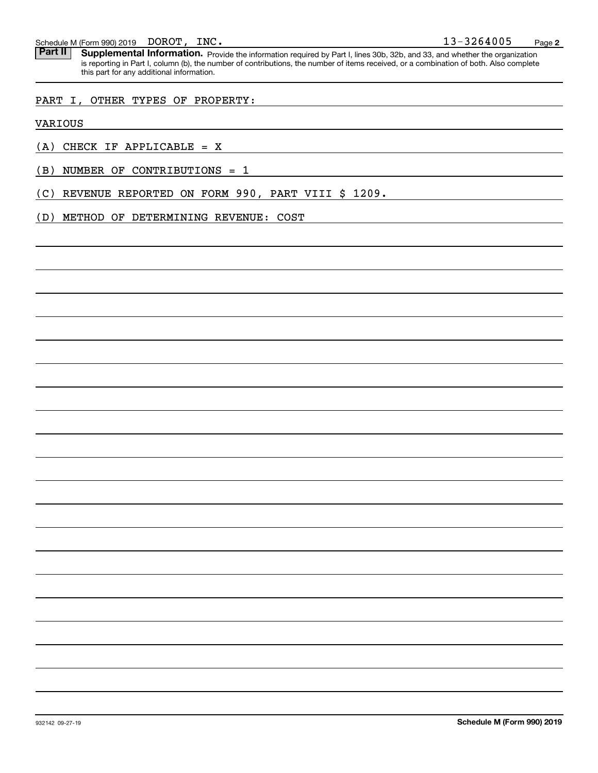Part II | Supplemental Information. Provide the information required by Part I, lines 30b, 32b, and 33, and whether the organization is reporting in Part I, column (b), the number of contributions, the number of items received, or a combination of both. Also complete this part for any additional information.

#### PART I, OTHER TYPES OF PROPERTY:

VARIOUS

 $(A)$  CHECK IF APPLICABLE = X

(B) NUMBER OF CONTRIBUTIONS = 1

(C) REVENUE REPORTED ON FORM 990, PART VIII \$ 1209.

(D) METHOD OF DETERMINING REVENUE: COST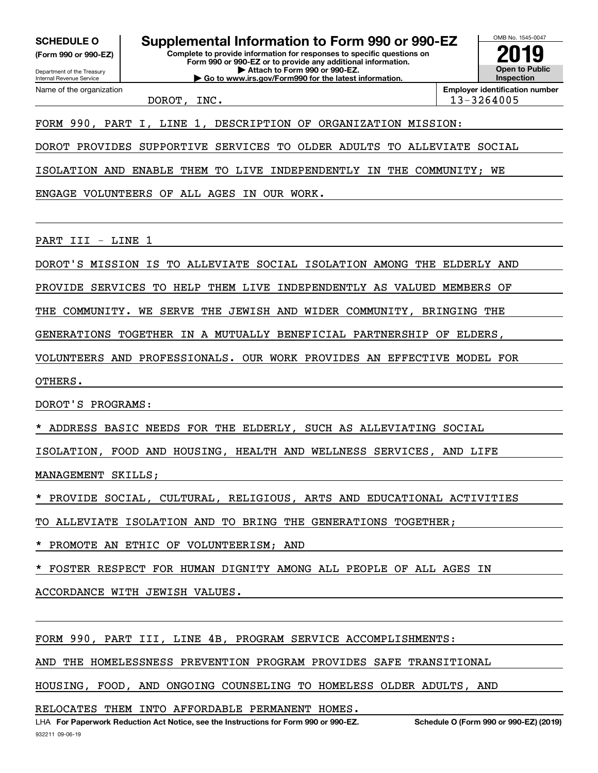**(Form 990 or 990-EZ)**

Department of the Treasury Internal Revenue Service Name of the organization

**SCHEDULE O Supplemental Information to Form 990 or 990-EZ**

**Complete to provide information for responses to specific questions on Form 990 or 990-EZ or to provide any additional information. | Attach to Form 990 or 990-EZ. | Go to www.irs.gov/Form990 for the latest information.**



DOROT, INC. 13-3264005

FORM 990, PART I, LINE 1, DESCRIPTION OF ORGANIZATION MISSION:

DOROT PROVIDES SUPPORTIVE SERVICES TO OLDER ADULTS TO ALLEVIATE SOCIAL

ISOLATION AND ENABLE THEM TO LIVE INDEPENDENTLY IN THE COMMUNITY; WE

ENGAGE VOLUNTEERS OF ALL AGES IN OUR WORK.

PART III - LINE 1

DOROT'S MISSION IS TO ALLEVIATE SOCIAL ISOLATION AMONG THE ELDERLY AND

PROVIDE SERVICES TO HELP THEM LIVE INDEPENDENTLY AS VALUED MEMBERS OF

THE COMMUNITY. WE SERVE THE JEWISH AND WIDER COMMUNITY, BRINGING THE

GENERATIONS TOGETHER IN A MUTUALLY BENEFICIAL PARTNERSHIP OF ELDERS,

VOLUNTEERS AND PROFESSIONALS. OUR WORK PROVIDES AN EFFECTIVE MODEL FOR

OTHERS.

DOROT'S PROGRAMS:

ADDRESS BASIC NEEDS FOR THE ELDERLY, SUCH AS ALLEVIATING SOCIAL

ISOLATION, FOOD AND HOUSING, HEALTH AND WELLNESS SERVICES, AND LIFE

MANAGEMENT SKILLS;

PROVIDE SOCIAL, CULTURAL, RELIGIOUS, ARTS AND EDUCATIONAL ACTIVITIES

TO ALLEVIATE ISOLATION AND TO BRING THE GENERATIONS TOGETHER;

PROMOTE AN ETHIC OF VOLUNTEERISM; AND

FOSTER RESPECT FOR HUMAN DIGNITY AMONG ALL PEOPLE OF ALL AGES IN

ACCORDANCE WITH JEWISH VALUES.

FORM 990, PART III, LINE 4B, PROGRAM SERVICE ACCOMPLISHMENTS:

AND THE HOMELESSNESS PREVENTION PROGRAM PROVIDES SAFE TRANSITIONAL

HOUSING, FOOD, AND ONGOING COUNSELING TO HOMELESS OLDER ADULTS, AND

RELOCATES THEM INTO AFFORDABLE PERMANENT HOMES.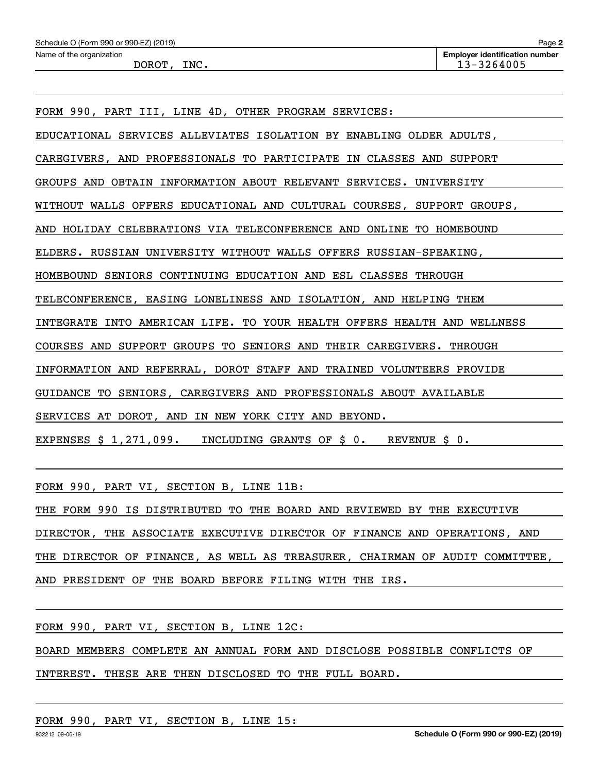FORM 990, PART VI, SECTION B, LINE 11B:

THE FORM 990 IS DISTRIBUTED TO THE BOARD AND REVIEWED BY THE EXECUTIVE DIRECTOR, THE ASSOCIATE EXECUTIVE DIRECTOR OF FINANCE AND OPERATIONS, AND THE DIRECTOR OF FINANCE, AS WELL AS TREASURER, CHAIRMAN OF AUDIT COMMITTEE, AND PRESIDENT OF THE BOARD BEFORE FILING WITH THE IRS.

FORM 990, PART VI, SECTION B, LINE 12C:

BOARD MEMBERS COMPLETE AN ANNUAL FORM AND DISCLOSE POSSIBLE CONFLICTS OF

INTEREST. THESE ARE THEN DISCLOSED TO THE FULL BOARD.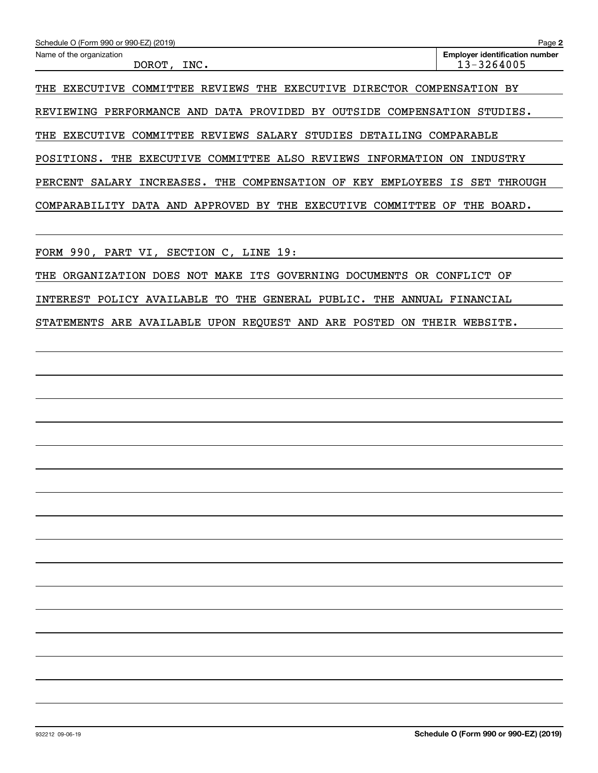| Name of the organization                                                      | Page 2<br><b>Employer identification number</b> |
|-------------------------------------------------------------------------------|-------------------------------------------------|
| INC.<br>DOROT,                                                                | 13-3264005                                      |
| THE EXECUTIVE<br>REVIEWS<br>DIRECTOR<br>THE<br>EXECUTIVE<br>COMMITTEE         | COMPENSATION<br>ВY                              |
| PERFORMANCE AND DATA PROVIDED BY<br>OUTSIDE<br>COMPENSATION<br>REVIEWING      | STUDIES.                                        |
| COMMITTEE<br>REVIEWS<br>SALARY STUDIES<br>THE<br>EXECUTIVE<br>DETAILING       | COMPARABLE                                      |
| POSITIONS.<br>COMMITTEE ALSO REVIEWS<br>THE<br>INFORMATION<br>EXECUTIVE       | INDUSTRY<br>ON.                                 |
| THE<br>COMPENSATION OF<br>KEY<br>INCREASES.<br>EMPLOYEES<br>PERCENT<br>SALARY | IS.<br>SET<br>THROUGH                           |
| APPROVED BY THE<br>COMMITTEE<br>COMPARABILITY<br>DATA AND<br>EXECUTIVE        | OF<br>THE<br>BOARD.                             |
|                                                                               |                                                 |

THE ORGANIZATION DOES NOT MAKE ITS GOVERNING DOCUMENTS OR CONFLICT OF INTEREST POLICY AVAILABLE TO THE GENERAL PUBLIC. THE ANNUAL FINANCIAL

FORM 990, PART VI, SECTION C, LINE 19:

STATEMENTS ARE AVAILABLE UPON REQUEST AND ARE POSTED ON THEIR WEBSITE.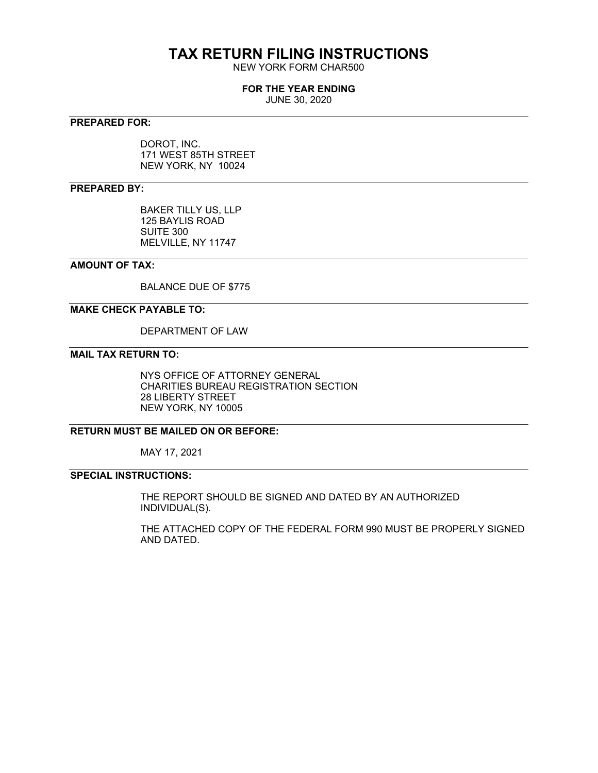## **TAX RETURN FILING INSTRUCTIONS**

NEW YORK FORM CHAR500

#### **FOR THE YEAR ENDING**

JUNE 30, 2020

#### **PREPARED FOR:**

DOROT, INC. 171 WEST 85TH STREET NEW YORK, NY 10024

#### **PREPARED BY:**

BAKER TILLY US, LLP 125 BAYLIS ROAD SUITE 300 MELVILLE, NY 11747

#### **AMOUNT OF TAX:**

BALANCE DUE OF \$775

#### **MAKE CHECK PAYABLE TO:**

DEPARTMENT OF LAW

#### **MAIL TAX RETURN TO:**

NYS OFFICE OF ATTORNEY GENERAL CHARITIES BUREAU REGISTRATION SECTION 28 LIBERTY STREET NEW YORK, NY 10005

#### **RETURN MUST BE MAILED ON OR BEFORE:**

MAY 17, 2021

### **SPECIAL INSTRUCTIONS:**

THE REPORT SHOULD BE SIGNED AND DATED BY AN AUTHORIZED INDIVIDUAL(S).

THE ATTACHED COPY OF THE FEDERAL FORM 990 MUST BE PROPERLY SIGNED AND DATED.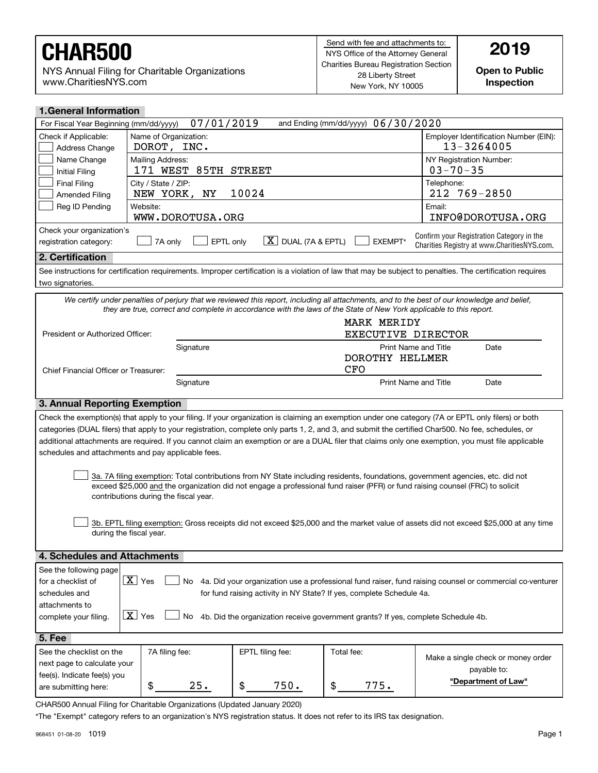NYS Annual Filing for Charitable Organizations www.CharitiesNYS.com

**Open to Public Inspection**

| <b>1.General Information</b>                                                                                                                                     |                                                                                                                                                                                                                                                                 |                      |                                    |                                                                                                                                                            |  |  |  |
|------------------------------------------------------------------------------------------------------------------------------------------------------------------|-----------------------------------------------------------------------------------------------------------------------------------------------------------------------------------------------------------------------------------------------------------------|----------------------|------------------------------------|------------------------------------------------------------------------------------------------------------------------------------------------------------|--|--|--|
| For Fiscal Year Beginning (mm/dd/yyyy)                                                                                                                           | 07/01/2019                                                                                                                                                                                                                                                      |                      | and Ending (mm/dd/yyyy) 06/30/2020 |                                                                                                                                                            |  |  |  |
| Check if Applicable:<br>Address Change                                                                                                                           | Name of Organization:<br>DOROT, INC.                                                                                                                                                                                                                            |                      |                                    | Employer Identification Number (EIN):<br>13-3264005                                                                                                        |  |  |  |
| Name Change<br>Initial Filing                                                                                                                                    | Mailing Address:<br>171 WEST                                                                                                                                                                                                                                    | 85TH STREET          |                                    | NY Registration Number:<br>$03 - 70 - 35$                                                                                                                  |  |  |  |
| <b>Final Filing</b><br><b>Amended Filing</b>                                                                                                                     | City / State / ZIP:<br>NEW YORK,<br>ΝY                                                                                                                                                                                                                          | 10024                |                                    | Telephone:<br>212 769-2850                                                                                                                                 |  |  |  |
| Reg ID Pending                                                                                                                                                   | Website:<br>WWW.DOROTUSA.ORG                                                                                                                                                                                                                                    |                      |                                    | Email:<br>INFO@DOROTUSA.ORG                                                                                                                                |  |  |  |
|                                                                                                                                                                  |                                                                                                                                                                                                                                                                 |                      |                                    |                                                                                                                                                            |  |  |  |
| Check your organization's<br>registration category:                                                                                                              | EPTL only<br>7A only                                                                                                                                                                                                                                            | $X$ DUAL (7A & EPTL) | EXEMPT*                            | Confirm your Registration Category in the<br>Charities Registry at www.CharitiesNYS.com.                                                                   |  |  |  |
| 2. Certification                                                                                                                                                 |                                                                                                                                                                                                                                                                 |                      |                                    |                                                                                                                                                            |  |  |  |
| two signatories.                                                                                                                                                 |                                                                                                                                                                                                                                                                 |                      |                                    | See instructions for certification requirements. Improper certification is a violation of law that may be subject to penalties. The certification requires |  |  |  |
|                                                                                                                                                                  | they are true, correct and complete in accordance with the laws of the State of New York applicable to this report.                                                                                                                                             |                      |                                    | We certify under penalties of perjury that we reviewed this report, including all attachments, and to the best of our knowledge and belief,                |  |  |  |
|                                                                                                                                                                  |                                                                                                                                                                                                                                                                 |                      | <b>MARK MERIDY</b>                 |                                                                                                                                                            |  |  |  |
| President or Authorized Officer:                                                                                                                                 |                                                                                                                                                                                                                                                                 |                      | EXECUTIVE DIRECTOR                 |                                                                                                                                                            |  |  |  |
|                                                                                                                                                                  | Signature                                                                                                                                                                                                                                                       |                      |                                    | Print Name and Title<br>Date                                                                                                                               |  |  |  |
|                                                                                                                                                                  |                                                                                                                                                                                                                                                                 |                      | DOROTHY HELLMER                    |                                                                                                                                                            |  |  |  |
| Chief Financial Officer or Treasurer:                                                                                                                            |                                                                                                                                                                                                                                                                 |                      | <b>CFO</b>                         |                                                                                                                                                            |  |  |  |
|                                                                                                                                                                  | Signature                                                                                                                                                                                                                                                       |                      |                                    | <b>Print Name and Title</b><br>Date                                                                                                                        |  |  |  |
| 3. Annual Reporting Exemption                                                                                                                                    |                                                                                                                                                                                                                                                                 |                      |                                    |                                                                                                                                                            |  |  |  |
|                                                                                                                                                                  |                                                                                                                                                                                                                                                                 |                      |                                    | Check the exemption(s) that apply to your filing. If your organization is claiming an exemption under one category (7A or EPTL only filers) or both        |  |  |  |
|                                                                                                                                                                  |                                                                                                                                                                                                                                                                 |                      |                                    | categories (DUAL filers) that apply to your registration, complete only parts 1, 2, and 3, and submit the certified Char500. No fee, schedules, or         |  |  |  |
|                                                                                                                                                                  |                                                                                                                                                                                                                                                                 |                      |                                    | additional attachments are required. If you cannot claim an exemption or are a DUAL filer that claims only one exemption, you must file applicable         |  |  |  |
|                                                                                                                                                                  | schedules and attachments and pay applicable fees.                                                                                                                                                                                                              |                      |                                    |                                                                                                                                                            |  |  |  |
|                                                                                                                                                                  |                                                                                                                                                                                                                                                                 |                      |                                    |                                                                                                                                                            |  |  |  |
|                                                                                                                                                                  |                                                                                                                                                                                                                                                                 |                      |                                    |                                                                                                                                                            |  |  |  |
|                                                                                                                                                                  | 3a. 7A filing exemption: Total contributions from NY State including residents, foundations, government agencies, etc. did not<br>exceed \$25,000 and the organization did not engage a professional fund raiser (PFR) or fund raising counsel (FRC) to solicit |                      |                                    |                                                                                                                                                            |  |  |  |
| contributions during the fiscal year.                                                                                                                            |                                                                                                                                                                                                                                                                 |                      |                                    |                                                                                                                                                            |  |  |  |
|                                                                                                                                                                  |                                                                                                                                                                                                                                                                 |                      |                                    |                                                                                                                                                            |  |  |  |
|                                                                                                                                                                  |                                                                                                                                                                                                                                                                 |                      |                                    | 3b. EPTL filing exemption: Gross receipts did not exceed \$25,000 and the market value of assets did not exceed \$25,000 at any time                       |  |  |  |
|                                                                                                                                                                  | during the fiscal year.                                                                                                                                                                                                                                         |                      |                                    |                                                                                                                                                            |  |  |  |
|                                                                                                                                                                  |                                                                                                                                                                                                                                                                 |                      |                                    |                                                                                                                                                            |  |  |  |
| 4. Schedules and Attachments                                                                                                                                     |                                                                                                                                                                                                                                                                 |                      |                                    |                                                                                                                                                            |  |  |  |
| See the following page                                                                                                                                           |                                                                                                                                                                                                                                                                 |                      |                                    |                                                                                                                                                            |  |  |  |
| $\overline{\mathbf{X}}$ Yes<br>No 4a. Did your organization use a professional fund raiser, fund raising counsel or commercial co-venturer<br>for a checklist of |                                                                                                                                                                                                                                                                 |                      |                                    |                                                                                                                                                            |  |  |  |
| schedules and<br>for fund raising activity in NY State? If yes, complete Schedule 4a.                                                                            |                                                                                                                                                                                                                                                                 |                      |                                    |                                                                                                                                                            |  |  |  |
| attachments to                                                                                                                                                   |                                                                                                                                                                                                                                                                 |                      |                                    |                                                                                                                                                            |  |  |  |
| $\overline{X}$ Yes<br>4b. Did the organization receive government grants? If yes, complete Schedule 4b.<br>No<br>complete your filing.                           |                                                                                                                                                                                                                                                                 |                      |                                    |                                                                                                                                                            |  |  |  |
| 5. Fee                                                                                                                                                           |                                                                                                                                                                                                                                                                 |                      |                                    |                                                                                                                                                            |  |  |  |
|                                                                                                                                                                  |                                                                                                                                                                                                                                                                 | EPTL filing fee:     | Total fee:                         |                                                                                                                                                            |  |  |  |
| See the checklist on the                                                                                                                                         | 7A filing fee:                                                                                                                                                                                                                                                  |                      |                                    |                                                                                                                                                            |  |  |  |
| next page to calculate your                                                                                                                                      |                                                                                                                                                                                                                                                                 |                      |                                    | Make a single check or money order                                                                                                                         |  |  |  |
| fee(s). Indicate fee(s) you                                                                                                                                      |                                                                                                                                                                                                                                                                 |                      |                                    | payable to:                                                                                                                                                |  |  |  |
| are submitting here:                                                                                                                                             | 25.<br>\$                                                                                                                                                                                                                                                       | 750.<br>\$           | 775.<br>\$                         | "Department of Law"                                                                                                                                        |  |  |  |

\*The "Exempt" category refers to an organization's NYS registration status. It does not refer to its IRS tax designation.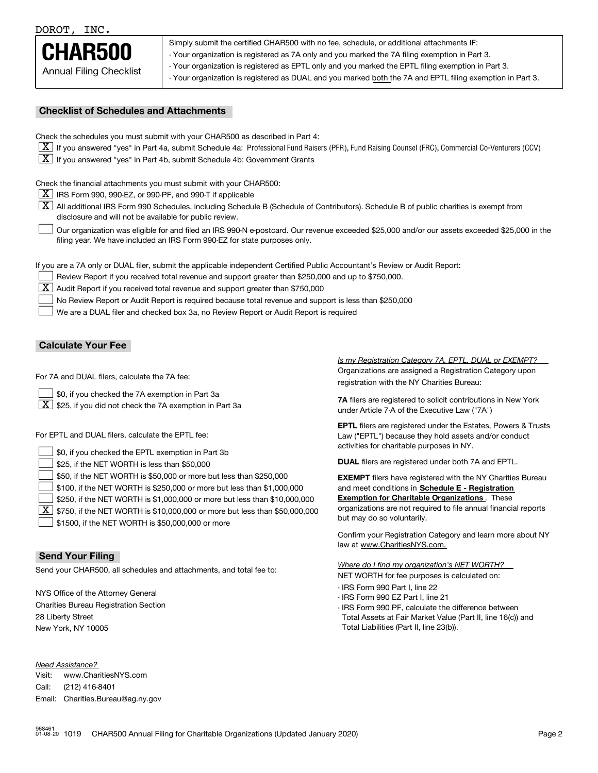DOROT, INC.



Simply submit the certified CHAR500 with no fee, schedule, or additional attachments IF:

- Your organization is registered as 7A only and you marked the 7A filing exemption in Part 3.

- Your organization is registered as EPTL only and you marked the EPTL filing exemption in Part 3.

- Your organization is registered as DUAL and you marked both the 7A and EPTL filing exemption in Part 3.

#### **Checklist of Schedules and Attachments**

Check the schedules you must submit with your CHAR500 as described in Part 4:

- $\boxed{\textbf{X}}$  If you answered "yes" in Part 4a, submit Schedule 4a: Professional Fund Raisers (PFR), Fund Raising Counsel (FRC), Commercial Co-Venturers (CCV)
- $\boxed{\textbf{X}}$  If you answered "yes" in Part 4b, submit Schedule 4b: Government Grants

Check the financial attachments you must submit with your CHAR500:

 $\boxed{\textbf{X}}$  IRS Form 990, 990-EZ, or 990-PF, and 990-T if applicable

 $|\overline{\textbf{X}}|$  All additional IRS Form 990 Schedules, including Schedule B (Schedule of Contributors). Schedule B of public charities is exempt from disclosure and will not be available for public review.

Our organization was eligible for and filed an IRS 990-N e-postcard. Our revenue exceeded \$25,000 and/or our assets exceeded \$25,000 in the filing year. We have included an IRS Form 990-EZ for state purposes only.  $\mathcal{L}^{\text{max}}$ 

If you are a 7A only or DUAL filer, submit the applicable independent Certified Public Accountant's Review or Audit Report:

Review Report if you received total revenue and support greater than \$250,000 and up to \$750,000.

 $\boxed{\textbf{X}}$  Audit Report if you received total revenue and support greater than \$750,000

No Review Report or Audit Report is required because total revenue and support is less than \$250,000  $\mathcal{L}^{\text{max}}$ 

We are a DUAL filer and checked box 3a, no Review Report or Audit Report is required  $\mathcal{L}^{\text{max}}$ 

#### **Calculate Your Fee**

For 7A and DUAL filers, calculate the 7A fee:

\$0, if you checked the 7A exemption in Part 3a  $\mathcal{L}^{\text{max}}$ 

 $\boxed{\textbf{X}}$  \$25, if you did not check the 7A exemption in Part 3a

For EPTL and DUAL filers, calculate the EPTL fee:

| $\Box$ \$0, if you checked the EPTL exemption in Part 3b                                                                                                            | activities for charitable purposes in NY.                                                                 |
|---------------------------------------------------------------------------------------------------------------------------------------------------------------------|-----------------------------------------------------------------------------------------------------------|
| $\vert$ \$25, if the NET WORTH is less than \$50,000                                                                                                                | <b>DUAL</b> filers are registered under both 7A and EPTL.                                                 |
| $\vert$ \$50, if the NET WORTH is \$50,000 or more but less than \$250,000                                                                                          | <b>EXEMPT</b> filers have registered with the NY Charities Bureau                                         |
| $\vert$ \$100, if the NET WORTH is \$250,000 or more but less than \$1,000,000<br>$\mathbf{1}$                                                                      | and meet conditions in Schedule E - Registration<br><b>Exemption for Charitable Organizations</b> . These |
| $\vert$ \$250, if the NET WORTH is \$1,000,000 or more but less than \$10,000,000<br>$X$ \$750, if the NET WORTH is \$10,000,000 or more but less than \$50,000,000 | organizations are not required to file annual financial reports                                           |
| $\rfloor$ \$1500, if the NET WORTH is \$50,000,000 or more                                                                                                          | but may do so voluntarily.                                                                                |

**Send Your Filing**

Send your CHAR500, all schedules and attachments, and total fee to:

NYS Office of the Attorney General Charities Bureau Registration Section 28 Liberty Street New York, NY 10005

*Need Assistance?*

Visit:Call:Email:Charities.Bureau@ag.ny.gov www.CharitiesNYS.com(212) 416-8401

Organizations are assigned a Registration Category upon registration with the NY Charities Bureau: *Is my Registration Category 7A, EPTL, DUAL or EXEMPT?* 

**7A** filers are registered to solicit contributions in New York under Article 7-A of the Executive Law ("7A")

**EPTL** filers are registered under the Estates, Powers & Trusts Law ("EPTL") because they hold assets and/or conduct activities for charitable purposes in NY.

Confirm your Registration Category and learn more about NY law at www.CharitiesNYS.com.

NET WORTH for fee purposes is calculated on: *Where do I find my organization's NET WORTH?*

- IRS Form 990 Part I, line 22
- IRS Form 990 EZ Part I, line 21
- IRS Form 990 PF, calculate the difference between Total Assets at Fair Market Value (Part II, line 16(c)) and Total Liabilities (Part II, line 23(b)).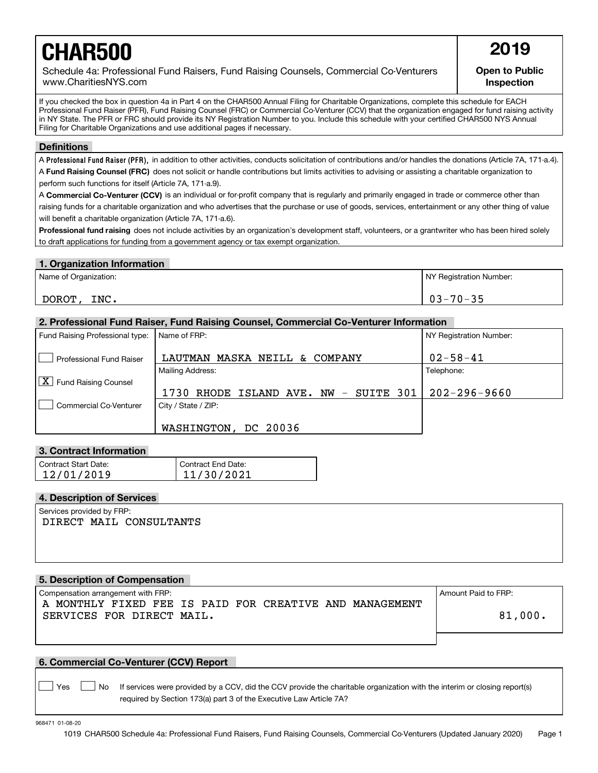# **CHAR500** 2019

Schedule 4a: Professional Fund Raisers, Fund Raising Counsels, Commercial Co-Venturers www.CharitiesNYS.com

**Open to Public Inspection**

If you checked the box in question 4a in Part 4 on the CHAR500 Annual Filing for Charitable Organizations, complete this schedule for EACH Professional Fund Raiser (PFR), Fund Raising Counsel (FRC) or Commercial Co-Venturer (CCV) that the organization engaged for fund raising activity in NY State. The PFR or FRC should provide its NY Registration Number to you. Include this schedule with your certified CHAR500 NYS Annual Filing for Charitable Organizations and use additional pages if necessary.

#### **Definitions**

A Professional Fund Raiser (PFR), in addition to other activities, conducts solicitation of contributions and/or handles the donations (Article 7A, 171-a.4). A **Fund Raising Counsel (FRC)** does not solicit or handle contributions but limits activities to advising or assisting a charitable organization to perform such functions for itself (Article 7A, 171-a.9).

A **Commercial Co-Venturer (CCV)** is an individual or for-profit company that is regularly and primarily engaged in trade or commerce other than raising funds for a charitable organization and who advertises that the purchase or use of goods, services, entertainment or any other thing of value will benefit a charitable organization (Article 7A, 171-a.6).

**Professional fund raising** does not include activities by an organization's development staff, volunteers, or a grantwriter who has been hired solely to draft applications for funding from a government agency or tax exempt organization.

#### **1. Organization Information**

| Name of Organization: | NY Registration Number: |
|-----------------------|-------------------------|
| INC.<br><b>DOROT</b>  | $03 - 70 - 35$          |

#### **2. Professional Fund Raiser, Fund Raising Counsel, Commercial Co-Venturer Information**

| Fund Raising Professional type:                        | Name of FRP:                                     | NY Registration Number: |
|--------------------------------------------------------|--------------------------------------------------|-------------------------|
| Professional Fund Raiser                               | MASKA<br>NEILL<br>COMPANY<br>LAUTMAN<br>δż       | $02 - 58 - 41$          |
|                                                        | Mailing Address:                                 | Telephone:              |
| $\overline{\mathbf{X}}$<br><b>Fund Raising Counsel</b> |                                                  |                         |
|                                                        | 1730<br>$NW - SUITE 301$<br>RHODE<br>ISLAND AVE. | $202 - 296 - 9660$      |
| Commercial Co-Venturer                                 | City / State / ZIP:                              |                         |
|                                                        | WASHINGTON, DC 20036                             |                         |

#### **3. Contract Information**

| Contract Start Date: | Contract End Date: |
|----------------------|--------------------|
| 12/01/2019           | 11/30/2021         |

#### **4. Description of Services**

Services provided by FRP: DIRECT MAIL CONSULTANTS

#### **5. Description of Compensation**

Compensation arrangement with FRP:  $\blacksquare$ A MONTHLY FIXED FEE IS PAID FOR CREATIVE AND MANAGEMENT SERVICES FOR DIRECT MAIL.

81,000.

#### **6. Commercial Co-Venturer (CCV) Report**

Yes **D**  $\Box$  No If services were provided by a CCV, did the CCV provide the charitable organization with the interim or closing report(s) required by Section 173(a) part 3 of the Executive Law Article 7A?

968471 01-08-20

 $\mathcal{L}^{\text{max}}$